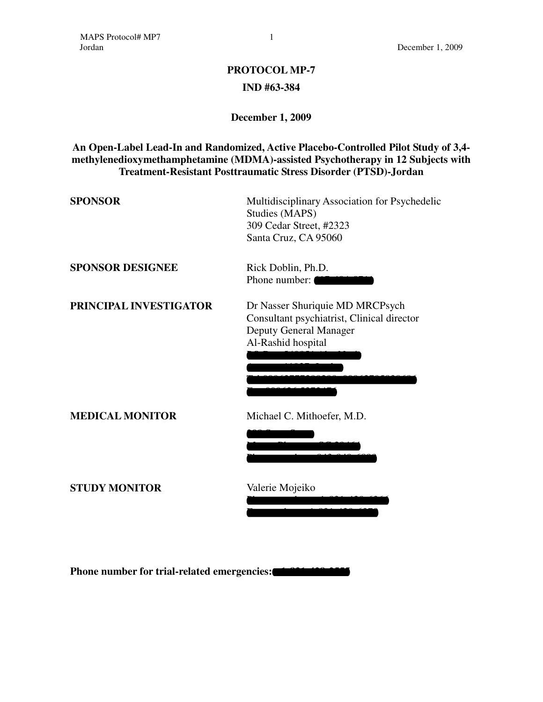# **PROTOCOL MP-7 IND #63-384**

# **December 1, 2009**

# **An Open-Label Lead-In and Randomized, Active Placebo-Controlled Pilot Study of 3,4 methylenedioxymethamphetamine (MDMA)-assisted Psychotherapy in 12 Subjects with Treatment-Resistant Posttraumatic Stress Disorder (PTSD)-Jordan**

| <b>SPONSOR</b>          | Multidisciplinary Association for Psychedelic<br>Studies (MAPS)<br>309 Cedar Street, #2323<br>Santa Cruz, CA 95060            |
|-------------------------|-------------------------------------------------------------------------------------------------------------------------------|
| <b>SPONSOR DESIGNEE</b> | Rick Doblin, Ph.D.<br>Phone number:                                                                                           |
| PRINCIPAL INVESTIGATOR  | Dr Nasser Shuriquie MD MRCPsych<br>Consultant psychiatrist, Clinical director<br>Deputy General Manager<br>Al-Rashid hospital |
| <b>MEDICAL MONITOR</b>  | Michael C. Mithoefer, M.D.                                                                                                    |
| <b>STUDY MONITOR</b>    | Valerie Mojeiko                                                                                                               |

**Phone number for trial-related emergencies:**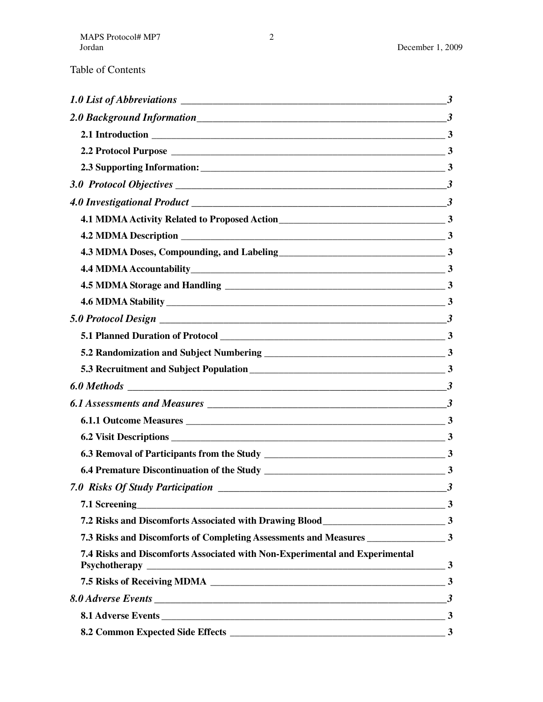|  | Table of Contents |
|--|-------------------|
|--|-------------------|

| 4.3 MDMA Doses, Compounding, and Labeling<br>13                                     |  |
|-------------------------------------------------------------------------------------|--|
|                                                                                     |  |
|                                                                                     |  |
|                                                                                     |  |
|                                                                                     |  |
|                                                                                     |  |
|                                                                                     |  |
|                                                                                     |  |
|                                                                                     |  |
|                                                                                     |  |
|                                                                                     |  |
|                                                                                     |  |
|                                                                                     |  |
|                                                                                     |  |
|                                                                                     |  |
| 7.1 Screening 3                                                                     |  |
|                                                                                     |  |
| 7.3 Risks and Discomforts of Completing Assessments and Measures ________________ 3 |  |
| 7.4 Risks and Discomforts Associated with Non-Experimental and Experimental         |  |
|                                                                                     |  |
|                                                                                     |  |
|                                                                                     |  |
|                                                                                     |  |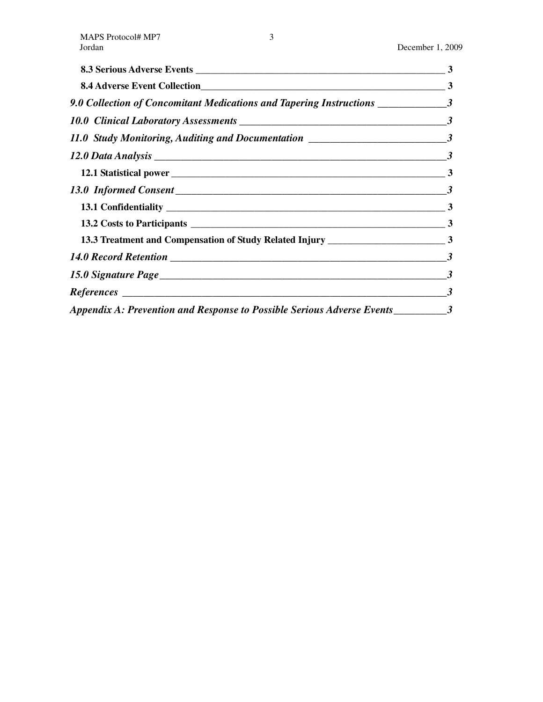|                                                                                    | $\mathbf{3}$ |
|------------------------------------------------------------------------------------|--------------|
|                                                                                    |              |
| 9.0 Collection of Concomitant Medications and Tapering Instructions _____________3 |              |
|                                                                                    |              |
| 11.0 Study Monitoring, Auditing and Documentation ______________________________3  |              |
|                                                                                    |              |
|                                                                                    |              |
|                                                                                    |              |
|                                                                                    |              |
|                                                                                    |              |
|                                                                                    |              |
|                                                                                    |              |
|                                                                                    |              |
| $References \_$                                                                    |              |
| Appendix A: Prevention and Response to Possible Serious Adverse Events__________3  |              |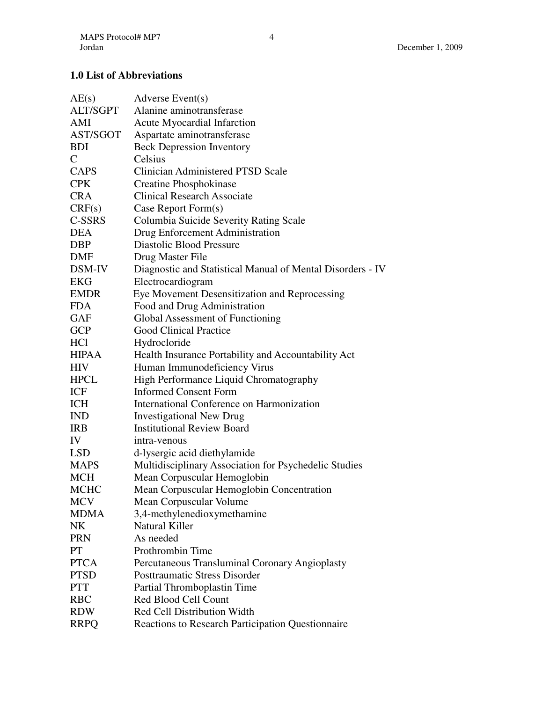# **1.0 List of Abbreviations**

| AE(s)        | Adverse Event(s)                                           |
|--------------|------------------------------------------------------------|
| ALT/SGPT     | Alanine aminotransferase                                   |
| AMI          | <b>Acute Myocardial Infarction</b>                         |
| AST/SGOT     | Aspartate aminotransferase                                 |
| <b>BDI</b>   | <b>Beck Depression Inventory</b>                           |
| $\mathsf{C}$ | Celsius                                                    |
| <b>CAPS</b>  | <b>Clinician Administered PTSD Scale</b>                   |
| <b>CPK</b>   | Creatine Phosphokinase                                     |
| <b>CRA</b>   | <b>Clinical Research Associate</b>                         |
| CRF(s)       | Case Report Form(s)                                        |
| C-SSRS       | Columbia Suicide Severity Rating Scale                     |
| <b>DEA</b>   | Drug Enforcement Administration                            |
| <b>DBP</b>   | Diastolic Blood Pressure                                   |
| DMF          | Drug Master File                                           |
| DSM-IV       | Diagnostic and Statistical Manual of Mental Disorders - IV |
| <b>EKG</b>   | Electrocardiogram                                          |
| <b>EMDR</b>  | Eye Movement Desensitization and Reprocessing              |
| <b>FDA</b>   | Food and Drug Administration                               |
| <b>GAF</b>   | Global Assessment of Functioning                           |
| <b>GCP</b>   | <b>Good Clinical Practice</b>                              |
| HCl          | Hydrocloride                                               |
| <b>HIPAA</b> | Health Insurance Portability and Accountability Act        |
| <b>HIV</b>   | Human Immunodeficiency Virus                               |
| <b>HPCL</b>  | High Performance Liquid Chromatography                     |
| <b>ICF</b>   | <b>Informed Consent Form</b>                               |
| <b>ICH</b>   | International Conference on Harmonization                  |
| <b>IND</b>   | <b>Investigational New Drug</b>                            |
| <b>IRB</b>   | <b>Institutional Review Board</b>                          |
| IV           | intra-venous                                               |
| <b>LSD</b>   | d-lysergic acid diethylamide                               |
| <b>MAPS</b>  | Multidisciplinary Association for Psychedelic Studies      |
| <b>MCH</b>   | Mean Corpuscular Hemoglobin                                |
| <b>MCHC</b>  | Mean Corpuscular Hemoglobin Concentration                  |
| <b>MCV</b>   | Mean Corpuscular Volume                                    |
| <b>MDMA</b>  | 3,4-methylenedioxymethamine                                |
| <b>NK</b>    | <b>Natural Killer</b>                                      |
| <b>PRN</b>   | As needed                                                  |
| PT           | Prothrombin Time                                           |
| <b>PTCA</b>  | Percutaneous Transluminal Coronary Angioplasty             |
| <b>PTSD</b>  | <b>Posttraumatic Stress Disorder</b>                       |
| <b>PTT</b>   | Partial Thromboplastin Time                                |
| <b>RBC</b>   | Red Blood Cell Count                                       |
| <b>RDW</b>   | Red Cell Distribution Width                                |
| <b>RRPQ</b>  | <b>Reactions to Research Participation Questionnaire</b>   |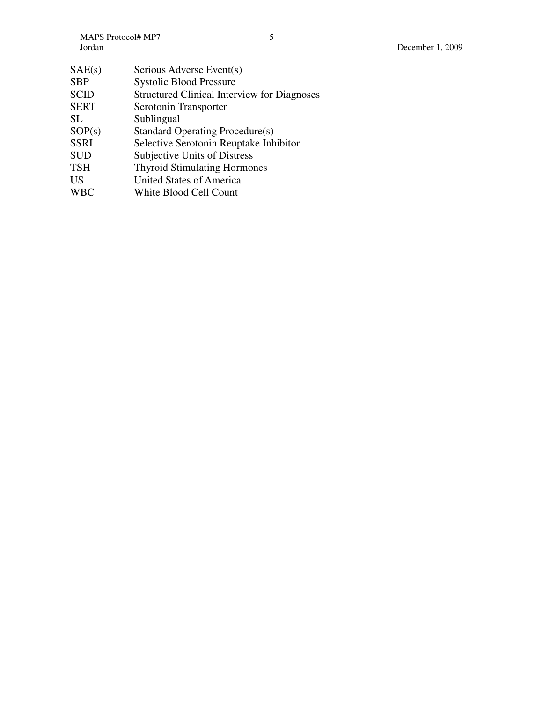| SAE(s)      | Serious Adverse Event(s)                           |
|-------------|----------------------------------------------------|
| <b>SBP</b>  | <b>Systolic Blood Pressure</b>                     |
| <b>SCID</b> | <b>Structured Clinical Interview for Diagnoses</b> |
| <b>SERT</b> | Serotonin Transporter                              |
| <b>SL</b>   | Sublingual                                         |
| SOP(s)      | Standard Operating Procedure(s)                    |
| <b>SSRI</b> | Selective Serotonin Reuptake Inhibitor             |
| <b>SUD</b>  | <b>Subjective Units of Distress</b>                |
| <b>TSH</b>  | <b>Thyroid Stimulating Hormones</b>                |
| US          | <b>United States of America</b>                    |
| <b>WBC</b>  | White Blood Cell Count                             |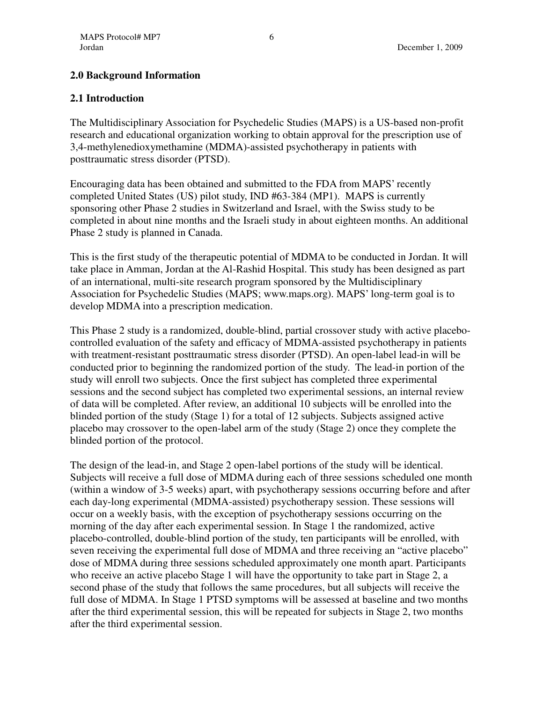# **2.0 Background Information**

#### **2.1 Introduction**

The Multidisciplinary Association for Psychedelic Studies (MAPS) is a US-based non-profit research and educational organization working to obtain approval for the prescription use of 3,4-methylenedioxymethamine (MDMA)-assisted psychotherapy in patients with posttraumatic stress disorder (PTSD).

Encouraging data has been obtained and submitted to the FDA from MAPS' recently completed United States (US) pilot study, IND #63-384 (MP1). MAPS is currently sponsoring other Phase 2 studies in Switzerland and Israel, with the Swiss study to be completed in about nine months and the Israeli study in about eighteen months. An additional Phase 2 study is planned in Canada.

This is the first study of the therapeutic potential of MDMA to be conducted in Jordan. It will take place in Amman, Jordan at the Al-Rashid Hospital. This study has been designed as part of an international, multi-site research program sponsored by the Multidisciplinary Association for Psychedelic Studies (MAPS; www.maps.org). MAPS' long-term goal is to develop MDMA into a prescription medication.

This Phase 2 study is a randomized, double-blind, partial crossover study with active placebocontrolled evaluation of the safety and efficacy of MDMA-assisted psychotherapy in patients with treatment-resistant posttraumatic stress disorder (PTSD). An open-label lead-in will be conducted prior to beginning the randomized portion of the study. The lead-in portion of the study will enroll two subjects. Once the first subject has completed three experimental sessions and the second subject has completed two experimental sessions, an internal review of data will be completed. After review, an additional 10 subjects will be enrolled into the blinded portion of the study (Stage 1) for a total of 12 subjects. Subjects assigned active placebo may crossover to the open-label arm of the study (Stage 2) once they complete the blinded portion of the protocol.

The design of the lead-in, and Stage 2 open-label portions of the study will be identical. Subjects will receive a full dose of MDMA during each of three sessions scheduled one month (within a window of 3-5 weeks) apart, with psychotherapy sessions occurring before and after each day-long experimental (MDMA-assisted) psychotherapy session. These sessions will occur on a weekly basis, with the exception of psychotherapy sessions occurring on the morning of the day after each experimental session. In Stage 1 the randomized, active placebo-controlled, double-blind portion of the study, ten participants will be enrolled, with seven receiving the experimental full dose of MDMA and three receiving an "active placebo" dose of MDMA during three sessions scheduled approximately one month apart. Participants who receive an active placebo Stage 1 will have the opportunity to take part in Stage 2, a second phase of the study that follows the same procedures, but all subjects will receive the full dose of MDMA. In Stage 1 PTSD symptoms will be assessed at baseline and two months after the third experimental session, this will be repeated for subjects in Stage 2, two months after the third experimental session.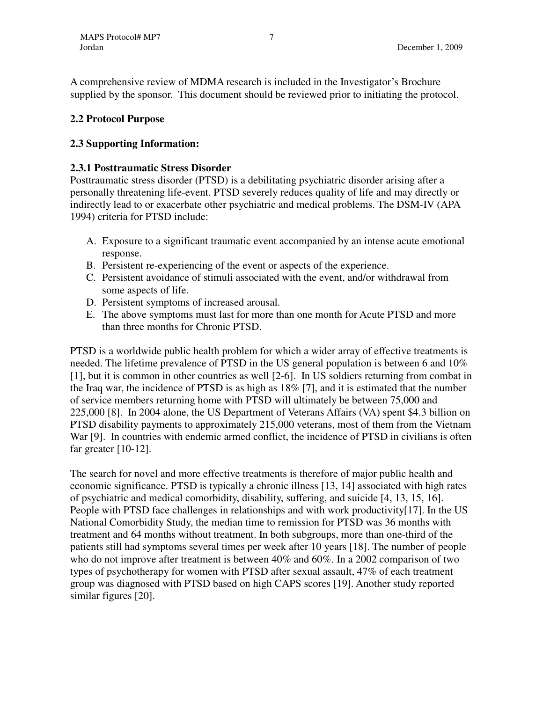A comprehensive review of MDMA research is included in the Investigator's Brochure supplied by the sponsor. This document should be reviewed prior to initiating the protocol.

# **2.2 Protocol Purpose**

# **2.3 Supporting Information:**

# **2.3.1 Posttraumatic Stress Disorder**

Posttraumatic stress disorder (PTSD) is a debilitating psychiatric disorder arising after a personally threatening life-event. PTSD severely reduces quality of life and may directly or indirectly lead to or exacerbate other psychiatric and medical problems. The DSM-IV (APA 1994) criteria for PTSD include:

- A. Exposure to a significant traumatic event accompanied by an intense acute emotional response.
- B. Persistent re-experiencing of the event or aspects of the experience.
- C. Persistent avoidance of stimuli associated with the event, and/or withdrawal from some aspects of life.
- D. Persistent symptoms of increased arousal.
- E. The above symptoms must last for more than one month for Acute PTSD and more than three months for Chronic PTSD.

PTSD is a worldwide public health problem for which a wider array of effective treatments is needed. The lifetime prevalence of PTSD in the US general population is between 6 and 10% [1], but it is common in other countries as well [2-6]. In US soldiers returning from combat in the Iraq war, the incidence of PTSD is as high as 18% [7], and it is estimated that the number of service members returning home with PTSD will ultimately be between 75,000 and 225,000 [8]. In 2004 alone, the US Department of Veterans Affairs (VA) spent \$4.3 billion on PTSD disability payments to approximately 215,000 veterans, most of them from the Vietnam War [9]. In countries with endemic armed conflict, the incidence of PTSD in civilians is often far greater [10-12].

The search for novel and more effective treatments is therefore of major public health and economic significance. PTSD is typically a chronic illness [13, 14] associated with high rates of psychiatric and medical comorbidity, disability, suffering, and suicide [4, 13, 15, 16]. People with PTSD face challenges in relationships and with work productivity[17]. In the US National Comorbidity Study, the median time to remission for PTSD was 36 months with treatment and 64 months without treatment. In both subgroups, more than one-third of the patients still had symptoms several times per week after 10 years [18]. The number of people who do not improve after treatment is between 40% and 60%. In a 2002 comparison of two types of psychotherapy for women with PTSD after sexual assault, 47% of each treatment group was diagnosed with PTSD based on high CAPS scores [19]. Another study reported similar figures [20].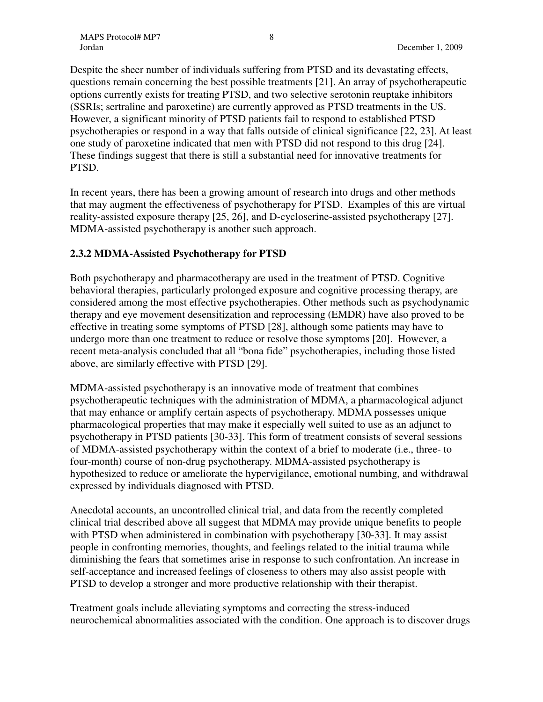Despite the sheer number of individuals suffering from PTSD and its devastating effects, questions remain concerning the best possible treatments [21]. An array of psychotherapeutic options currently exists for treating PTSD, and two selective serotonin reuptake inhibitors (SSRIs; sertraline and paroxetine) are currently approved as PTSD treatments in the US. However, a significant minority of PTSD patients fail to respond to established PTSD psychotherapies or respond in a way that falls outside of clinical significance [22, 23]. At least one study of paroxetine indicated that men with PTSD did not respond to this drug [24]. These findings suggest that there is still a substantial need for innovative treatments for PTSD.

In recent years, there has been a growing amount of research into drugs and other methods that may augment the effectiveness of psychotherapy for PTSD. Examples of this are virtual reality-assisted exposure therapy [25, 26], and D-cycloserine-assisted psychotherapy [27]. MDMA-assisted psychotherapy is another such approach.

# **2.3.2 MDMA-Assisted Psychotherapy for PTSD**

Both psychotherapy and pharmacotherapy are used in the treatment of PTSD. Cognitive behavioral therapies, particularly prolonged exposure and cognitive processing therapy, are considered among the most effective psychotherapies. Other methods such as psychodynamic therapy and eye movement desensitization and reprocessing (EMDR) have also proved to be effective in treating some symptoms of PTSD [28], although some patients may have to undergo more than one treatment to reduce or resolve those symptoms [20]. However, a recent meta-analysis concluded that all "bona fide" psychotherapies, including those listed above, are similarly effective with PTSD [29].

MDMA-assisted psychotherapy is an innovative mode of treatment that combines psychotherapeutic techniques with the administration of MDMA, a pharmacological adjunct that may enhance or amplify certain aspects of psychotherapy. MDMA possesses unique pharmacological properties that may make it especially well suited to use as an adjunct to psychotherapy in PTSD patients [30-33]. This form of treatment consists of several sessions of MDMA-assisted psychotherapy within the context of a brief to moderate (i.e., three- to four-month) course of non-drug psychotherapy. MDMA-assisted psychotherapy is hypothesized to reduce or ameliorate the hypervigilance, emotional numbing, and withdrawal expressed by individuals diagnosed with PTSD.

Anecdotal accounts, an uncontrolled clinical trial, and data from the recently completed clinical trial described above all suggest that MDMA may provide unique benefits to people with PTSD when administered in combination with psychotherapy [30-33]. It may assist people in confronting memories, thoughts, and feelings related to the initial trauma while diminishing the fears that sometimes arise in response to such confrontation. An increase in self-acceptance and increased feelings of closeness to others may also assist people with PTSD to develop a stronger and more productive relationship with their therapist.

Treatment goals include alleviating symptoms and correcting the stress-induced neurochemical abnormalities associated with the condition. One approach is to discover drugs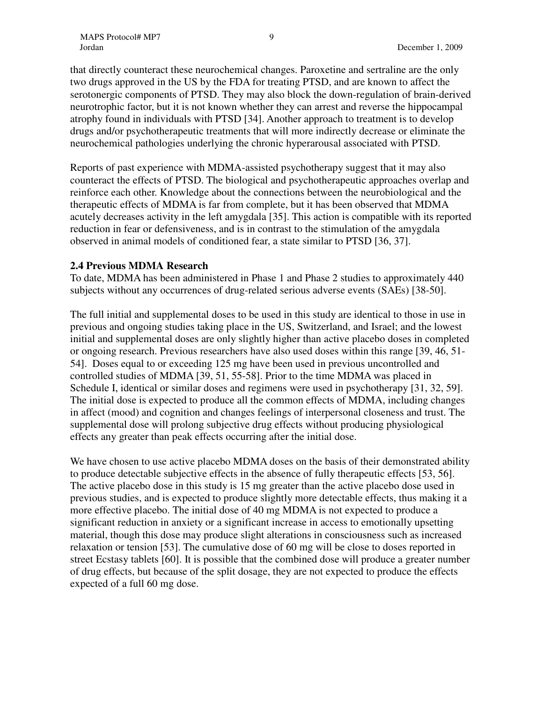that directly counteract these neurochemical changes. Paroxetine and sertraline are the only two drugs approved in the US by the FDA for treating PTSD, and are known to affect the serotonergic components of PTSD. They may also block the down-regulation of brain-derived neurotrophic factor, but it is not known whether they can arrest and reverse the hippocampal atrophy found in individuals with PTSD [34]. Another approach to treatment is to develop drugs and/or psychotherapeutic treatments that will more indirectly decrease or eliminate the neurochemical pathologies underlying the chronic hyperarousal associated with PTSD.

Reports of past experience with MDMA-assisted psychotherapy suggest that it may also counteract the effects of PTSD. The biological and psychotherapeutic approaches overlap and reinforce each other. Knowledge about the connections between the neurobiological and the therapeutic effects of MDMA is far from complete, but it has been observed that MDMA acutely decreases activity in the left amygdala [35]. This action is compatible with its reported reduction in fear or defensiveness, and is in contrast to the stimulation of the amygdala observed in animal models of conditioned fear, a state similar to PTSD [36, 37].

#### **2.4 Previous MDMA Research**

To date, MDMA has been administered in Phase 1 and Phase 2 studies to approximately 440 subjects without any occurrences of drug-related serious adverse events (SAEs) [38-50].

The full initial and supplemental doses to be used in this study are identical to those in use in previous and ongoing studies taking place in the US, Switzerland, and Israel; and the lowest initial and supplemental doses are only slightly higher than active placebo doses in completed or ongoing research. Previous researchers have also used doses within this range [39, 46, 51- 54]. Doses equal to or exceeding 125 mg have been used in previous uncontrolled and controlled studies of MDMA [39, 51, 55-58]. Prior to the time MDMA was placed in Schedule I, identical or similar doses and regimens were used in psychotherapy [31, 32, 59]. The initial dose is expected to produce all the common effects of MDMA, including changes in affect (mood) and cognition and changes feelings of interpersonal closeness and trust. The supplemental dose will prolong subjective drug effects without producing physiological effects any greater than peak effects occurring after the initial dose.

We have chosen to use active placebo MDMA doses on the basis of their demonstrated ability to produce detectable subjective effects in the absence of fully therapeutic effects [53, 56]. The active placebo dose in this study is 15 mg greater than the active placebo dose used in previous studies, and is expected to produce slightly more detectable effects, thus making it a more effective placebo. The initial dose of 40 mg MDMA is not expected to produce a significant reduction in anxiety or a significant increase in access to emotionally upsetting material, though this dose may produce slight alterations in consciousness such as increased relaxation or tension [53]. The cumulative dose of 60 mg will be close to doses reported in street Ecstasy tablets [60]. It is possible that the combined dose will produce a greater number of drug effects, but because of the split dosage, they are not expected to produce the effects expected of a full 60 mg dose.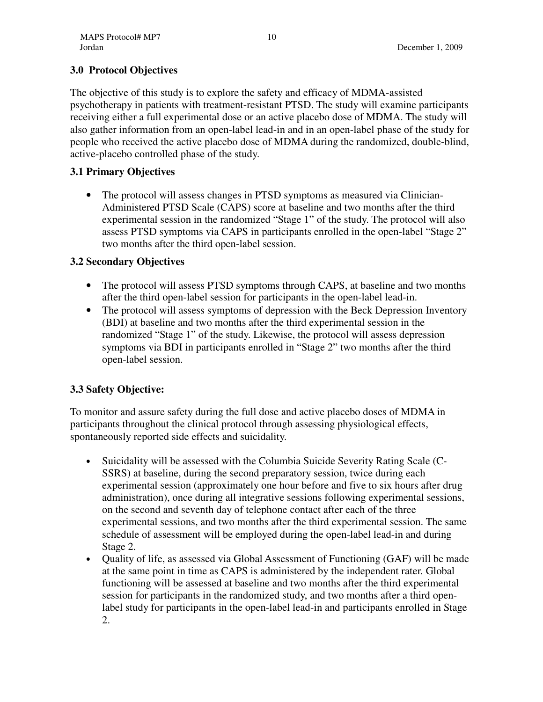# **3.0 Protocol Objectives**

The objective of this study is to explore the safety and efficacy of MDMA-assisted psychotherapy in patients with treatment-resistant PTSD. The study will examine participants receiving either a full experimental dose or an active placebo dose of MDMA. The study will also gather information from an open-label lead-in and in an open-label phase of the study for people who received the active placebo dose of MDMA during the randomized, double-blind, active-placebo controlled phase of the study.

# **3.1 Primary Objectives**

• The protocol will assess changes in PTSD symptoms as measured via Clinician-Administered PTSD Scale (CAPS) score at baseline and two months after the third experimental session in the randomized "Stage 1" of the study. The protocol will also assess PTSD symptoms via CAPS in participants enrolled in the open-label "Stage 2" two months after the third open-label session.

# **3.2 Secondary Objectives**

- The protocol will assess PTSD symptoms through CAPS, at baseline and two months after the third open-label session for participants in the open-label lead-in.
- The protocol will assess symptoms of depression with the Beck Depression Inventory (BDI) at baseline and two months after the third experimental session in the randomized "Stage 1" of the study. Likewise, the protocol will assess depression symptoms via BDI in participants enrolled in "Stage 2" two months after the third open-label session.

# **3.3 Safety Objective:**

To monitor and assure safety during the full dose and active placebo doses of MDMA in participants throughout the clinical protocol through assessing physiological effects, spontaneously reported side effects and suicidality.

- Suicidality will be assessed with the Columbia Suicide Severity Rating Scale (C-SSRS) at baseline, during the second preparatory session, twice during each experimental session (approximately one hour before and five to six hours after drug administration), once during all integrative sessions following experimental sessions, on the second and seventh day of telephone contact after each of the three experimental sessions, and two months after the third experimental session. The same schedule of assessment will be employed during the open-label lead-in and during Stage 2.
- Quality of life, as assessed via Global Assessment of Functioning (GAF) will be made at the same point in time as CAPS is administered by the independent rater. Global functioning will be assessed at baseline and two months after the third experimental session for participants in the randomized study, and two months after a third openlabel study for participants in the open-label lead-in and participants enrolled in Stage 2.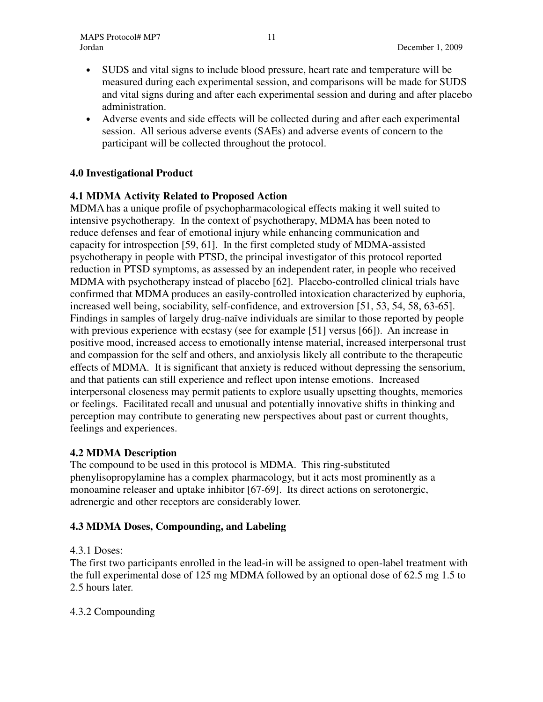- SUDS and vital signs to include blood pressure, heart rate and temperature will be measured during each experimental session, and comparisons will be made for SUDS and vital signs during and after each experimental session and during and after placebo administration.
- Adverse events and side effects will be collected during and after each experimental session. All serious adverse events (SAEs) and adverse events of concern to the participant will be collected throughout the protocol.

# **4.0 Investigational Product**

# **4.1 MDMA Activity Related to Proposed Action**

MDMA has a unique profile of psychopharmacological effects making it well suited to intensive psychotherapy. In the context of psychotherapy, MDMA has been noted to reduce defenses and fear of emotional injury while enhancing communication and capacity for introspection [59, 61]. In the first completed study of MDMA-assisted psychotherapy in people with PTSD, the principal investigator of this protocol reported reduction in PTSD symptoms, as assessed by an independent rater, in people who received MDMA with psychotherapy instead of placebo [62]. Placebo-controlled clinical trials have confirmed that MDMA produces an easily-controlled intoxication characterized by euphoria, increased well being, sociability, self-confidence, and extroversion [51, 53, 54, 58, 63-65]. Findings in samples of largely drug-naïve individuals are similar to those reported by people with previous experience with ecstasy (see for example [51] versus [66]). An increase in positive mood, increased access to emotionally intense material, increased interpersonal trust and compassion for the self and others, and anxiolysis likely all contribute to the therapeutic effects of MDMA. It is significant that anxiety is reduced without depressing the sensorium, and that patients can still experience and reflect upon intense emotions. Increased interpersonal closeness may permit patients to explore usually upsetting thoughts, memories or feelings. Facilitated recall and unusual and potentially innovative shifts in thinking and perception may contribute to generating new perspectives about past or current thoughts, feelings and experiences.

# **4.2 MDMA Description**

The compound to be used in this protocol is MDMA. This ring-substituted phenylisopropylamine has a complex pharmacology, but it acts most prominently as a monoamine releaser and uptake inhibitor [67-69]. Its direct actions on serotonergic, adrenergic and other receptors are considerably lower.

# **4.3 MDMA Doses, Compounding, and Labeling**

# 4.3.1 Doses:

The first two participants enrolled in the lead-in will be assigned to open-label treatment with the full experimental dose of 125 mg MDMA followed by an optional dose of 62.5 mg 1.5 to 2.5 hours later.

# 4.3.2 Compounding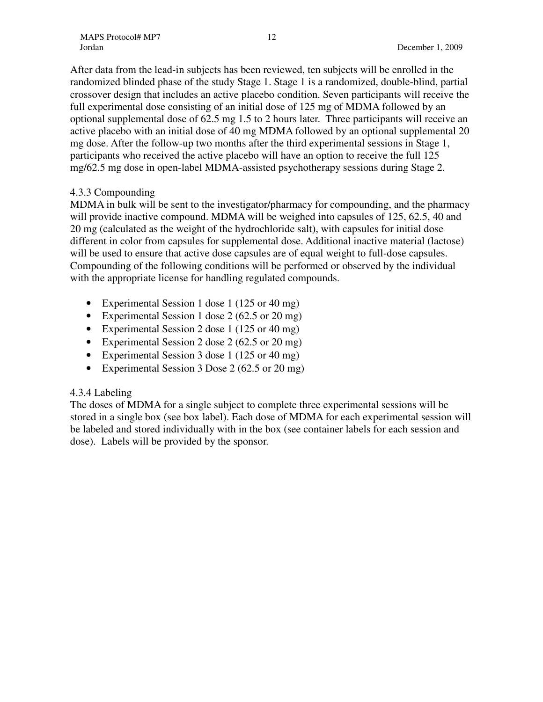After data from the lead-in subjects has been reviewed, ten subjects will be enrolled in the randomized blinded phase of the study Stage 1. Stage 1 is a randomized, double-blind, partial crossover design that includes an active placebo condition. Seven participants will receive the full experimental dose consisting of an initial dose of 125 mg of MDMA followed by an optional supplemental dose of 62.5 mg 1.5 to 2 hours later. Three participants will receive an active placebo with an initial dose of 40 mg MDMA followed by an optional supplemental 20 mg dose. After the follow-up two months after the third experimental sessions in Stage 1, participants who received the active placebo will have an option to receive the full 125 mg/62.5 mg dose in open-label MDMA-assisted psychotherapy sessions during Stage 2.

# 4.3.3 Compounding

MDMA in bulk will be sent to the investigator/pharmacy for compounding, and the pharmacy will provide inactive compound. MDMA will be weighed into capsules of 125, 62.5, 40 and 20 mg (calculated as the weight of the hydrochloride salt), with capsules for initial dose different in color from capsules for supplemental dose. Additional inactive material (lactose) will be used to ensure that active dose capsules are of equal weight to full-dose capsules. Compounding of the following conditions will be performed or observed by the individual with the appropriate license for handling regulated compounds.

- Experimental Session 1 dose 1 (125 or 40 mg)
- Experimental Session 1 dose 2 (62.5 or 20 mg)
- Experimental Session 2 dose 1 (125 or 40 mg)
- Experimental Session 2 dose 2 (62.5 or 20 mg)
- Experimental Session 3 dose 1 (125 or 40 mg)
- Experimental Session 3 Dose 2 (62.5 or 20 mg)

# 4.3.4 Labeling

The doses of MDMA for a single subject to complete three experimental sessions will be stored in a single box (see box label). Each dose of MDMA for each experimental session will be labeled and stored individually with in the box (see container labels for each session and dose). Labels will be provided by the sponsor.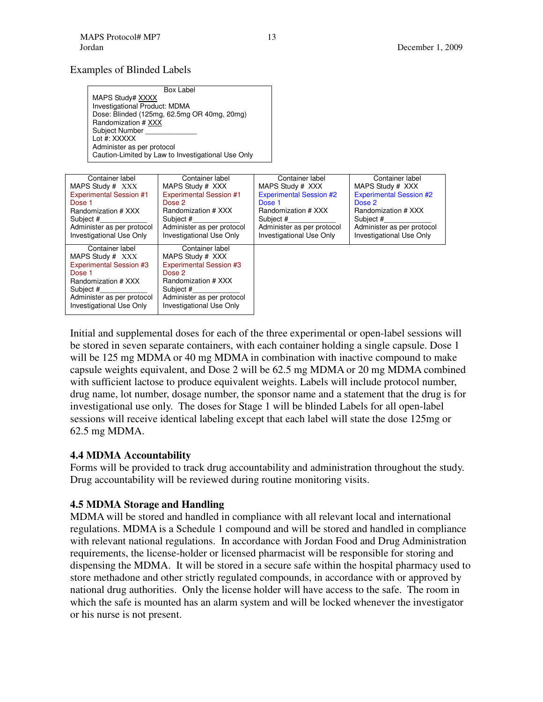#### Examples of Blinded Labels

| Box Label                                          |
|----------------------------------------------------|
| MAPS Study# XXXX                                   |
| <b>Investigational Product: MDMA</b>               |
| Dose: Blinded (125mg, 62.5mg OR 40mg, 20mg)        |
| Randomization # XXX                                |
| Subject Number                                     |
| Lot #: XXXXX                                       |
| Administer as per protocol                         |
| Caution-Limited by Law to Investigational Use Only |

| Container label                | Container label                | Container label                | Container label                |
|--------------------------------|--------------------------------|--------------------------------|--------------------------------|
| MAPS Study # XXX               | MAPS Study # XXX               | MAPS Study # XXX               | MAPS Study # XXX               |
| <b>Experimental Session #1</b> | <b>Experimental Session #1</b> | <b>Experimental Session #2</b> | <b>Experimental Session #2</b> |
| Dose 1                         | Dose 2                         | Dose 1                         | Dose 2                         |
| Randomization # XXX            | Randomization # XXX            | Randomization # XXX            | Randomization # XXX            |
| Subject #                      | Subject #                      | Subject #                      | Subject #                      |
| Administer as per protocol     | Administer as per protocol     | Administer as per protocol     | Administer as per protocol     |
| Investigational Use Only       | Investigational Use Only       | Investigational Use Only       | Investigational Use Only       |
| Container label                | Container label                |                                |                                |
| MAPS Study # XXX               | MAPS Study # XXX               |                                |                                |
| <b>Experimental Session #3</b> | <b>Experimental Session #3</b> |                                |                                |
| Dose 1                         | Dose 2                         |                                |                                |
| Randomization # XXX            | Randomization # XXX            |                                |                                |
| Subject #                      | Subject #                      |                                |                                |
| Administer as per protocol     | Administer as per protocol     |                                |                                |
| Investigational Use Only       | Investigational Use Only       |                                |                                |

Initial and supplemental doses for each of the three experimental or open-label sessions will be stored in seven separate containers, with each container holding a single capsule. Dose 1 will be 125 mg MDMA or 40 mg MDMA in combination with inactive compound to make capsule weights equivalent, and Dose 2 will be 62.5 mg MDMA or 20 mg MDMA combined with sufficient lactose to produce equivalent weights. Labels will include protocol number, drug name, lot number, dosage number, the sponsor name and a statement that the drug is for investigational use only. The doses for Stage 1 will be blinded Labels for all open-label sessions will receive identical labeling except that each label will state the dose 125mg or 62.5 mg MDMA.

#### **4.4 MDMA Accountability**

Forms will be provided to track drug accountability and administration throughout the study. Drug accountability will be reviewed during routine monitoring visits.

# **4.5 MDMA Storage and Handling**

MDMA will be stored and handled in compliance with all relevant local and international regulations. MDMA is a Schedule 1 compound and will be stored and handled in compliance with relevant national regulations. In accordance with Jordan Food and Drug Administration requirements, the license-holder or licensed pharmacist will be responsible for storing and dispensing the MDMA. It will be stored in a secure safe within the hospital pharmacy used to store methadone and other strictly regulated compounds, in accordance with or approved by national drug authorities. Only the license holder will have access to the safe. The room in which the safe is mounted has an alarm system and will be locked whenever the investigator or his nurse is not present.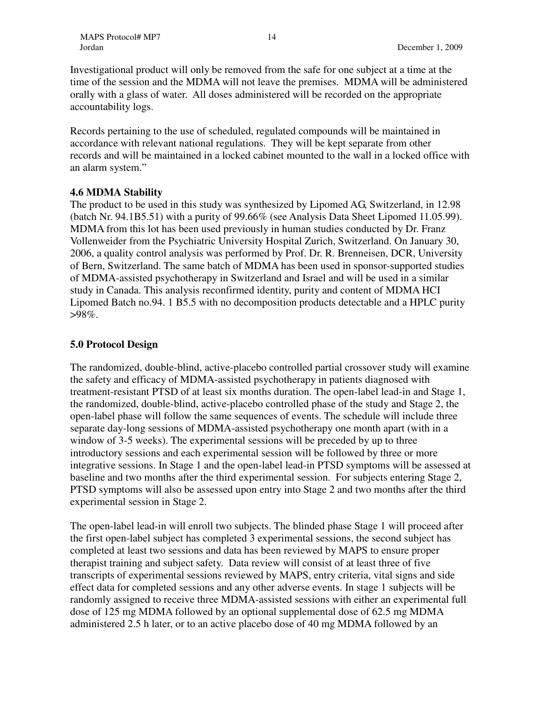Investigational product will only be removed from the safe for one subject at a time at the time of the session and the MDMA will not leave the premises. MDMA will be administered orally with a glass of water. All doses administered will be recorded on the appropriate accountability logs.

Records pertaining to the use of scheduled, regulated compounds will be maintained in accordance with relevant national regulations. They will be kept separate from other records and will be maintained in a locked cabinet mounted to the wall in a locked office with an alarm system."

#### **4.6 MDMA Stability**

The product to be used in this study was synthesized by Lipomed AG, Switzerland, in 12.98 (batch Nr. 94.1B5.51) with a purity of 99.66% (see Analysis Data Sheet Lipomed 11.05.99). MDMA from this lot has been used previously in human studies conducted by Dr. Franz Vollenweider from the Psychiatric University Hospital Zurich, Switzerland. On January 30, 2006, a quality control analysis was performed by Prof. Dr. R. Brenneisen, DCR, University of Bern, Switzerland. The same batch of MDMA has been used in sponsor-supported studies of MDMA-assisted psychotherapy in Switzerland and Israel and will be used in a similar study in Canada. This analysis reconfirmed identity, purity and content of MDMA HCI Lipomed Batch no.94. 1 B5.5 with no decomposition products detectable and a HPLC purity  $>98\%$ .

#### **5.0 Protocol Design**

The randomized, double-blind, active-placebo controlled partial crossover study will examine the safety and efficacy of MDMA-assisted psychotherapy in patients diagnosed with treatment-resistant PTSD of at least six months duration. The open-label lead-in and Stage 1, the randomized, double-blind, active-placebo controlled phase of the study and Stage 2, the open-label phase will follow the same sequences of events. The schedule will include three separate day-long sessions of MDMA-assisted psychotherapy one month apart (with in a window of 3-5 weeks). The experimental sessions will be preceded by up to three introductory sessions and each experimental session will be followed by three or more integrative sessions. In Stage 1 and the open-label lead-in PTSD symptoms will be assessed at baseline and two months after the third experimental session. For subjects entering Stage 2, PTSD symptoms will also be assessed upon entry into Stage 2 and two months after the third experimental session in Stage 2.

The open-label lead-in will enroll two subjects. The blinded phase Stage 1 will proceed after the first open-label subject has completed 3 experimental sessions, the second subject has completed at least two sessions and data has been reviewed by MAPS to ensure proper therapist training and subject safety. Data review will consist of at least three of five transcripts of experimental sessions reviewed by MAPS, entry criteria, vital signs and side effect data for completed sessions and any other adverse events. In stage 1 subjects will be randomly assigned to receive three MDMA-assisted sessions with either an experimental full dose of 125 mg MDMA followed by an optional supplemental dose of 62.5 mg MDMA administered 2.5 h later, or to an active placebo dose of 40 mg MDMA followed by an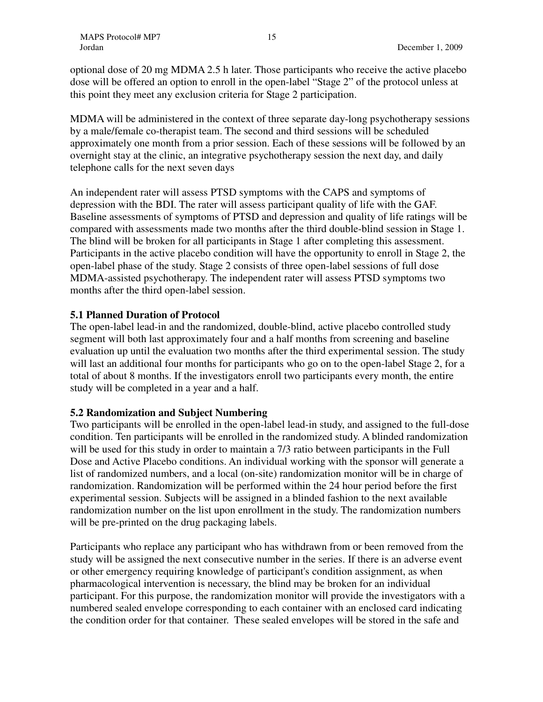optional dose of 20 mg MDMA 2.5 h later. Those participants who receive the active placebo dose will be offered an option to enroll in the open-label "Stage 2" of the protocol unless at this point they meet any exclusion criteria for Stage 2 participation.

MDMA will be administered in the context of three separate day-long psychotherapy sessions by a male/female co-therapist team. The second and third sessions will be scheduled approximately one month from a prior session. Each of these sessions will be followed by an overnight stay at the clinic, an integrative psychotherapy session the next day, and daily telephone calls for the next seven days

An independent rater will assess PTSD symptoms with the CAPS and symptoms of depression with the BDI. The rater will assess participant quality of life with the GAF. Baseline assessments of symptoms of PTSD and depression and quality of life ratings will be compared with assessments made two months after the third double-blind session in Stage 1. The blind will be broken for all participants in Stage 1 after completing this assessment. Participants in the active placebo condition will have the opportunity to enroll in Stage 2, the open-label phase of the study. Stage 2 consists of three open-label sessions of full dose MDMA-assisted psychotherapy. The independent rater will assess PTSD symptoms two months after the third open-label session.

#### **5.1 Planned Duration of Protocol**

The open-label lead-in and the randomized, double-blind, active placebo controlled study segment will both last approximately four and a half months from screening and baseline evaluation up until the evaluation two months after the third experimental session. The study will last an additional four months for participants who go on to the open-label Stage 2, for a total of about 8 months. If the investigators enroll two participants every month, the entire study will be completed in a year and a half.

#### **5.2 Randomization and Subject Numbering**

Two participants will be enrolled in the open-label lead-in study, and assigned to the full-dose condition. Ten participants will be enrolled in the randomized study. A blinded randomization will be used for this study in order to maintain a 7/3 ratio between participants in the Full Dose and Active Placebo conditions. An individual working with the sponsor will generate a list of randomized numbers, and a local (on-site) randomization monitor will be in charge of randomization. Randomization will be performed within the 24 hour period before the first experimental session. Subjects will be assigned in a blinded fashion to the next available randomization number on the list upon enrollment in the study. The randomization numbers will be pre-printed on the drug packaging labels.

Participants who replace any participant who has withdrawn from or been removed from the study will be assigned the next consecutive number in the series. If there is an adverse event or other emergency requiring knowledge of participant's condition assignment, as when pharmacological intervention is necessary, the blind may be broken for an individual participant. For this purpose, the randomization monitor will provide the investigators with a numbered sealed envelope corresponding to each container with an enclosed card indicating the condition order for that container. These sealed envelopes will be stored in the safe and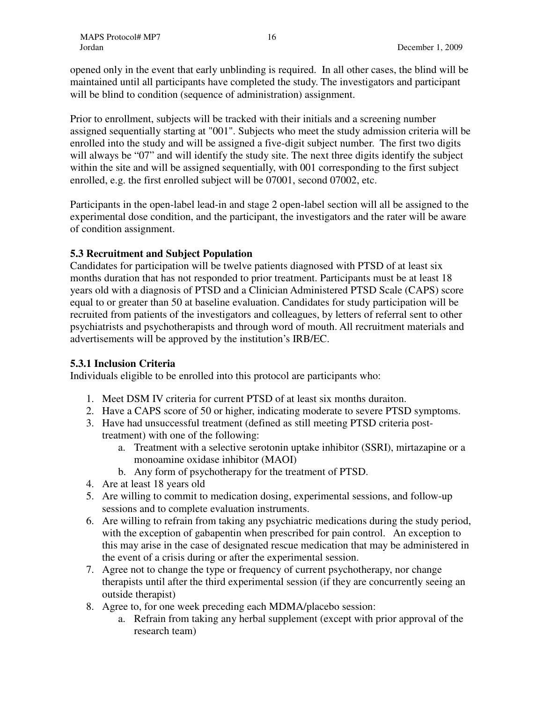opened only in the event that early unblinding is required. In all other cases, the blind will be maintained until all participants have completed the study. The investigators and participant will be blind to condition (sequence of administration) assignment.

Prior to enrollment, subjects will be tracked with their initials and a screening number assigned sequentially starting at "001". Subjects who meet the study admission criteria will be enrolled into the study and will be assigned a five-digit subject number. The first two digits will always be "07" and will identify the study site. The next three digits identify the subject within the site and will be assigned sequentially, with 001 corresponding to the first subject enrolled, e.g. the first enrolled subject will be 07001, second 07002, etc.

Participants in the open-label lead-in and stage 2 open-label section will all be assigned to the experimental dose condition, and the participant, the investigators and the rater will be aware of condition assignment.

# **5.3 Recruitment and Subject Population**

Candidates for participation will be twelve patients diagnosed with PTSD of at least six months duration that has not responded to prior treatment. Participants must be at least 18 years old with a diagnosis of PTSD and a Clinician Administered PTSD Scale (CAPS) score equal to or greater than 50 at baseline evaluation. Candidates for study participation will be recruited from patients of the investigators and colleagues, by letters of referral sent to other psychiatrists and psychotherapists and through word of mouth. All recruitment materials and advertisements will be approved by the institution's IRB/EC.

# **5.3.1 Inclusion Criteria**

Individuals eligible to be enrolled into this protocol are participants who:

- 1. Meet DSM IV criteria for current PTSD of at least six months duraiton.
- 2. Have a CAPS score of 50 or higher, indicating moderate to severe PTSD symptoms.
- 3. Have had unsuccessful treatment (defined as still meeting PTSD criteria posttreatment) with one of the following:
	- a. Treatment with a selective serotonin uptake inhibitor (SSRI), mirtazapine or a monoamine oxidase inhibitor (MAOI)
	- b. Any form of psychotherapy for the treatment of PTSD.
- 4. Are at least 18 years old
- 5. Are willing to commit to medication dosing, experimental sessions, and follow-up sessions and to complete evaluation instruments.
- 6. Are willing to refrain from taking any psychiatric medications during the study period, with the exception of gabapentin when prescribed for pain control. An exception to this may arise in the case of designated rescue medication that may be administered in the event of a crisis during or after the experimental session.
- 7. Agree not to change the type or frequency of current psychotherapy, nor change therapists until after the third experimental session (if they are concurrently seeing an outside therapist)
- 8. Agree to, for one week preceding each MDMA/placebo session:
	- a. Refrain from taking any herbal supplement (except with prior approval of the research team)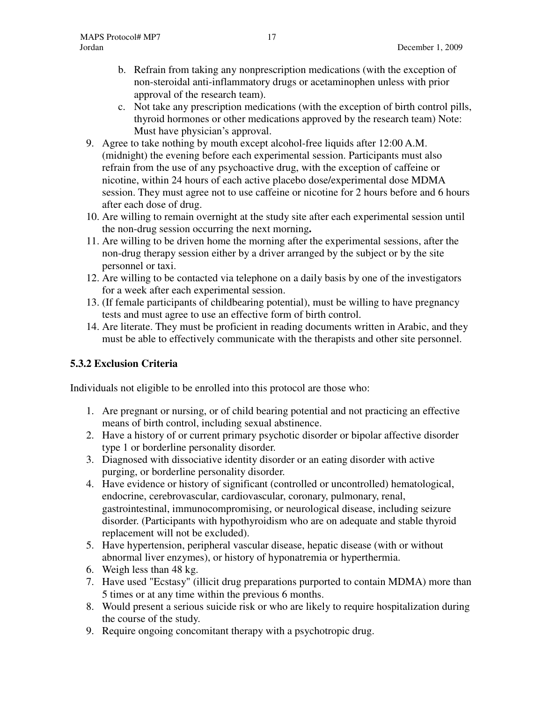- b. Refrain from taking any nonprescription medications (with the exception of non-steroidal anti-inflammatory drugs or acetaminophen unless with prior approval of the research team).
- c. Not take any prescription medications (with the exception of birth control pills, thyroid hormones or other medications approved by the research team) Note: Must have physician's approval.
- 9. Agree to take nothing by mouth except alcohol-free liquids after 12:00 A.M. (midnight) the evening before each experimental session. Participants must also refrain from the use of any psychoactive drug, with the exception of caffeine or nicotine, within 24 hours of each active placebo dose/experimental dose MDMA session. They must agree not to use caffeine or nicotine for 2 hours before and 6 hours after each dose of drug.
- 10. Are willing to remain overnight at the study site after each experimental session until the non-drug session occurring the next morning**.**
- 11. Are willing to be driven home the morning after the experimental sessions, after the non-drug therapy session either by a driver arranged by the subject or by the site personnel or taxi.
- 12. Are willing to be contacted via telephone on a daily basis by one of the investigators for a week after each experimental session.
- 13. (If female participants of childbearing potential), must be willing to have pregnancy tests and must agree to use an effective form of birth control.
- 14. Are literate. They must be proficient in reading documents written in Arabic, and they must be able to effectively communicate with the therapists and other site personnel.

# **5.3.2 Exclusion Criteria**

Individuals not eligible to be enrolled into this protocol are those who:

- 1. Are pregnant or nursing, or of child bearing potential and not practicing an effective means of birth control, including sexual abstinence.
- 2. Have a history of or current primary psychotic disorder or bipolar affective disorder type 1 or borderline personality disorder.
- 3. Diagnosed with dissociative identity disorder or an eating disorder with active purging, or borderline personality disorder.
- 4. Have evidence or history of significant (controlled or uncontrolled) hematological, endocrine, cerebrovascular, cardiovascular, coronary, pulmonary, renal, gastrointestinal, immunocompromising, or neurological disease, including seizure disorder. (Participants with hypothyroidism who are on adequate and stable thyroid replacement will not be excluded).
- 5. Have hypertension, peripheral vascular disease, hepatic disease (with or without abnormal liver enzymes), or history of hyponatremia or hyperthermia.
- 6. Weigh less than 48 kg.
- 7. Have used "Ecstasy" (illicit drug preparations purported to contain MDMA) more than 5 times or at any time within the previous 6 months.
- 8. Would present a serious suicide risk or who are likely to require hospitalization during the course of the study.
- 9. Require ongoing concomitant therapy with a psychotropic drug.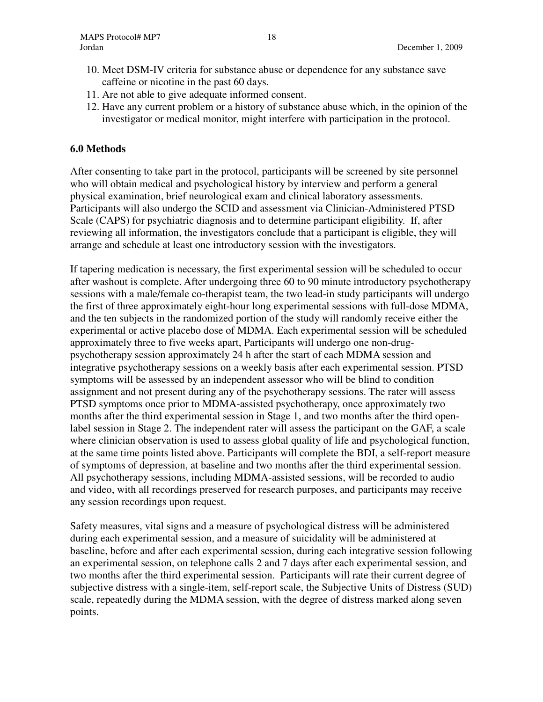- 10. Meet DSM-IV criteria for substance abuse or dependence for any substance save caffeine or nicotine in the past 60 days.
- 11. Are not able to give adequate informed consent.
- 12. Have any current problem or a history of substance abuse which, in the opinion of the investigator or medical monitor, might interfere with participation in the protocol.

### **6.0 Methods**

After consenting to take part in the protocol, participants will be screened by site personnel who will obtain medical and psychological history by interview and perform a general physical examination, brief neurological exam and clinical laboratory assessments. Participants will also undergo the SCID and assessment via Clinician-Administered PTSD Scale (CAPS) for psychiatric diagnosis and to determine participant eligibility. If, after reviewing all information, the investigators conclude that a participant is eligible, they will arrange and schedule at least one introductory session with the investigators.

If tapering medication is necessary, the first experimental session will be scheduled to occur after washout is complete. After undergoing three 60 to 90 minute introductory psychotherapy sessions with a male/female co-therapist team, the two lead-in study participants will undergo the first of three approximately eight-hour long experimental sessions with full-dose MDMA, and the ten subjects in the randomized portion of the study will randomly receive either the experimental or active placebo dose of MDMA. Each experimental session will be scheduled approximately three to five weeks apart, Participants will undergo one non-drugpsychotherapy session approximately 24 h after the start of each MDMA session and integrative psychotherapy sessions on a weekly basis after each experimental session. PTSD symptoms will be assessed by an independent assessor who will be blind to condition assignment and not present during any of the psychotherapy sessions. The rater will assess PTSD symptoms once prior to MDMA-assisted psychotherapy, once approximately two months after the third experimental session in Stage 1, and two months after the third openlabel session in Stage 2. The independent rater will assess the participant on the GAF, a scale where clinician observation is used to assess global quality of life and psychological function, at the same time points listed above. Participants will complete the BDI, a self-report measure of symptoms of depression, at baseline and two months after the third experimental session. All psychotherapy sessions, including MDMA-assisted sessions, will be recorded to audio and video, with all recordings preserved for research purposes, and participants may receive any session recordings upon request.

Safety measures, vital signs and a measure of psychological distress will be administered during each experimental session, and a measure of suicidality will be administered at baseline, before and after each experimental session, during each integrative session following an experimental session, on telephone calls 2 and 7 days after each experimental session, and two months after the third experimental session. Participants will rate their current degree of subjective distress with a single-item, self-report scale, the Subjective Units of Distress (SUD) scale, repeatedly during the MDMA session, with the degree of distress marked along seven points.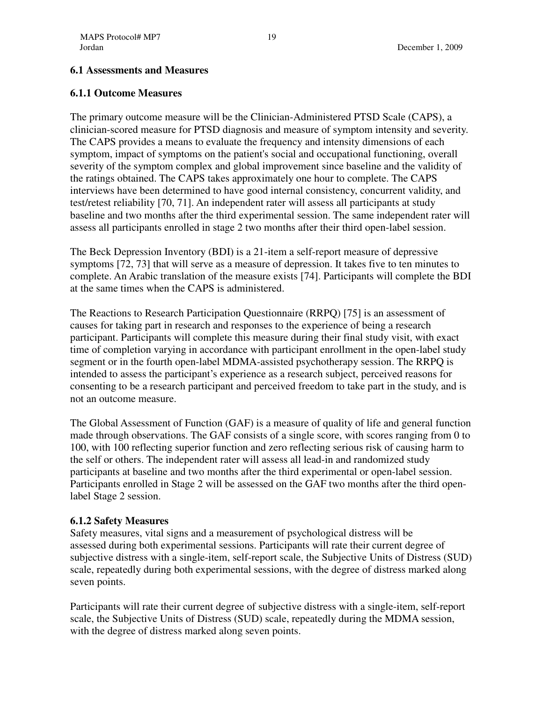### **6.1 Assessments and Measures**

### **6.1.1 Outcome Measures**

The primary outcome measure will be the Clinician-Administered PTSD Scale (CAPS), a clinician-scored measure for PTSD diagnosis and measure of symptom intensity and severity. The CAPS provides a means to evaluate the frequency and intensity dimensions of each symptom, impact of symptoms on the patient's social and occupational functioning, overall severity of the symptom complex and global improvement since baseline and the validity of the ratings obtained. The CAPS takes approximately one hour to complete. The CAPS interviews have been determined to have good internal consistency, concurrent validity, and test/retest reliability [70, 71]. An independent rater will assess all participants at study baseline and two months after the third experimental session. The same independent rater will assess all participants enrolled in stage 2 two months after their third open-label session.

The Beck Depression Inventory (BDI) is a 21-item a self-report measure of depressive symptoms [72, 73] that will serve as a measure of depression. It takes five to ten minutes to complete. An Arabic translation of the measure exists [74]. Participants will complete the BDI at the same times when the CAPS is administered.

The Reactions to Research Participation Questionnaire (RRPQ) [75] is an assessment of causes for taking part in research and responses to the experience of being a research participant. Participants will complete this measure during their final study visit, with exact time of completion varying in accordance with participant enrollment in the open-label study segment or in the fourth open-label MDMA-assisted psychotherapy session. The RRPQ is intended to assess the participant's experience as a research subject, perceived reasons for consenting to be a research participant and perceived freedom to take part in the study, and is not an outcome measure.

The Global Assessment of Function (GAF) is a measure of quality of life and general function made through observations. The GAF consists of a single score, with scores ranging from 0 to 100, with 100 reflecting superior function and zero reflecting serious risk of causing harm to the self or others. The independent rater will assess all lead-in and randomized study participants at baseline and two months after the third experimental or open-label session. Participants enrolled in Stage 2 will be assessed on the GAF two months after the third openlabel Stage 2 session.

#### **6.1.2 Safety Measures**

Safety measures, vital signs and a measurement of psychological distress will be assessed during both experimental sessions. Participants will rate their current degree of subjective distress with a single-item, self-report scale, the Subjective Units of Distress (SUD) scale, repeatedly during both experimental sessions, with the degree of distress marked along seven points.

Participants will rate their current degree of subjective distress with a single-item, self-report scale, the Subjective Units of Distress (SUD) scale, repeatedly during the MDMA session, with the degree of distress marked along seven points.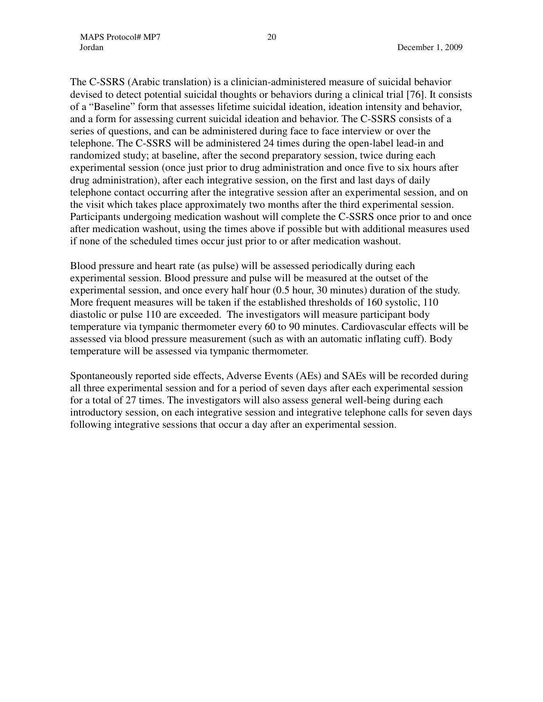The C-SSRS (Arabic translation) is a clinician-administered measure of suicidal behavior devised to detect potential suicidal thoughts or behaviors during a clinical trial [76]. It consists of a "Baseline" form that assesses lifetime suicidal ideation, ideation intensity and behavior, and a form for assessing current suicidal ideation and behavior. The C-SSRS consists of a series of questions, and can be administered during face to face interview or over the telephone. The C-SSRS will be administered 24 times during the open-label lead-in and randomized study; at baseline, after the second preparatory session, twice during each experimental session (once just prior to drug administration and once five to six hours after drug administration), after each integrative session, on the first and last days of daily telephone contact occurring after the integrative session after an experimental session, and on the visit which takes place approximately two months after the third experimental session. Participants undergoing medication washout will complete the C-SSRS once prior to and once after medication washout, using the times above if possible but with additional measures used if none of the scheduled times occur just prior to or after medication washout.

Blood pressure and heart rate (as pulse) will be assessed periodically during each experimental session. Blood pressure and pulse will be measured at the outset of the experimental session, and once every half hour (0.5 hour, 30 minutes) duration of the study. More frequent measures will be taken if the established thresholds of 160 systolic, 110 diastolic or pulse 110 are exceeded. The investigators will measure participant body temperature via tympanic thermometer every 60 to 90 minutes. Cardiovascular effects will be assessed via blood pressure measurement (such as with an automatic inflating cuff). Body temperature will be assessed via tympanic thermometer.

Spontaneously reported side effects, Adverse Events (AEs) and SAEs will be recorded during all three experimental session and for a period of seven days after each experimental session for a total of 27 times. The investigators will also assess general well-being during each introductory session, on each integrative session and integrative telephone calls for seven days following integrative sessions that occur a day after an experimental session.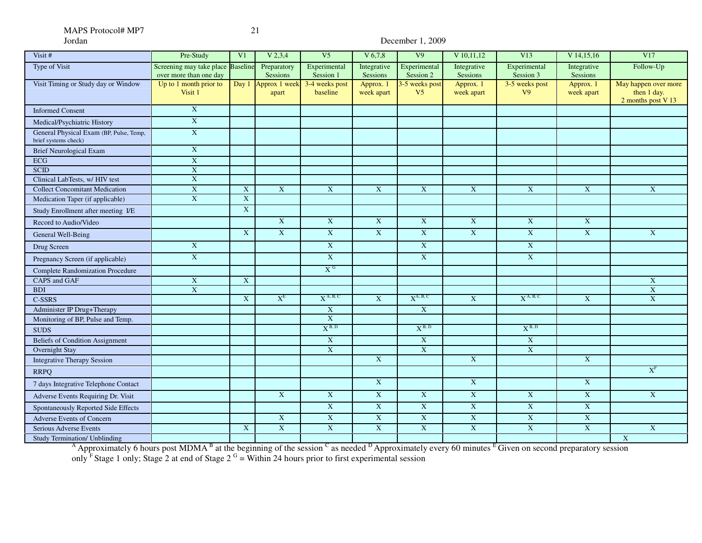# December 1, 2009

| Visit #                                                         | Pre-Study                                                   | V <sub>1</sub> | V 2, 3, 4                    | V <sub>5</sub>             | $V$ 6,7,8                 | V <sub>9</sub>                   | V 10,11,12                | V13                              | $V$ 14,15,16              | V17                                                       |
|-----------------------------------------------------------------|-------------------------------------------------------------|----------------|------------------------------|----------------------------|---------------------------|----------------------------------|---------------------------|----------------------------------|---------------------------|-----------------------------------------------------------|
| <b>Type of Visit</b>                                            | Screening may take place Baseline<br>over more than one day |                | Preparatory<br>Sessions      | Experimental<br>Session 1  | Integrative<br>Sessions   | Experimental<br>Session 2        | Integrative<br>Sessions   | Experimental<br>Session 3        | Integrative<br>Sessions   | Follow-Up                                                 |
| Visit Timing or Study day or Window                             | Up to 1 month prior to<br>Visit 1                           |                | Day 1 Approx 1 week<br>apart | 3-4 weeks post<br>baseline | Approx. 1<br>week apart   | 3-5 weeks post<br>V <sub>5</sub> | Approx. 1<br>week apart   | 3-5 weeks post<br>V <sub>9</sub> | Approx. 1<br>week apart   | May happen over more<br>then 1 day.<br>2 months post V 13 |
| <b>Informed Consent</b>                                         | $\overline{\textbf{X}}$                                     |                |                              |                            |                           |                                  |                           |                                  |                           |                                                           |
| Medical/Psychiatric History                                     | $\mathbf X$                                                 |                |                              |                            |                           |                                  |                           |                                  |                           |                                                           |
| General Physical Exam (BP, Pulse, Temp,<br>brief systems check) | $\mathbf{X}$                                                |                |                              |                            |                           |                                  |                           |                                  |                           |                                                           |
| <b>Brief Neurological Exam</b>                                  | $\mathbf{X}$                                                |                |                              |                            |                           |                                  |                           |                                  |                           |                                                           |
| ECG                                                             | $\mathbf X$                                                 |                |                              |                            |                           |                                  |                           |                                  |                           |                                                           |
| SCID                                                            | $\mathbf X$                                                 |                |                              |                            |                           |                                  |                           |                                  |                           |                                                           |
| Clinical LabTests, w/ HIV test                                  | $\overline{X}$                                              |                |                              |                            |                           |                                  |                           |                                  |                           |                                                           |
| <b>Collect Concomitant Medication</b>                           | $\mathbf X$                                                 | $\mathbf{X}$   | $\mathbf{X}$                 | $\overline{X}$             | $\mathbf X$               | $\mathbf X$                      | $\mathbf{X}$              | $\mathbf{X}$                     | $\mathbf{X}$              | $\mathbf X$                                               |
| Medication Taper (if applicable)                                | $\overline{\textbf{X}}$                                     | $\mathbf X$    |                              |                            |                           |                                  |                           |                                  |                           |                                                           |
| Study Enrollment after meeting I/E                              |                                                             | $\mathbf X$    |                              |                            |                           |                                  |                           |                                  |                           |                                                           |
| Record to Audio/Video                                           |                                                             |                | $\overline{X}$               | $\mathbf X$                | $\overline{X}$            | $\mathbf X$                      | $\overline{X}$            | $\mathbf X$                      | $\mathbf X$               |                                                           |
| General Well-Being                                              |                                                             | $\mathbf{X}$   | $\overline{X}$               | $\mathbf{X}$               | $\boldsymbol{\mathrm{X}}$ | $\mathbf X$                      | $\boldsymbol{\mathrm{X}}$ | $\mathbf X$                      | $\mathbf X$               | $\mathbf X$                                               |
| Drug Screen                                                     | $\mathbf{X}$                                                |                |                              | $\mathbf{X}$               |                           | $\mathbf X$                      |                           | $\mathbf X$                      |                           |                                                           |
| Pregnancy Screen (if applicable)                                | $\overline{X}$                                              |                |                              | X                          |                           | $\mathbf{X}$                     |                           | $\mathbf{X}$                     |                           |                                                           |
| <b>Complete Randomization Procedure</b>                         |                                                             |                |                              | X <sup>G</sup>             |                           |                                  |                           |                                  |                           |                                                           |
| <b>CAPS</b> and GAF                                             | $\mathbf X$                                                 | $\mathbf{X}$   |                              |                            |                           |                                  |                           |                                  |                           | $\mathbf X$                                               |
| <b>BDI</b>                                                      | $\boldsymbol{\mathrm{X}}$                                   |                |                              |                            |                           |                                  |                           |                                  |                           | $\overline{\text{X}}$                                     |
| C-SSRS                                                          |                                                             | $\overline{X}$ | $X^E$                        | $X^{A, B, C}$              | $\overline{X}$            | $X^{A, B, C}$                    | X                         | $X^{A, B, C}$                    | $\overline{X}$            | $\overline{\text{X}}$                                     |
| Administer IP Drug+Therapy                                      |                                                             |                |                              | $\mathbf X$                |                           | $\overline{\textbf{X}}$          |                           |                                  |                           |                                                           |
| Monitoring of BP, Pulse and Temp.                               |                                                             |                |                              | $\overline{X}$             |                           |                                  |                           |                                  |                           |                                                           |
| <b>SUDS</b>                                                     |                                                             |                |                              | $X^{B, D}$                 |                           | $X^{B, D}$                       |                           | $X^{B, D}$                       |                           |                                                           |
| <b>Beliefs of Condition Assignment</b>                          |                                                             |                |                              | $\overline{X}$             |                           | $\mathbf X$                      |                           | $\mathbf X$                      |                           |                                                           |
| Overnight Stay                                                  |                                                             |                |                              | $\mathbf X$                |                           | $\mathbf X$                      |                           | $\mathbf X$                      |                           |                                                           |
| <b>Integrative Therapy Session</b>                              |                                                             |                |                              |                            | $\overline{X}$            |                                  | $\overline{X}$            |                                  | $\overline{\text{X}}$     |                                                           |
| <b>RRPO</b>                                                     |                                                             |                |                              |                            |                           |                                  |                           |                                  |                           | $X^F$                                                     |
| 7 days Integrative Telephone Contact                            |                                                             |                |                              |                            | $\mathbf X$               |                                  | $\mathbf X$               |                                  | $\mathbf{X}$              |                                                           |
| Adverse Events Requiring Dr. Visit                              |                                                             |                | $\mathbf X$                  | $\mathbf X$                | $\mathbf X$               | $\mathbf X$                      | $\mathbf X$               | $\mathbf X$                      | $\overline{\text{X}}$     | $\mathbf X$                                               |
| Spontaneously Reported Side Effects                             |                                                             |                |                              | X                          | $\overline{X}$            | $\mathbf X$                      | $\mathbf X$               | $\mathbf X$                      | $\mathbf X$               |                                                           |
| <b>Adverse Events of Concern</b>                                |                                                             |                | $\mathbf X$                  | $\mathbf{X}$               | $\mathbf X$               | $\mathbf X$                      | $\mathbf X$               | $\mathbf X$                      | $\boldsymbol{\mathrm{X}}$ |                                                           |
| Serious Adverse Events                                          |                                                             | $\mathbf X$    | $\overline{\textbf{X}}$      | $\overline{\textbf{X}}$    | $\overline{\textbf{X}}$   | $\overline{\textbf{X}}$          | $\overline{\textbf{X}}$   | $\overline{\textbf{X}}$          | $\mathbf X$               | $\mathbf X$                                               |
| Study Termination/ Unblinding                                   |                                                             |                |                              |                            |                           |                                  |                           |                                  |                           | $\overline{\textbf{X}}$                                   |

<sup>A</sup> Approximately 6 hours post MDMA<sup>B</sup> at the beginning of the session  $\textdegree$  as needed  $\textdegree$  Approximately every 60 minutes  $\textdegree$  Given on second preparatory session only <sup>F</sup> Stage 1 only; Stage 2 at end of Stage 2  $G =$  Within 24 hours prior to first experimental session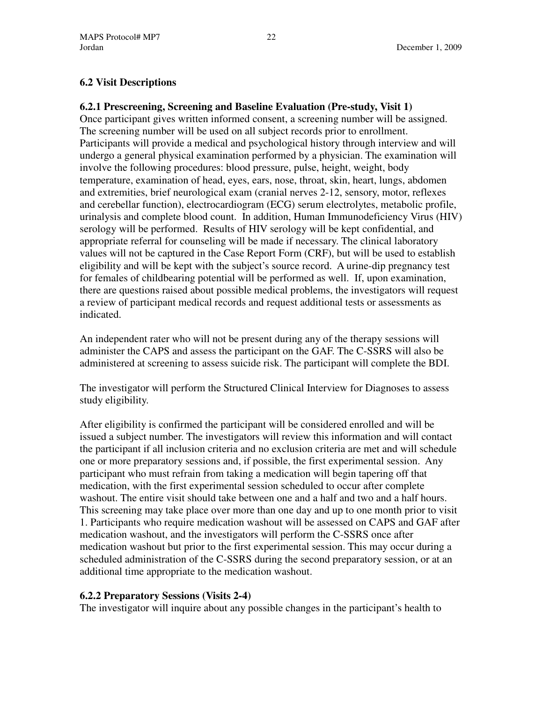# **6.2 Visit Descriptions**

### **6.2.1 Prescreening, Screening and Baseline Evaluation (Pre-study, Visit 1)**

Once participant gives written informed consent, a screening number will be assigned. The screening number will be used on all subject records prior to enrollment. Participants will provide a medical and psychological history through interview and will undergo a general physical examination performed by a physician. The examination will involve the following procedures: blood pressure, pulse, height, weight, body temperature, examination of head, eyes, ears, nose, throat, skin, heart, lungs, abdomen and extremities, brief neurological exam (cranial nerves 2-12, sensory, motor, reflexes and cerebellar function), electrocardiogram (ECG) serum electrolytes, metabolic profile, urinalysis and complete blood count. In addition, Human Immunodeficiency Virus (HIV) serology will be performed. Results of HIV serology will be kept confidential, and appropriate referral for counseling will be made if necessary. The clinical laboratory values will not be captured in the Case Report Form (CRF), but will be used to establish eligibility and will be kept with the subject's source record. A urine-dip pregnancy test for females of childbearing potential will be performed as well. If, upon examination, there are questions raised about possible medical problems, the investigators will request a review of participant medical records and request additional tests or assessments as indicated.

An independent rater who will not be present during any of the therapy sessions will administer the CAPS and assess the participant on the GAF. The C-SSRS will also be administered at screening to assess suicide risk. The participant will complete the BDI.

The investigator will perform the Structured Clinical Interview for Diagnoses to assess study eligibility.

After eligibility is confirmed the participant will be considered enrolled and will be issued a subject number. The investigators will review this information and will contact the participant if all inclusion criteria and no exclusion criteria are met and will schedule one or more preparatory sessions and, if possible, the first experimental session. Any participant who must refrain from taking a medication will begin tapering off that medication, with the first experimental session scheduled to occur after complete washout. The entire visit should take between one and a half and two and a half hours. This screening may take place over more than one day and up to one month prior to visit 1. Participants who require medication washout will be assessed on CAPS and GAF after medication washout, and the investigators will perform the C-SSRS once after medication washout but prior to the first experimental session. This may occur during a scheduled administration of the C-SSRS during the second preparatory session, or at an additional time appropriate to the medication washout.

# **6.2.2 Preparatory Sessions (Visits 2-4)**

The investigator will inquire about any possible changes in the participant's health to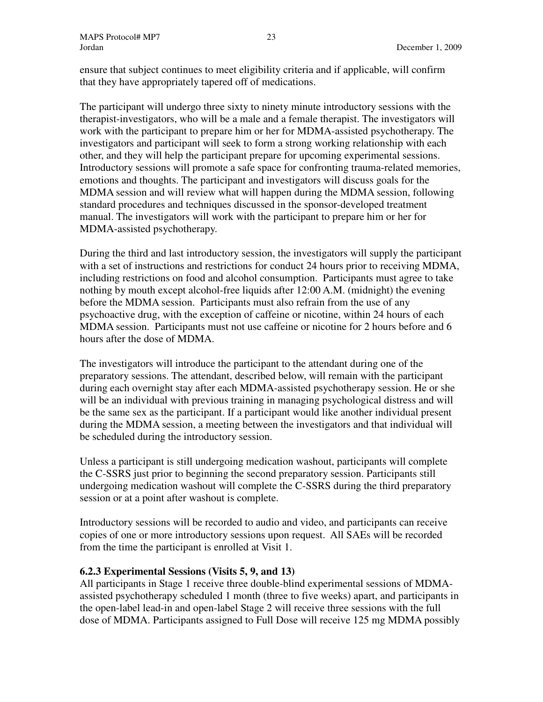ensure that subject continues to meet eligibility criteria and if applicable, will confirm that they have appropriately tapered off of medications.

The participant will undergo three sixty to ninety minute introductory sessions with the therapist-investigators, who will be a male and a female therapist. The investigators will work with the participant to prepare him or her for MDMA-assisted psychotherapy. The investigators and participant will seek to form a strong working relationship with each other, and they will help the participant prepare for upcoming experimental sessions. Introductory sessions will promote a safe space for confronting trauma-related memories, emotions and thoughts. The participant and investigators will discuss goals for the MDMA session and will review what will happen during the MDMA session, following standard procedures and techniques discussed in the sponsor-developed treatment manual. The investigators will work with the participant to prepare him or her for MDMA-assisted psychotherapy.

During the third and last introductory session, the investigators will supply the participant with a set of instructions and restrictions for conduct 24 hours prior to receiving MDMA, including restrictions on food and alcohol consumption. Participants must agree to take nothing by mouth except alcohol-free liquids after 12:00 A.M. (midnight) the evening before the MDMA session. Participants must also refrain from the use of any psychoactive drug, with the exception of caffeine or nicotine, within 24 hours of each MDMA session. Participants must not use caffeine or nicotine for 2 hours before and 6 hours after the dose of MDMA.

The investigators will introduce the participant to the attendant during one of the preparatory sessions. The attendant, described below, will remain with the participant during each overnight stay after each MDMA-assisted psychotherapy session. He or she will be an individual with previous training in managing psychological distress and will be the same sex as the participant. If a participant would like another individual present during the MDMA session, a meeting between the investigators and that individual will be scheduled during the introductory session.

Unless a participant is still undergoing medication washout, participants will complete the C-SSRS just prior to beginning the second preparatory session. Participants still undergoing medication washout will complete the C-SSRS during the third preparatory session or at a point after washout is complete.

Introductory sessions will be recorded to audio and video, and participants can receive copies of one or more introductory sessions upon request. All SAEs will be recorded from the time the participant is enrolled at Visit 1.

# **6.2.3 Experimental Sessions (Visits 5, 9, and 13)**

All participants in Stage 1 receive three double-blind experimental sessions of MDMAassisted psychotherapy scheduled 1 month (three to five weeks) apart, and participants in the open-label lead-in and open-label Stage 2 will receive three sessions with the full dose of MDMA. Participants assigned to Full Dose will receive 125 mg MDMA possibly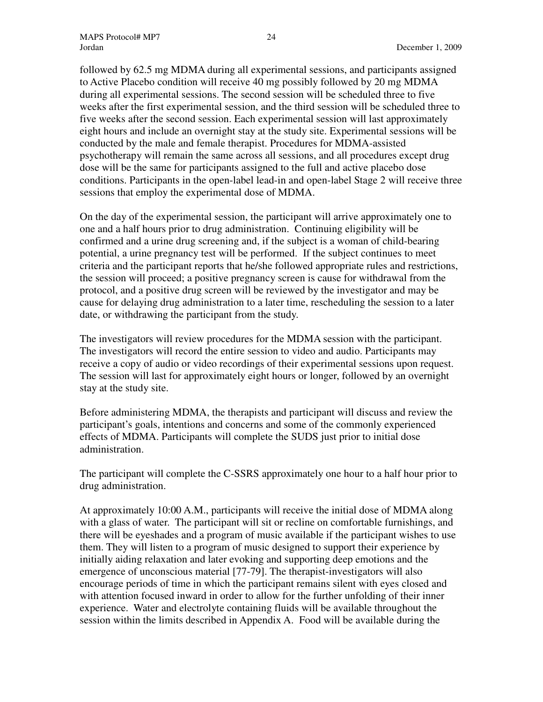followed by 62.5 mg MDMA during all experimental sessions, and participants assigned to Active Placebo condition will receive 40 mg possibly followed by 20 mg MDMA during all experimental sessions. The second session will be scheduled three to five weeks after the first experimental session, and the third session will be scheduled three to five weeks after the second session. Each experimental session will last approximately eight hours and include an overnight stay at the study site. Experimental sessions will be conducted by the male and female therapist. Procedures for MDMA-assisted psychotherapy will remain the same across all sessions, and all procedures except drug dose will be the same for participants assigned to the full and active placebo dose conditions. Participants in the open-label lead-in and open-label Stage 2 will receive three sessions that employ the experimental dose of MDMA.

On the day of the experimental session, the participant will arrive approximately one to one and a half hours prior to drug administration. Continuing eligibility will be confirmed and a urine drug screening and, if the subject is a woman of child-bearing potential, a urine pregnancy test will be performed. If the subject continues to meet criteria and the participant reports that he/she followed appropriate rules and restrictions, the session will proceed; a positive pregnancy screen is cause for withdrawal from the protocol, and a positive drug screen will be reviewed by the investigator and may be cause for delaying drug administration to a later time, rescheduling the session to a later date, or withdrawing the participant from the study.

The investigators will review procedures for the MDMA session with the participant. The investigators will record the entire session to video and audio. Participants may receive a copy of audio or video recordings of their experimental sessions upon request. The session will last for approximately eight hours or longer, followed by an overnight stay at the study site.

Before administering MDMA, the therapists and participant will discuss and review the participant's goals, intentions and concerns and some of the commonly experienced effects of MDMA. Participants will complete the SUDS just prior to initial dose administration.

The participant will complete the C-SSRS approximately one hour to a half hour prior to drug administration.

At approximately 10:00 A.M., participants will receive the initial dose of MDMA along with a glass of water. The participant will sit or recline on comfortable furnishings, and there will be eyeshades and a program of music available if the participant wishes to use them. They will listen to a program of music designed to support their experience by initially aiding relaxation and later evoking and supporting deep emotions and the emergence of unconscious material [77-79]. The therapist-investigators will also encourage periods of time in which the participant remains silent with eyes closed and with attention focused inward in order to allow for the further unfolding of their inner experience. Water and electrolyte containing fluids will be available throughout the session within the limits described in Appendix A. Food will be available during the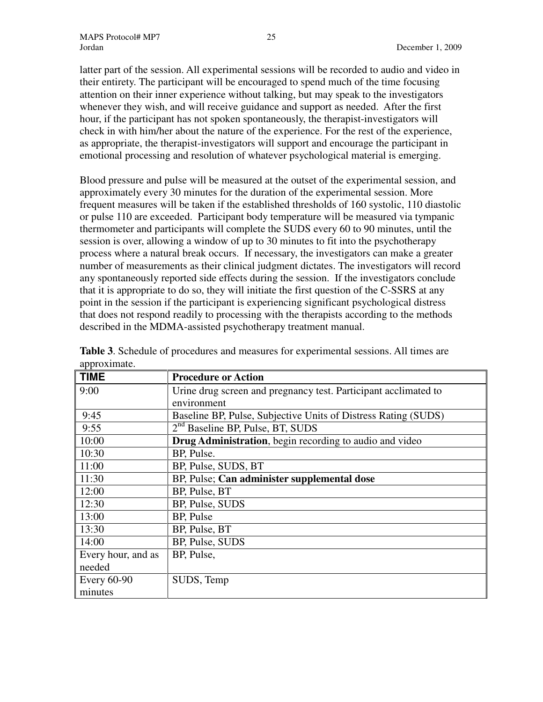latter part of the session. All experimental sessions will be recorded to audio and video in their entirety. The participant will be encouraged to spend much of the time focusing attention on their inner experience without talking, but may speak to the investigators whenever they wish, and will receive guidance and support as needed. After the first hour, if the participant has not spoken spontaneously, the therapist-investigators will check in with him/her about the nature of the experience. For the rest of the experience, as appropriate, the therapist-investigators will support and encourage the participant in emotional processing and resolution of whatever psychological material is emerging.

Blood pressure and pulse will be measured at the outset of the experimental session, and approximately every 30 minutes for the duration of the experimental session. More frequent measures will be taken if the established thresholds of 160 systolic, 110 diastolic or pulse 110 are exceeded. Participant body temperature will be measured via tympanic thermometer and participants will complete the SUDS every 60 to 90 minutes, until the session is over, allowing a window of up to 30 minutes to fit into the psychotherapy process where a natural break occurs. If necessary, the investigators can make a greater number of measurements as their clinical judgment dictates. The investigators will record any spontaneously reported side effects during the session. If the investigators conclude that it is appropriate to do so, they will initiate the first question of the C-SSRS at any point in the session if the participant is experiencing significant psychological distress that does not respond readily to processing with the therapists according to the methods described in the MDMA-assisted psychotherapy treatment manual.

| <b>TIME</b>        | <b>Procedure or Action</b>                                      |
|--------------------|-----------------------------------------------------------------|
| 9:00               | Urine drug screen and pregnancy test. Participant acclimated to |
|                    | environment                                                     |
| 9:45               | Baseline BP, Pulse, Subjective Units of Distress Rating (SUDS)  |
| 9:55               | 2 <sup>nd</sup> Baseline BP, Pulse, BT, SUDS                    |
| 10:00              | Drug Administration, begin recording to audio and video         |
| 10:30              | BP, Pulse.                                                      |
| 11:00              | BP, Pulse, SUDS, BT                                             |
| 11:30              | BP, Pulse; Can administer supplemental dose                     |
| 12:00              | BP, Pulse, BT                                                   |
| 12:30              | BP, Pulse, SUDS                                                 |
| 13:00              | BP, Pulse                                                       |
| 13:30              | BP, Pulse, BT                                                   |
| 14:00              | BP, Pulse, SUDS                                                 |
| Every hour, and as | BP, Pulse,                                                      |
| needed             |                                                                 |
| <b>Every 60-90</b> | SUDS, Temp                                                      |
| minutes            |                                                                 |

**Table 3**. Schedule of procedures and measures for experimental sessions. All times are approximate.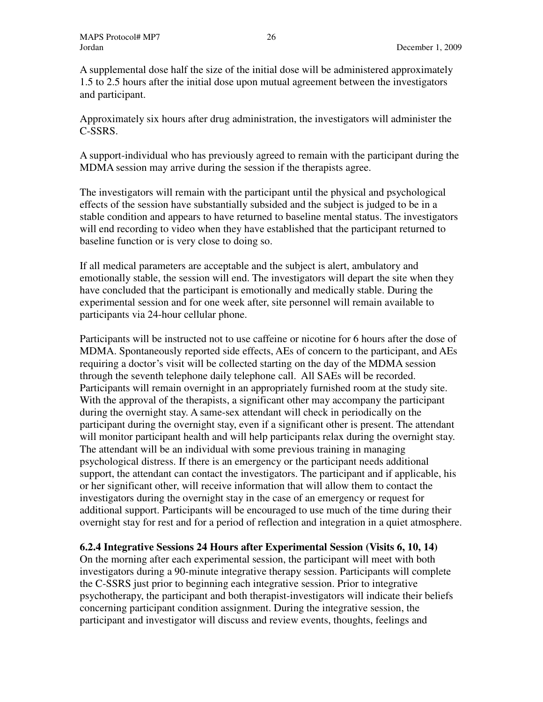A supplemental dose half the size of the initial dose will be administered approximately 1.5 to 2.5 hours after the initial dose upon mutual agreement between the investigators and participant.

Approximately six hours after drug administration, the investigators will administer the C-SSRS.

A support-individual who has previously agreed to remain with the participant during the MDMA session may arrive during the session if the therapists agree.

The investigators will remain with the participant until the physical and psychological effects of the session have substantially subsided and the subject is judged to be in a stable condition and appears to have returned to baseline mental status. The investigators will end recording to video when they have established that the participant returned to baseline function or is very close to doing so.

If all medical parameters are acceptable and the subject is alert, ambulatory and emotionally stable, the session will end. The investigators will depart the site when they have concluded that the participant is emotionally and medically stable. During the experimental session and for one week after, site personnel will remain available to participants via 24-hour cellular phone.

Participants will be instructed not to use caffeine or nicotine for 6 hours after the dose of MDMA. Spontaneously reported side effects, AEs of concern to the participant, and AEs requiring a doctor's visit will be collected starting on the day of the MDMA session through the seventh telephone daily telephone call. All SAEs will be recorded. Participants will remain overnight in an appropriately furnished room at the study site. With the approval of the therapists, a significant other may accompany the participant during the overnight stay. A same-sex attendant will check in periodically on the participant during the overnight stay, even if a significant other is present. The attendant will monitor participant health and will help participants relax during the overnight stay. The attendant will be an individual with some previous training in managing psychological distress. If there is an emergency or the participant needs additional support, the attendant can contact the investigators. The participant and if applicable, his or her significant other, will receive information that will allow them to contact the investigators during the overnight stay in the case of an emergency or request for additional support. Participants will be encouraged to use much of the time during their overnight stay for rest and for a period of reflection and integration in a quiet atmosphere.

# **6.2.4 Integrative Sessions 24 Hours after Experimental Session (Visits 6, 10, 14)**

On the morning after each experimental session, the participant will meet with both investigators during a 90-minute integrative therapy session. Participants will complete the C-SSRS just prior to beginning each integrative session. Prior to integrative psychotherapy, the participant and both therapist-investigators will indicate their beliefs concerning participant condition assignment. During the integrative session, the participant and investigator will discuss and review events, thoughts, feelings and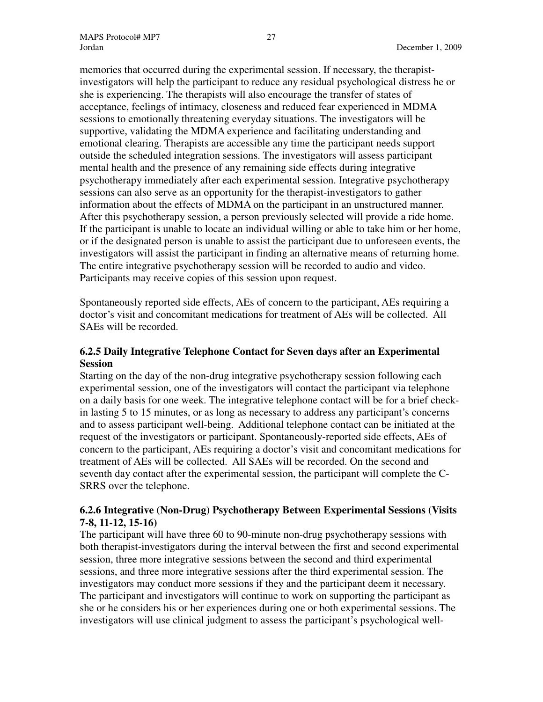memories that occurred during the experimental session. If necessary, the therapistinvestigators will help the participant to reduce any residual psychological distress he or she is experiencing. The therapists will also encourage the transfer of states of acceptance, feelings of intimacy, closeness and reduced fear experienced in MDMA sessions to emotionally threatening everyday situations. The investigators will be supportive, validating the MDMA experience and facilitating understanding and emotional clearing. Therapists are accessible any time the participant needs support outside the scheduled integration sessions. The investigators will assess participant mental health and the presence of any remaining side effects during integrative psychotherapy immediately after each experimental session. Integrative psychotherapy sessions can also serve as an opportunity for the therapist-investigators to gather information about the effects of MDMA on the participant in an unstructured manner. After this psychotherapy session, a person previously selected will provide a ride home. If the participant is unable to locate an individual willing or able to take him or her home, or if the designated person is unable to assist the participant due to unforeseen events, the investigators will assist the participant in finding an alternative means of returning home. The entire integrative psychotherapy session will be recorded to audio and video. Participants may receive copies of this session upon request.

Spontaneously reported side effects, AEs of concern to the participant, AEs requiring a doctor's visit and concomitant medications for treatment of AEs will be collected. All SAEs will be recorded.

# **6.2.5 Daily Integrative Telephone Contact for Seven days after an Experimental Session**

Starting on the day of the non-drug integrative psychotherapy session following each experimental session, one of the investigators will contact the participant via telephone on a daily basis for one week. The integrative telephone contact will be for a brief checkin lasting 5 to 15 minutes, or as long as necessary to address any participant's concerns and to assess participant well-being. Additional telephone contact can be initiated at the request of the investigators or participant. Spontaneously-reported side effects, AEs of concern to the participant, AEs requiring a doctor's visit and concomitant medications for treatment of AEs will be collected. All SAEs will be recorded. On the second and seventh day contact after the experimental session, the participant will complete the C-SRRS over the telephone.

# **6.2.6 Integrative (Non-Drug) Psychotherapy Between Experimental Sessions (Visits 7-8, 11-12, 15-16)**

The participant will have three 60 to 90-minute non-drug psychotherapy sessions with both therapist-investigators during the interval between the first and second experimental session, three more integrative sessions between the second and third experimental sessions, and three more integrative sessions after the third experimental session. The investigators may conduct more sessions if they and the participant deem it necessary. The participant and investigators will continue to work on supporting the participant as she or he considers his or her experiences during one or both experimental sessions. The investigators will use clinical judgment to assess the participant's psychological well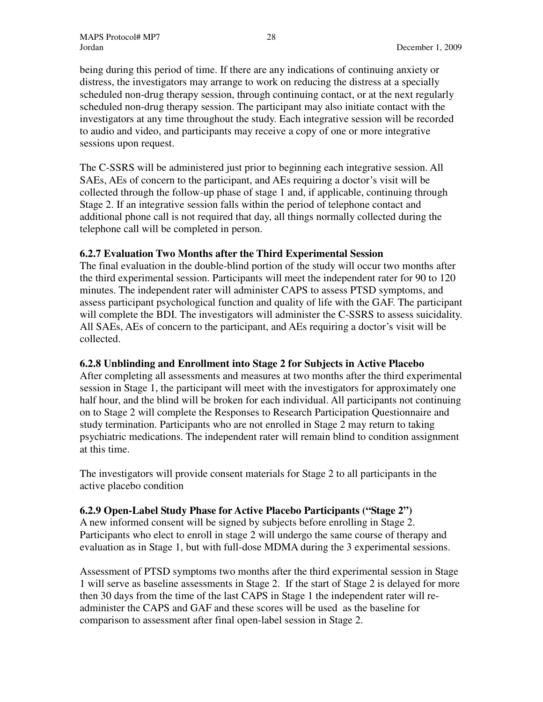being during this period of time. If there are any indications of continuing anxiety or distress, the investigators may arrange to work on reducing the distress at a specially scheduled non-drug therapy session, through continuing contact, or at the next regularly scheduled non-drug therapy session. The participant may also initiate contact with the investigators at any time throughout the study. Each integrative session will be recorded to audio and video, and participants may receive a copy of one or more integrative sessions upon request.

The C-SSRS will be administered just prior to beginning each integrative session. All SAEs, AEs of concern to the participant, and AEs requiring a doctor's visit will be collected through the follow-up phase of stage 1 and, if applicable, continuing through Stage 2. If an integrative session falls within the period of telephone contact and additional phone call is not required that day, all things normally collected during the telephone call will be completed in person.

# **6.2.7 Evaluation Two Months after the Third Experimental Session**

The final evaluation in the double-blind portion of the study will occur two months after the third experimental session. Participants will meet the independent rater for 90 to 120 minutes. The independent rater will administer CAPS to assess PTSD symptoms, and assess participant psychological function and quality of life with the GAF. The participant will complete the BDI. The investigators will administer the C-SSRS to assess suicidality. All SAEs, AEs of concern to the participant, and AEs requiring a doctor's visit will be collected.

# **6.2.8 Unblinding and Enrollment into Stage 2 for Subjects in Active Placebo**

After completing all assessments and measures at two months after the third experimental session in Stage 1, the participant will meet with the investigators for approximately one half hour, and the blind will be broken for each individual. All participants not continuing on to Stage 2 will complete the Responses to Research Participation Questionnaire and study termination. Participants who are not enrolled in Stage 2 may return to taking psychiatric medications. The independent rater will remain blind to condition assignment at this time.

The investigators will provide consent materials for Stage 2 to all participants in the active placebo condition

# **6.2.9 Open-Label Study Phase for Active Placebo Participants ("Stage 2")**

A new informed consent will be signed by subjects before enrolling in Stage 2. Participants who elect to enroll in stage 2 will undergo the same course of therapy and evaluation as in Stage 1, but with full-dose MDMA during the 3 experimental sessions.

Assessment of PTSD symptoms two months after the third experimental session in Stage 1 will serve as baseline assessments in Stage 2. If the start of Stage 2 is delayed for more then 30 days from the time of the last CAPS in Stage 1 the independent rater will readminister the CAPS and GAF and these scores will be used as the baseline for comparison to assessment after final open-label session in Stage 2.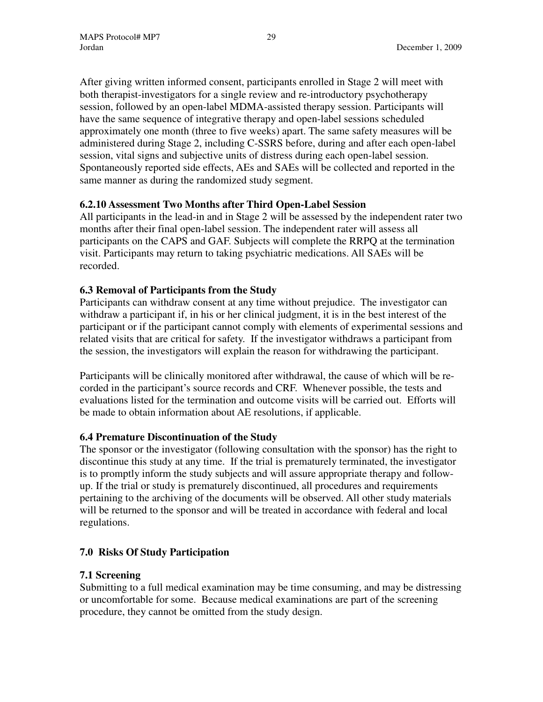After giving written informed consent, participants enrolled in Stage 2 will meet with both therapist-investigators for a single review and re-introductory psychotherapy session, followed by an open-label MDMA-assisted therapy session. Participants will have the same sequence of integrative therapy and open-label sessions scheduled approximately one month (three to five weeks) apart. The same safety measures will be administered during Stage 2, including C-SSRS before, during and after each open-label session, vital signs and subjective units of distress during each open-label session. Spontaneously reported side effects, AEs and SAEs will be collected and reported in the same manner as during the randomized study segment.

# **6.2.10 Assessment Two Months after Third Open-Label Session**

All participants in the lead-in and in Stage 2 will be assessed by the independent rater two months after their final open-label session. The independent rater will assess all participants on the CAPS and GAF. Subjects will complete the RRPQ at the termination visit. Participants may return to taking psychiatric medications. All SAEs will be recorded.

# **6.3 Removal of Participants from the Study**

Participants can withdraw consent at any time without prejudice. The investigator can withdraw a participant if, in his or her clinical judgment, it is in the best interest of the participant or if the participant cannot comply with elements of experimental sessions and related visits that are critical for safety. If the investigator withdraws a participant from the session, the investigators will explain the reason for withdrawing the participant.

Participants will be clinically monitored after withdrawal, the cause of which will be recorded in the participant's source records and CRF. Whenever possible, the tests and evaluations listed for the termination and outcome visits will be carried out. Efforts will be made to obtain information about AE resolutions, if applicable.

# **6.4 Premature Discontinuation of the Study**

The sponsor or the investigator (following consultation with the sponsor) has the right to discontinue this study at any time. If the trial is prematurely terminated, the investigator is to promptly inform the study subjects and will assure appropriate therapy and followup. If the trial or study is prematurely discontinued, all procedures and requirements pertaining to the archiving of the documents will be observed. All other study materials will be returned to the sponsor and will be treated in accordance with federal and local regulations.

# **7.0 Risks Of Study Participation**

# **7.1 Screening**

Submitting to a full medical examination may be time consuming, and may be distressing or uncomfortable for some. Because medical examinations are part of the screening procedure, they cannot be omitted from the study design.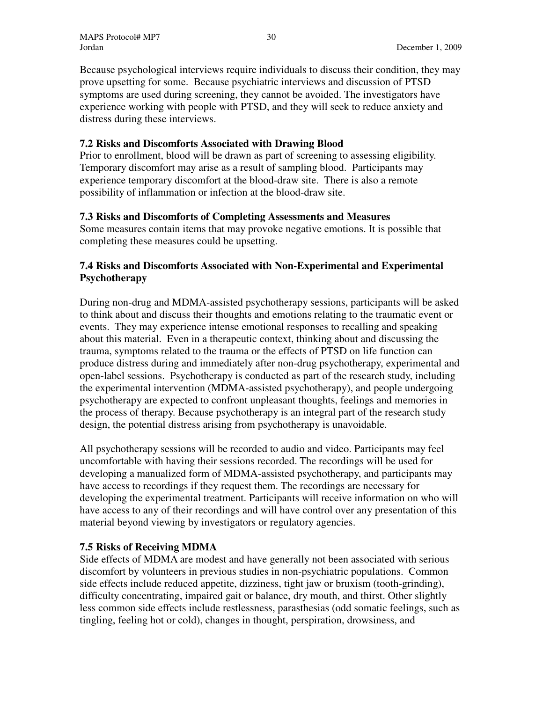Because psychological interviews require individuals to discuss their condition, they may prove upsetting for some. Because psychiatric interviews and discussion of PTSD symptoms are used during screening, they cannot be avoided. The investigators have experience working with people with PTSD, and they will seek to reduce anxiety and distress during these interviews.

### **7.2 Risks and Discomforts Associated with Drawing Blood**

Prior to enrollment, blood will be drawn as part of screening to assessing eligibility. Temporary discomfort may arise as a result of sampling blood. Participants may experience temporary discomfort at the blood-draw site. There is also a remote possibility of inflammation or infection at the blood-draw site.

#### **7.3 Risks and Discomforts of Completing Assessments and Measures**

Some measures contain items that may provoke negative emotions. It is possible that completing these measures could be upsetting.

# **7.4 Risks and Discomforts Associated with Non-Experimental and Experimental Psychotherapy**

During non-drug and MDMA-assisted psychotherapy sessions, participants will be asked to think about and discuss their thoughts and emotions relating to the traumatic event or events. They may experience intense emotional responses to recalling and speaking about this material. Even in a therapeutic context, thinking about and discussing the trauma, symptoms related to the trauma or the effects of PTSD on life function can produce distress during and immediately after non-drug psychotherapy, experimental and open-label sessions. Psychotherapy is conducted as part of the research study, including the experimental intervention (MDMA-assisted psychotherapy), and people undergoing psychotherapy are expected to confront unpleasant thoughts, feelings and memories in the process of therapy. Because psychotherapy is an integral part of the research study design, the potential distress arising from psychotherapy is unavoidable.

All psychotherapy sessions will be recorded to audio and video. Participants may feel uncomfortable with having their sessions recorded. The recordings will be used for developing a manualized form of MDMA-assisted psychotherapy, and participants may have access to recordings if they request them. The recordings are necessary for developing the experimental treatment. Participants will receive information on who will have access to any of their recordings and will have control over any presentation of this material beyond viewing by investigators or regulatory agencies.

# **7.5 Risks of Receiving MDMA**

Side effects of MDMA are modest and have generally not been associated with serious discomfort by volunteers in previous studies in non-psychiatric populations. Common side effects include reduced appetite, dizziness, tight jaw or bruxism (tooth-grinding), difficulty concentrating, impaired gait or balance, dry mouth, and thirst. Other slightly less common side effects include restlessness, parasthesias (odd somatic feelings, such as tingling, feeling hot or cold), changes in thought, perspiration, drowsiness, and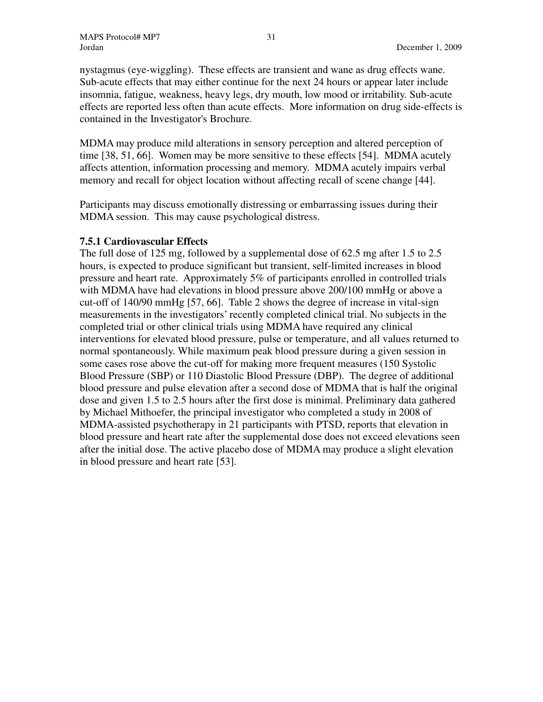nystagmus (eye-wiggling). These effects are transient and wane as drug effects wane. Sub-acute effects that may either continue for the next 24 hours or appear later include insomnia, fatigue, weakness, heavy legs, dry mouth, low mood or irritability. Sub-acute effects are reported less often than acute effects. More information on drug side-effects is contained in the Investigator's Brochure.

MDMA may produce mild alterations in sensory perception and altered perception of time [38, 51, 66]. Women may be more sensitive to these effects [54]. MDMA acutely affects attention, information processing and memory. MDMA acutely impairs verbal memory and recall for object location without affecting recall of scene change [44].

Participants may discuss emotionally distressing or embarrassing issues during their MDMA session. This may cause psychological distress.

#### **7.5.1 Cardiovascular Effects**

The full dose of 125 mg, followed by a supplemental dose of 62.5 mg after 1.5 to 2.5 hours, is expected to produce significant but transient, self-limited increases in blood pressure and heart rate. Approximately 5% of participants enrolled in controlled trials with MDMA have had elevations in blood pressure above 200/100 mmHg or above a cut-off of 140/90 mmHg [57, 66]. Table 2 shows the degree of increase in vital-sign measurements in the investigators' recently completed clinical trial. No subjects in the completed trial or other clinical trials using MDMA have required any clinical interventions for elevated blood pressure, pulse or temperature, and all values returned to normal spontaneously. While maximum peak blood pressure during a given session in some cases rose above the cut-off for making more frequent measures (150 Systolic Blood Pressure (SBP) or 110 Diastolic Blood Pressure (DBP). The degree of additional blood pressure and pulse elevation after a second dose of MDMA that is half the original dose and given 1.5 to 2.5 hours after the first dose is minimal. Preliminary data gathered by Michael Mithoefer, the principal investigator who completed a study in 2008 of MDMA-assisted psychotherapy in 21 participants with PTSD, reports that elevation in blood pressure and heart rate after the supplemental dose does not exceed elevations seen after the initial dose. The active placebo dose of MDMA may produce a slight elevation in blood pressure and heart rate [53].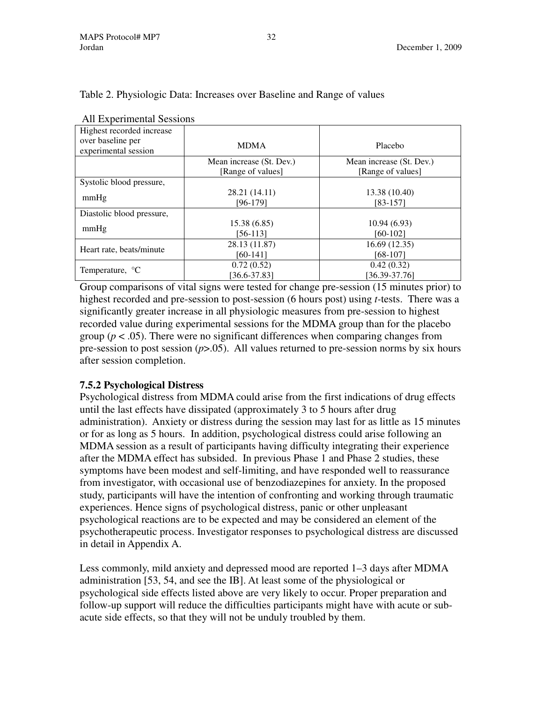| All Experimental Sessions                 |                                                                                                                                                                                                                                    |                                                                 |
|-------------------------------------------|------------------------------------------------------------------------------------------------------------------------------------------------------------------------------------------------------------------------------------|-----------------------------------------------------------------|
| Highest recorded increase                 |                                                                                                                                                                                                                                    |                                                                 |
| over baseline per<br>experimental session | <b>MDMA</b>                                                                                                                                                                                                                        | Placebo                                                         |
|                                           | Mean increase (St. Dev.)                                                                                                                                                                                                           | Mean increase (St. Dev.)                                        |
|                                           | [Range of values]                                                                                                                                                                                                                  | [Range of values]                                               |
| Systolic blood pressure,                  |                                                                                                                                                                                                                                    |                                                                 |
|                                           | 28.21 (14.11)                                                                                                                                                                                                                      | 13.38 (10.40)                                                   |
| mmHg                                      | [96-179]                                                                                                                                                                                                                           | [83-157]                                                        |
| Diastolic blood pressure,                 |                                                                                                                                                                                                                                    |                                                                 |
| mmHg                                      | 15.38(6.85)                                                                                                                                                                                                                        | 10.94(6.93)                                                     |
|                                           | $[56-113]$                                                                                                                                                                                                                         | $[60-102]$                                                      |
|                                           | 28.13 (11.87)                                                                                                                                                                                                                      | 16.69(12.35)                                                    |
| Heart rate, beats/minute                  | $[60-141]$                                                                                                                                                                                                                         | $[68-107]$                                                      |
|                                           | 0.72(0.52)                                                                                                                                                                                                                         | 0.42(0.32)                                                      |
| Temperature, <sup>o</sup> C               | $[36.6 - 37.83]$                                                                                                                                                                                                                   | $[36.39 - 37.76]$                                               |
|                                           | $\mathcal{L}$ . The contract of the contract of the contract of the contract of the contract of the contract of the contract of the contract of the contract of the contract of the contract of the contract of the contract of th | $\mathbf{A}$ and $\mathbf{A}$ and $\mathbf{A}$ and $\mathbf{A}$ |

# Table 2. Physiologic Data: Increases over Baseline and Range of values

| Temperature, <sup>o</sup> C                                                                        | 0.72(0.52)       | 0.42(0.32)        |  |  |  |
|----------------------------------------------------------------------------------------------------|------------------|-------------------|--|--|--|
|                                                                                                    | $[36.6 - 37.83]$ | $[36.39 - 37.76]$ |  |  |  |
| Group comparisons of vital signs were tested for change pre-session (15 minutes prior) to          |                  |                   |  |  |  |
| highest recorded and pre-session to post-session (6 hours post) using <i>t</i> -tests. There was a |                  |                   |  |  |  |
| significantly greater increase in all physiologic measures from pre-session to highest             |                  |                   |  |  |  |
| recorded value during experimental sessions for the MDMA group than for the placebo                |                  |                   |  |  |  |
| group ( $p < .05$ ). There were no significant differences when comparing changes from             |                  |                   |  |  |  |
| pre-session to post session ( $p > 0.05$ ). All values returned to pre-session norms by six hours  |                  |                   |  |  |  |
| after session completion.                                                                          |                  |                   |  |  |  |

# **7.5.2 Psychological Distress**

Psychological distress from MDMA could arise from the first indications of drug effects until the last effects have dissipated (approximately 3 to 5 hours after drug administration). Anxiety or distress during the session may last for as little as 15 minutes or for as long as 5 hours. In addition, psychological distress could arise following an MDMA session as a result of participants having difficulty integrating their experience after the MDMA effect has subsided. In previous Phase 1 and Phase 2 studies, these symptoms have been modest and self-limiting, and have responded well to reassurance from investigator, with occasional use of benzodiazepines for anxiety. In the proposed study, participants will have the intention of confronting and working through traumatic experiences. Hence signs of psychological distress, panic or other unpleasant psychological reactions are to be expected and may be considered an element of the psychotherapeutic process. Investigator responses to psychological distress are discussed in detail in Appendix A.

Less commonly, mild anxiety and depressed mood are reported 1–3 days after MDMA administration [53, 54, and see the IB]. At least some of the physiological or psychological side effects listed above are very likely to occur. Proper preparation and follow-up support will reduce the difficulties participants might have with acute or subacute side effects, so that they will not be unduly troubled by them.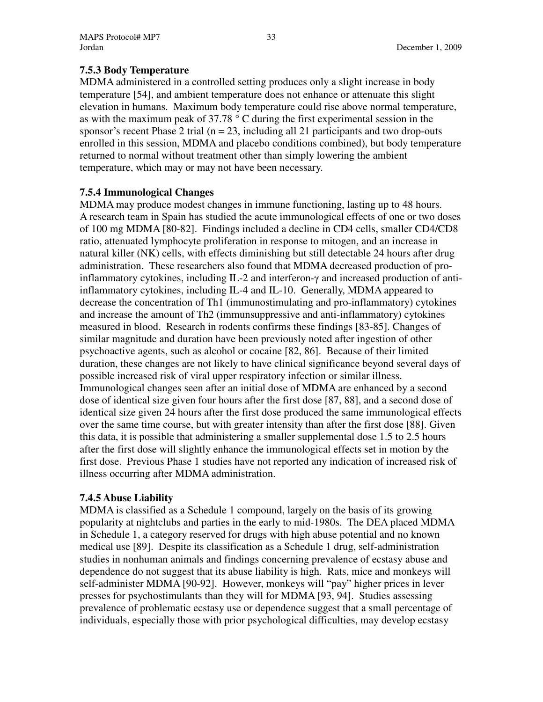# **7.5.3 Body Temperature**

MDMA administered in a controlled setting produces only a slight increase in body temperature [54], and ambient temperature does not enhance or attenuate this slight elevation in humans. Maximum body temperature could rise above normal temperature, as with the maximum peak of 37.78 ° C during the first experimental session in the sponsor's recent Phase 2 trial ( $n = 23$ , including all 21 participants and two drop-outs enrolled in this session, MDMA and placebo conditions combined), but body temperature returned to normal without treatment other than simply lowering the ambient temperature, which may or may not have been necessary.

# **7.5.4 Immunological Changes**

MDMA may produce modest changes in immune functioning, lasting up to 48 hours. A research team in Spain has studied the acute immunological effects of one or two doses of 100 mg MDMA [80-82]. Findings included a decline in CD4 cells, smaller CD4/CD8 ratio, attenuated lymphocyte proliferation in response to mitogen, and an increase in natural killer (NK) cells, with effects diminishing but still detectable 24 hours after drug administration. These researchers also found that MDMA decreased production of proinflammatory cytokines, including IL-2 and interferon- $\gamma$  and increased production of antiinflammatory cytokines, including IL-4 and IL-10. Generally, MDMA appeared to decrease the concentration of Th1 (immunostimulating and pro-inflammatory) cytokines and increase the amount of Th2 (immunsuppressive and anti-inflammatory) cytokines measured in blood. Research in rodents confirms these findings [83-85]. Changes of similar magnitude and duration have been previously noted after ingestion of other psychoactive agents, such as alcohol or cocaine [82, 86]. Because of their limited duration, these changes are not likely to have clinical significance beyond several days of possible increased risk of viral upper respiratory infection or similar illness. Immunological changes seen after an initial dose of MDMA are enhanced by a second dose of identical size given four hours after the first dose [87, 88], and a second dose of identical size given 24 hours after the first dose produced the same immunological effects over the same time course, but with greater intensity than after the first dose [88]. Given this data, it is possible that administering a smaller supplemental dose 1.5 to 2.5 hours after the first dose will slightly enhance the immunological effects set in motion by the first dose. Previous Phase 1 studies have not reported any indication of increased risk of illness occurring after MDMA administration.

# **7.4.5 Abuse Liability**

MDMA is classified as a Schedule 1 compound, largely on the basis of its growing popularity at nightclubs and parties in the early to mid-1980s. The DEA placed MDMA in Schedule 1, a category reserved for drugs with high abuse potential and no known medical use [89]. Despite its classification as a Schedule 1 drug, self-administration studies in nonhuman animals and findings concerning prevalence of ecstasy abuse and dependence do not suggest that its abuse liability is high. Rats, mice and monkeys will self-administer MDMA [90-92]. However, monkeys will "pay" higher prices in lever presses for psychostimulants than they will for MDMA [93, 94]. Studies assessing prevalence of problematic ecstasy use or dependence suggest that a small percentage of individuals, especially those with prior psychological difficulties, may develop ecstasy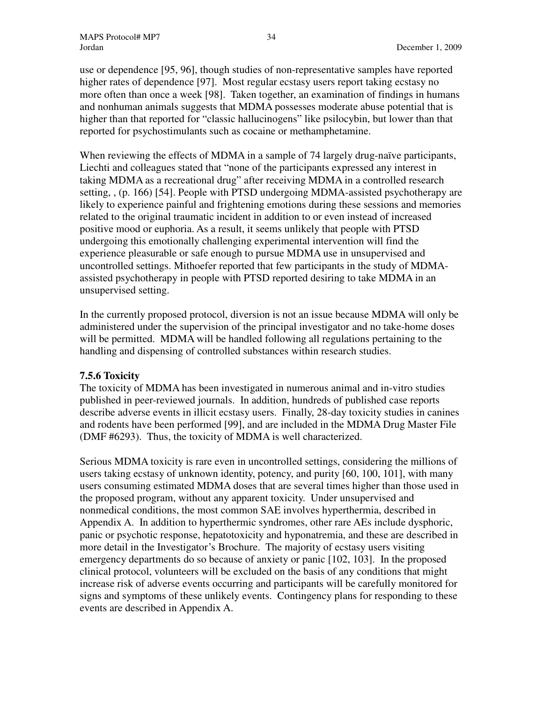use or dependence [95, 96], though studies of non-representative samples have reported higher rates of dependence [97]. Most regular ecstasy users report taking ecstasy no more often than once a week [98]. Taken together, an examination of findings in humans and nonhuman animals suggests that MDMA possesses moderate abuse potential that is higher than that reported for "classic hallucinogens" like psilocybin, but lower than that reported for psychostimulants such as cocaine or methamphetamine.

When reviewing the effects of MDMA in a sample of 74 largely drug-naïve participants, Liechti and colleagues stated that "none of the participants expressed any interest in taking MDMA as a recreational drug" after receiving MDMA in a controlled research setting, , (p. 166) [54]. People with PTSD undergoing MDMA-assisted psychotherapy are likely to experience painful and frightening emotions during these sessions and memories related to the original traumatic incident in addition to or even instead of increased positive mood or euphoria. As a result, it seems unlikely that people with PTSD undergoing this emotionally challenging experimental intervention will find the experience pleasurable or safe enough to pursue MDMA use in unsupervised and uncontrolled settings. Mithoefer reported that few participants in the study of MDMAassisted psychotherapy in people with PTSD reported desiring to take MDMA in an unsupervised setting.

In the currently proposed protocol, diversion is not an issue because MDMA will only be administered under the supervision of the principal investigator and no take-home doses will be permitted. MDMA will be handled following all regulations pertaining to the handling and dispensing of controlled substances within research studies.

#### **7.5.6 Toxicity**

The toxicity of MDMA has been investigated in numerous animal and in-vitro studies published in peer-reviewed journals. In addition, hundreds of published case reports describe adverse events in illicit ecstasy users. Finally, 28-day toxicity studies in canines and rodents have been performed [99], and are included in the MDMA Drug Master File (DMF #6293). Thus, the toxicity of MDMA is well characterized.

Serious MDMA toxicity is rare even in uncontrolled settings, considering the millions of users taking ecstasy of unknown identity, potency, and purity [60, 100, 101], with many users consuming estimated MDMA doses that are several times higher than those used in the proposed program, without any apparent toxicity. Under unsupervised and nonmedical conditions, the most common SAE involves hyperthermia, described in Appendix A. In addition to hyperthermic syndromes, other rare AEs include dysphoric, panic or psychotic response, hepatotoxicity and hyponatremia, and these are described in more detail in the Investigator's Brochure. The majority of ecstasy users visiting emergency departments do so because of anxiety or panic [102, 103]. In the proposed clinical protocol, volunteers will be excluded on the basis of any conditions that might increase risk of adverse events occurring and participants will be carefully monitored for signs and symptoms of these unlikely events. Contingency plans for responding to these events are described in Appendix A.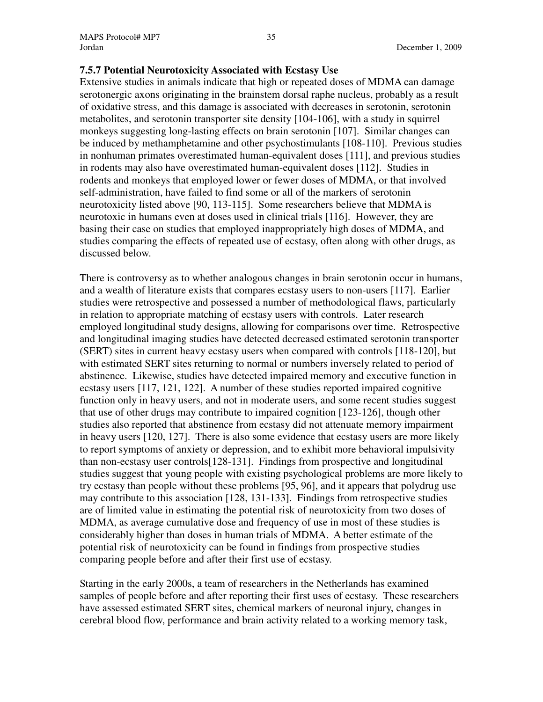### **7.5.7 Potential Neurotoxicity Associated with Ecstasy Use**

Extensive studies in animals indicate that high or repeated doses of MDMA can damage serotonergic axons originating in the brainstem dorsal raphe nucleus, probably as a result of oxidative stress, and this damage is associated with decreases in serotonin, serotonin metabolites, and serotonin transporter site density [104-106], with a study in squirrel monkeys suggesting long-lasting effects on brain serotonin [107]. Similar changes can be induced by methamphetamine and other psychostimulants [108-110]. Previous studies in nonhuman primates overestimated human-equivalent doses [111], and previous studies in rodents may also have overestimated human-equivalent doses [112]. Studies in rodents and monkeys that employed lower or fewer doses of MDMA, or that involved self-administration, have failed to find some or all of the markers of serotonin neurotoxicity listed above [90, 113-115]. Some researchers believe that MDMA is neurotoxic in humans even at doses used in clinical trials [116]. However, they are basing their case on studies that employed inappropriately high doses of MDMA, and studies comparing the effects of repeated use of ecstasy, often along with other drugs, as discussed below.

There is controversy as to whether analogous changes in brain serotonin occur in humans, and a wealth of literature exists that compares ecstasy users to non-users [117]. Earlier studies were retrospective and possessed a number of methodological flaws, particularly in relation to appropriate matching of ecstasy users with controls. Later research employed longitudinal study designs, allowing for comparisons over time. Retrospective and longitudinal imaging studies have detected decreased estimated serotonin transporter (SERT) sites in current heavy ecstasy users when compared with controls [118-120], but with estimated SERT sites returning to normal or numbers inversely related to period of abstinence. Likewise, studies have detected impaired memory and executive function in ecstasy users [117, 121, 122]. A number of these studies reported impaired cognitive function only in heavy users, and not in moderate users, and some recent studies suggest that use of other drugs may contribute to impaired cognition [123-126], though other studies also reported that abstinence from ecstasy did not attenuate memory impairment in heavy users [120, 127]. There is also some evidence that ecstasy users are more likely to report symptoms of anxiety or depression, and to exhibit more behavioral impulsivity than non-ecstasy user controls[128-131]. Findings from prospective and longitudinal studies suggest that young people with existing psychological problems are more likely to try ecstasy than people without these problems [95, 96], and it appears that polydrug use may contribute to this association [128, 131-133]. Findings from retrospective studies are of limited value in estimating the potential risk of neurotoxicity from two doses of MDMA, as average cumulative dose and frequency of use in most of these studies is considerably higher than doses in human trials of MDMA. A better estimate of the potential risk of neurotoxicity can be found in findings from prospective studies comparing people before and after their first use of ecstasy.

Starting in the early 2000s, a team of researchers in the Netherlands has examined samples of people before and after reporting their first uses of ecstasy. These researchers have assessed estimated SERT sites, chemical markers of neuronal injury, changes in cerebral blood flow, performance and brain activity related to a working memory task,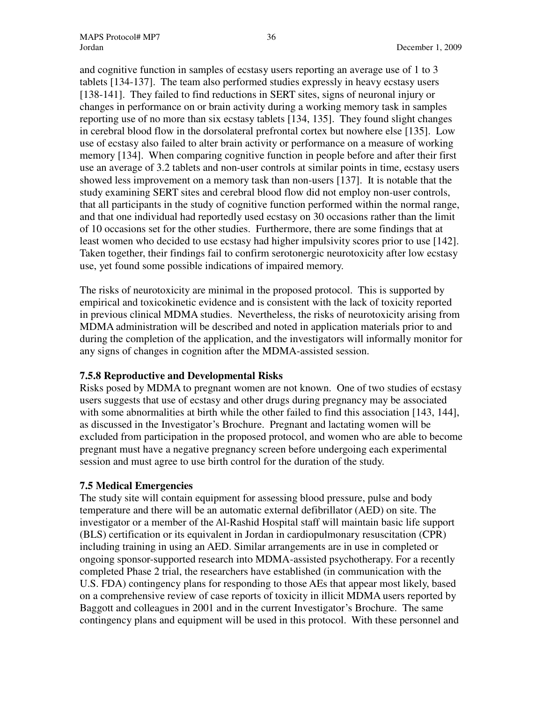and cognitive function in samples of ecstasy users reporting an average use of 1 to 3 tablets [134-137]. The team also performed studies expressly in heavy ecstasy users [138-141]. They failed to find reductions in SERT sites, signs of neuronal injury or changes in performance on or brain activity during a working memory task in samples reporting use of no more than six ecstasy tablets [134, 135]. They found slight changes in cerebral blood flow in the dorsolateral prefrontal cortex but nowhere else [135]. Low use of ecstasy also failed to alter brain activity or performance on a measure of working memory [134]. When comparing cognitive function in people before and after their first use an average of 3.2 tablets and non-user controls at similar points in time, ecstasy users showed less improvement on a memory task than non-users [137]. It is notable that the study examining SERT sites and cerebral blood flow did not employ non-user controls, that all participants in the study of cognitive function performed within the normal range, and that one individual had reportedly used ecstasy on 30 occasions rather than the limit of 10 occasions set for the other studies. Furthermore, there are some findings that at least women who decided to use ecstasy had higher impulsivity scores prior to use [142]. Taken together, their findings fail to confirm serotonergic neurotoxicity after low ecstasy use, yet found some possible indications of impaired memory.

The risks of neurotoxicity are minimal in the proposed protocol. This is supported by empirical and toxicokinetic evidence and is consistent with the lack of toxicity reported in previous clinical MDMA studies. Nevertheless, the risks of neurotoxicity arising from MDMA administration will be described and noted in application materials prior to and during the completion of the application, and the investigators will informally monitor for any signs of changes in cognition after the MDMA-assisted session.

#### **7.5.8 Reproductive and Developmental Risks**

Risks posed by MDMA to pregnant women are not known. One of two studies of ecstasy users suggests that use of ecstasy and other drugs during pregnancy may be associated with some abnormalities at birth while the other failed to find this association [143, 144], as discussed in the Investigator's Brochure. Pregnant and lactating women will be excluded from participation in the proposed protocol, and women who are able to become pregnant must have a negative pregnancy screen before undergoing each experimental session and must agree to use birth control for the duration of the study.

#### **7.5 Medical Emergencies**

The study site will contain equipment for assessing blood pressure, pulse and body temperature and there will be an automatic external defibrillator (AED) on site. The investigator or a member of the Al-Rashid Hospital staff will maintain basic life support (BLS) certification or its equivalent in Jordan in cardiopulmonary resuscitation (CPR) including training in using an AED. Similar arrangements are in use in completed or ongoing sponsor-supported research into MDMA-assisted psychotherapy. For a recently completed Phase 2 trial, the researchers have established (in communication with the U.S. FDA) contingency plans for responding to those AEs that appear most likely, based on a comprehensive review of case reports of toxicity in illicit MDMA users reported by Baggott and colleagues in 2001 and in the current Investigator's Brochure. The same contingency plans and equipment will be used in this protocol. With these personnel and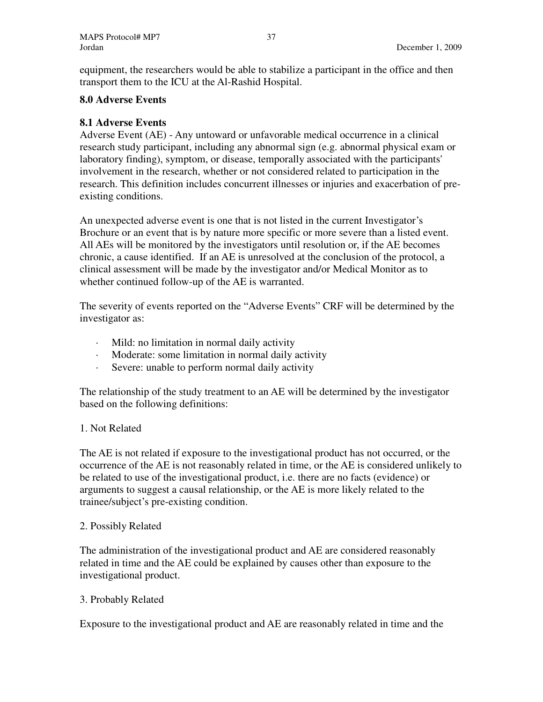equipment, the researchers would be able to stabilize a participant in the office and then transport them to the ICU at the Al-Rashid Hospital.

# **8.0 Adverse Events**

### **8.1 Adverse Events**

Adverse Event (AE) - Any untoward or unfavorable medical occurrence in a clinical research study participant, including any abnormal sign (e.g. abnormal physical exam or laboratory finding), symptom, or disease, temporally associated with the participants' involvement in the research, whether or not considered related to participation in the research. This definition includes concurrent illnesses or injuries and exacerbation of preexisting conditions.

An unexpected adverse event is one that is not listed in the current Investigator's Brochure or an event that is by nature more specific or more severe than a listed event. All AEs will be monitored by the investigators until resolution or, if the AE becomes chronic, a cause identified. If an AE is unresolved at the conclusion of the protocol, a clinical assessment will be made by the investigator and/or Medical Monitor as to whether continued follow-up of the AE is warranted.

The severity of events reported on the "Adverse Events" CRF will be determined by the investigator as:

- · Mild: no limitation in normal daily activity
- · Moderate: some limitation in normal daily activity
- · Severe: unable to perform normal daily activity

The relationship of the study treatment to an AE will be determined by the investigator based on the following definitions:

# 1. Not Related

The AE is not related if exposure to the investigational product has not occurred, or the occurrence of the AE is not reasonably related in time, or the AE is considered unlikely to be related to use of the investigational product, i.e. there are no facts (evidence) or arguments to suggest a causal relationship, or the AE is more likely related to the trainee/subject's pre-existing condition.

#### 2. Possibly Related

The administration of the investigational product and AE are considered reasonably related in time and the AE could be explained by causes other than exposure to the investigational product.

# 3. Probably Related

Exposure to the investigational product and AE are reasonably related in time and the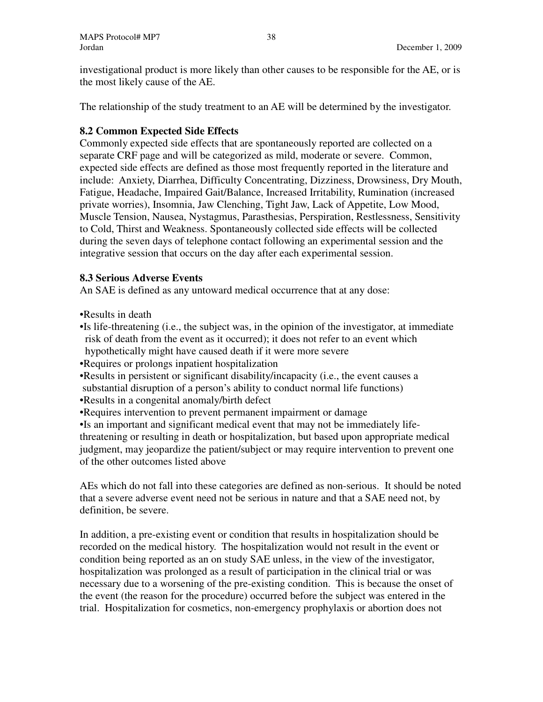investigational product is more likely than other causes to be responsible for the AE, or is the most likely cause of the AE.

The relationship of the study treatment to an AE will be determined by the investigator.

# **8.2 Common Expected Side Effects**

Commonly expected side effects that are spontaneously reported are collected on a separate CRF page and will be categorized as mild, moderate or severe. Common, expected side effects are defined as those most frequently reported in the literature and include: Anxiety, Diarrhea, Difficulty Concentrating, Dizziness, Drowsiness, Dry Mouth, Fatigue, Headache, Impaired Gait/Balance, Increased Irritability, Rumination (increased private worries), Insomnia, Jaw Clenching, Tight Jaw, Lack of Appetite, Low Mood, Muscle Tension, Nausea, Nystagmus, Parasthesias, Perspiration, Restlessness, Sensitivity to Cold, Thirst and Weakness. Spontaneously collected side effects will be collected during the seven days of telephone contact following an experimental session and the integrative session that occurs on the day after each experimental session.

# **8.3 Serious Adverse Events**

An SAE is defined as any untoward medical occurrence that at any dose:

•Results in death

- •Is life-threatening (i.e., the subject was, in the opinion of the investigator, at immediate risk of death from the event as it occurred); it does not refer to an event which hypothetically might have caused death if it were more severe
- •Requires or prolongs inpatient hospitalization
- •Results in persistent or significant disability/incapacity (i.e., the event causes a substantial disruption of a person's ability to conduct normal life functions)
- •Results in a congenital anomaly/birth defect
- •Requires intervention to prevent permanent impairment or damage

•Is an important and significant medical event that may not be immediately lifethreatening or resulting in death or hospitalization, but based upon appropriate medical judgment, may jeopardize the patient/subject or may require intervention to prevent one of the other outcomes listed above

AEs which do not fall into these categories are defined as non-serious. It should be noted that a severe adverse event need not be serious in nature and that a SAE need not, by definition, be severe.

In addition, a pre-existing event or condition that results in hospitalization should be recorded on the medical history. The hospitalization would not result in the event or condition being reported as an on study SAE unless, in the view of the investigator, hospitalization was prolonged as a result of participation in the clinical trial or was necessary due to a worsening of the pre-existing condition. This is because the onset of the event (the reason for the procedure) occurred before the subject was entered in the trial. Hospitalization for cosmetics, non-emergency prophylaxis or abortion does not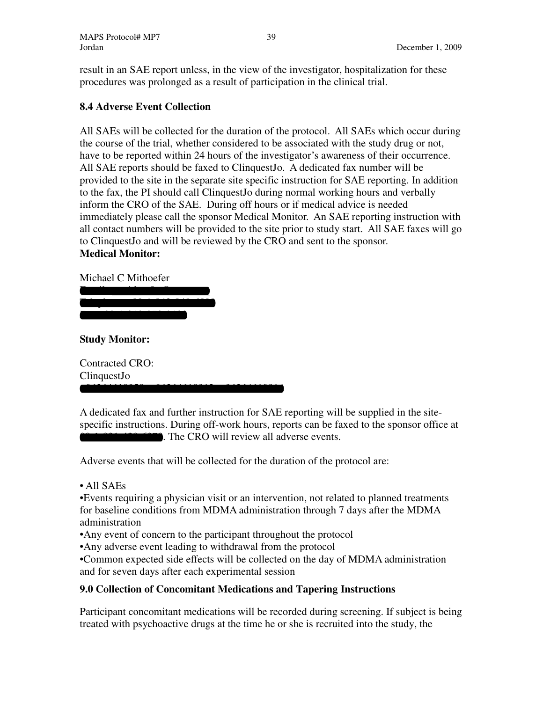result in an SAE report unless, in the view of the investigator, hospitalization for these procedures was prolonged as a result of participation in the clinical trial.

# **8.4 Adverse Event Collection**

All SAEs will be collected for the duration of the protocol. All SAEs which occur during the course of the trial, whether considered to be associated with the study drug or not, have to be reported within 24 hours of the investigator's awareness of their occurrence. All SAE reports should be faxed to ClinquestJo. A dedicated fax number will be provided to the site in the separate site specific instruction for SAE reporting. In addition to the fax, the PI should call ClinquestJo during normal working hours and verbally inform the CRO of the SAE. During off hours or if medical advice is needed immediately please call the sponsor Medical Monitor. An SAE reporting instruction with all contact numbers will be provided to the site prior to study start. All SAE faxes will go to ClinquestJo and will be reviewed by the CRO and sent to the sponsor. **Medical Monitor:** 

# Michael C Mithoefer

Email: mmithoefer@mac.com Telephone: 00-1-843-849-6899

Fax: 00-1-843-278-9188

**Study Monitor:** 

Contracted CRO: ClinquestJo

A dedicated fax and further instruction for SAE reporting will be supplied in the sitespecific instructions. During off-work hours, reports can be faxed to the sponsor office at **100-100**. The CRO will review all adverse events.

Adverse events that will be collected for the duration of the protocol are:

# • All SAEs

•Events requiring a physician visit or an intervention, not related to planned treatments for baseline conditions from MDMA administration through 7 days after the MDMA administration

- •Any event of concern to the participant throughout the protocol
- •Any adverse event leading to withdrawal from the protocol

+96264610050, +96264610012, +96264610014

•Common expected side effects will be collected on the day of MDMA administration and for seven days after each experimental session

# **9.0 Collection of Concomitant Medications and Tapering Instructions**

Participant concomitant medications will be recorded during screening. If subject is being treated with psychoactive drugs at the time he or she is recruited into the study, the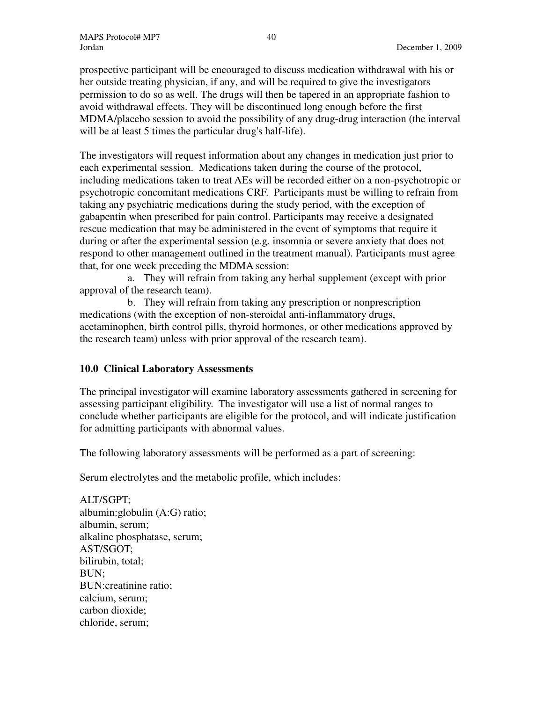prospective participant will be encouraged to discuss medication withdrawal with his or her outside treating physician, if any, and will be required to give the investigators permission to do so as well. The drugs will then be tapered in an appropriate fashion to avoid withdrawal effects. They will be discontinued long enough before the first MDMA/placebo session to avoid the possibility of any drug-drug interaction (the interval will be at least 5 times the particular drug's half-life).

The investigators will request information about any changes in medication just prior to each experimental session. Medications taken during the course of the protocol, including medications taken to treat AEs will be recorded either on a non-psychotropic or psychotropic concomitant medications CRF. Participants must be willing to refrain from taking any psychiatric medications during the study period, with the exception of gabapentin when prescribed for pain control. Participants may receive a designated rescue medication that may be administered in the event of symptoms that require it during or after the experimental session (e.g. insomnia or severe anxiety that does not respond to other management outlined in the treatment manual). Participants must agree that, for one week preceding the MDMA session:

a. They will refrain from taking any herbal supplement (except with prior approval of the research team).

b. They will refrain from taking any prescription or nonprescription medications (with the exception of non-steroidal anti-inflammatory drugs, acetaminophen, birth control pills, thyroid hormones, or other medications approved by the research team) unless with prior approval of the research team).

# **10.0 Clinical Laboratory Assessments**

The principal investigator will examine laboratory assessments gathered in screening for assessing participant eligibility. The investigator will use a list of normal ranges to conclude whether participants are eligible for the protocol, and will indicate justification for admitting participants with abnormal values.

The following laboratory assessments will be performed as a part of screening:

Serum electrolytes and the metabolic profile, which includes:

ALT/SGPT; albumin:globulin (A:G) ratio; albumin, serum; alkaline phosphatase, serum; AST/SGOT; bilirubin, total; BUN; BUN:creatinine ratio; calcium, serum; carbon dioxide; chloride, serum;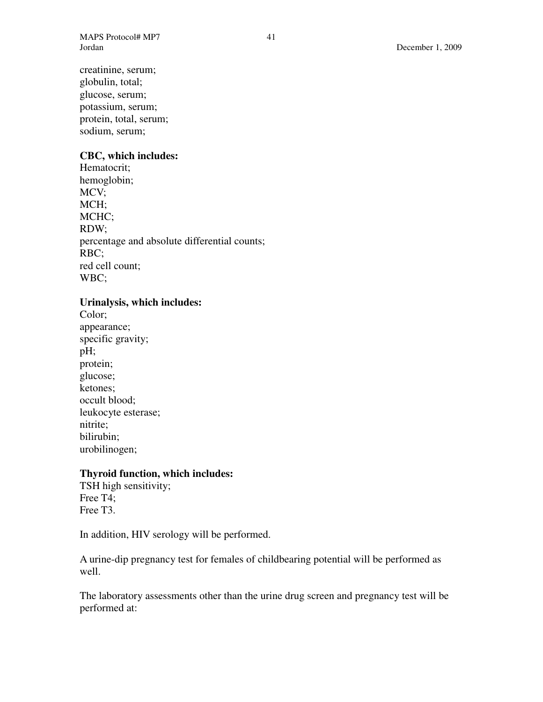creatinine, serum; globulin, total; glucose, serum; potassium, serum; protein, total, serum; sodium, serum;

### **CBC, which includes:**

Hematocrit; hemoglobin; MCV; MCH; MCHC; RDW; percentage and absolute differential counts; RBC; red cell count; WBC;

# **Urinalysis, which includes:**

Color; appearance; specific gravity; pH; protein; glucose; ketones; occult blood; leukocyte esterase; nitrite; bilirubin; urobilinogen;

#### **Thyroid function, which includes:**

TSH high sensitivity; Free T4; Free T3.

In addition, HIV serology will be performed.

A urine-dip pregnancy test for females of childbearing potential will be performed as well.

The laboratory assessments other than the urine drug screen and pregnancy test will be performed at: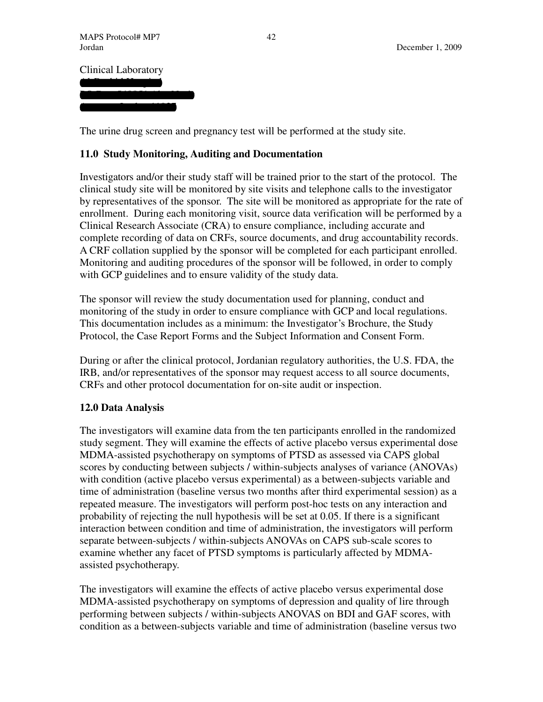Clinical Laboratory Al-Rashid Hospital

PO Box 540851 Abu Nasar Amman, Jordan 11937

The urine drug screen and pregnancy test will be performed at the study site.

# **11.0 Study Monitoring, Auditing and Documentation**

Investigators and/or their study staff will be trained prior to the start of the protocol. The clinical study site will be monitored by site visits and telephone calls to the investigator by representatives of the sponsor. The site will be monitored as appropriate for the rate of enrollment. During each monitoring visit, source data verification will be performed by a Clinical Research Associate (CRA) to ensure compliance, including accurate and complete recording of data on CRFs, source documents, and drug accountability records. A CRF collation supplied by the sponsor will be completed for each participant enrolled. Monitoring and auditing procedures of the sponsor will be followed, in order to comply with GCP guidelines and to ensure validity of the study data.

The sponsor will review the study documentation used for planning, conduct and monitoring of the study in order to ensure compliance with GCP and local regulations. This documentation includes as a minimum: the Investigator's Brochure, the Study Protocol, the Case Report Forms and the Subject Information and Consent Form.

During or after the clinical protocol, Jordanian regulatory authorities, the U.S. FDA, the IRB, and/or representatives of the sponsor may request access to all source documents, CRFs and other protocol documentation for on-site audit or inspection.

# **12.0 Data Analysis**

The investigators will examine data from the ten participants enrolled in the randomized study segment. They will examine the effects of active placebo versus experimental dose MDMA-assisted psychotherapy on symptoms of PTSD as assessed via CAPS global scores by conducting between subjects / within-subjects analyses of variance (ANOVAs) with condition (active placebo versus experimental) as a between-subjects variable and time of administration (baseline versus two months after third experimental session) as a repeated measure. The investigators will perform post-hoc tests on any interaction and probability of rejecting the null hypothesis will be set at 0.05. If there is a significant interaction between condition and time of administration, the investigators will perform separate between-subjects / within-subjects ANOVAs on CAPS sub-scale scores to examine whether any facet of PTSD symptoms is particularly affected by MDMAassisted psychotherapy.

The investigators will examine the effects of active placebo versus experimental dose MDMA-assisted psychotherapy on symptoms of depression and quality of lire through performing between subjects / within-subjects ANOVAS on BDI and GAF scores, with condition as a between-subjects variable and time of administration (baseline versus two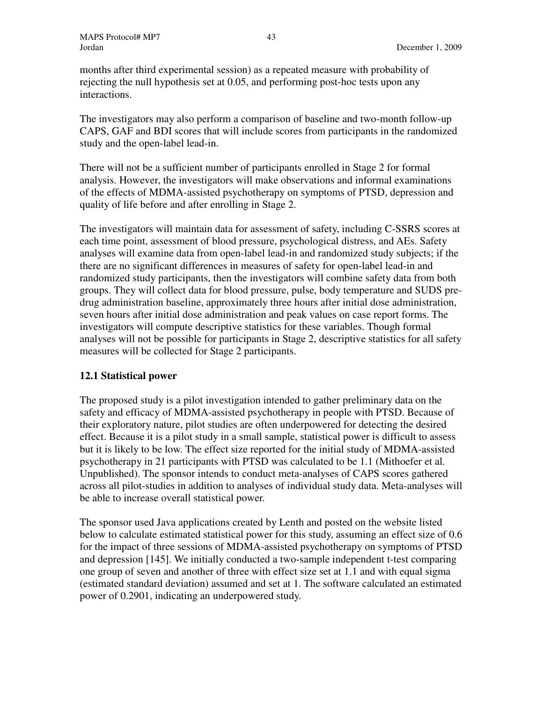months after third experimental session) as a repeated measure with probability of rejecting the null hypothesis set at 0.05, and performing post-hoc tests upon any interactions.

The investigators may also perform a comparison of baseline and two-month follow-up CAPS, GAF and BDI scores that will include scores from participants in the randomized study and the open-label lead-in.

There will not be a sufficient number of participants enrolled in Stage 2 for formal analysis. However, the investigators will make observations and informal examinations of the effects of MDMA-assisted psychotherapy on symptoms of PTSD, depression and quality of life before and after enrolling in Stage 2.

The investigators will maintain data for assessment of safety, including C-SSRS scores at each time point, assessment of blood pressure, psychological distress, and AEs. Safety analyses will examine data from open-label lead-in and randomized study subjects; if the there are no significant differences in measures of safety for open-label lead-in and randomized study participants, then the investigators will combine safety data from both groups. They will collect data for blood pressure, pulse, body temperature and SUDS predrug administration baseline, approximately three hours after initial dose administration, seven hours after initial dose administration and peak values on case report forms. The investigators will compute descriptive statistics for these variables. Though formal analyses will not be possible for participants in Stage 2, descriptive statistics for all safety measures will be collected for Stage 2 participants.

# **12.1 Statistical power**

The proposed study is a pilot investigation intended to gather preliminary data on the safety and efficacy of MDMA-assisted psychotherapy in people with PTSD. Because of their exploratory nature, pilot studies are often underpowered for detecting the desired effect. Because it is a pilot study in a small sample, statistical power is difficult to assess but it is likely to be low. The effect size reported for the initial study of MDMA-assisted psychotherapy in 21 participants with PTSD was calculated to be 1.1 (Mithoefer et al. Unpublished). The sponsor intends to conduct meta-analyses of CAPS scores gathered across all pilot-studies in addition to analyses of individual study data. Meta-analyses will be able to increase overall statistical power.

The sponsor used Java applications created by Lenth and posted on the website listed below to calculate estimated statistical power for this study, assuming an effect size of 0.6 for the impact of three sessions of MDMA-assisted psychotherapy on symptoms of PTSD and depression [145]. We initially conducted a two-sample independent t-test comparing one group of seven and another of three with effect size set at 1.1 and with equal sigma (estimated standard deviation) assumed and set at 1. The software calculated an estimated power of 0.2901, indicating an underpowered study.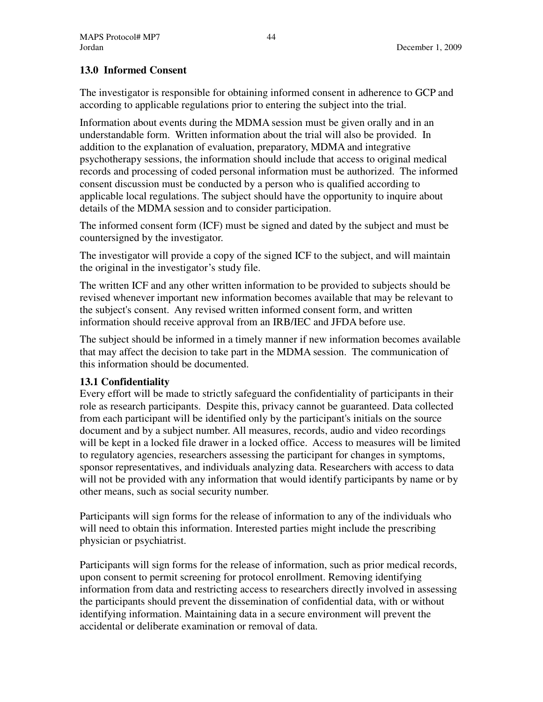# **13.0 Informed Consent**

The investigator is responsible for obtaining informed consent in adherence to GCP and according to applicable regulations prior to entering the subject into the trial.

Information about events during the MDMA session must be given orally and in an understandable form. Written information about the trial will also be provided. In addition to the explanation of evaluation, preparatory, MDMA and integrative psychotherapy sessions, the information should include that access to original medical records and processing of coded personal information must be authorized. The informed consent discussion must be conducted by a person who is qualified according to applicable local regulations. The subject should have the opportunity to inquire about details of the MDMA session and to consider participation.

The informed consent form (ICF) must be signed and dated by the subject and must be countersigned by the investigator.

The investigator will provide a copy of the signed ICF to the subject, and will maintain the original in the investigator's study file.

The written ICF and any other written information to be provided to subjects should be revised whenever important new information becomes available that may be relevant to the subject's consent. Any revised written informed consent form, and written information should receive approval from an IRB/IEC and JFDA before use.

The subject should be informed in a timely manner if new information becomes available that may affect the decision to take part in the MDMA session. The communication of this information should be documented.

# **13.1 Confidentiality**

Every effort will be made to strictly safeguard the confidentiality of participants in their role as research participants. Despite this, privacy cannot be guaranteed. Data collected from each participant will be identified only by the participant's initials on the source document and by a subject number. All measures, records, audio and video recordings will be kept in a locked file drawer in a locked office. Access to measures will be limited to regulatory agencies, researchers assessing the participant for changes in symptoms, sponsor representatives, and individuals analyzing data. Researchers with access to data will not be provided with any information that would identify participants by name or by other means, such as social security number.

Participants will sign forms for the release of information to any of the individuals who will need to obtain this information. Interested parties might include the prescribing physician or psychiatrist.

Participants will sign forms for the release of information, such as prior medical records, upon consent to permit screening for protocol enrollment. Removing identifying information from data and restricting access to researchers directly involved in assessing the participants should prevent the dissemination of confidential data, with or without identifying information. Maintaining data in a secure environment will prevent the accidental or deliberate examination or removal of data.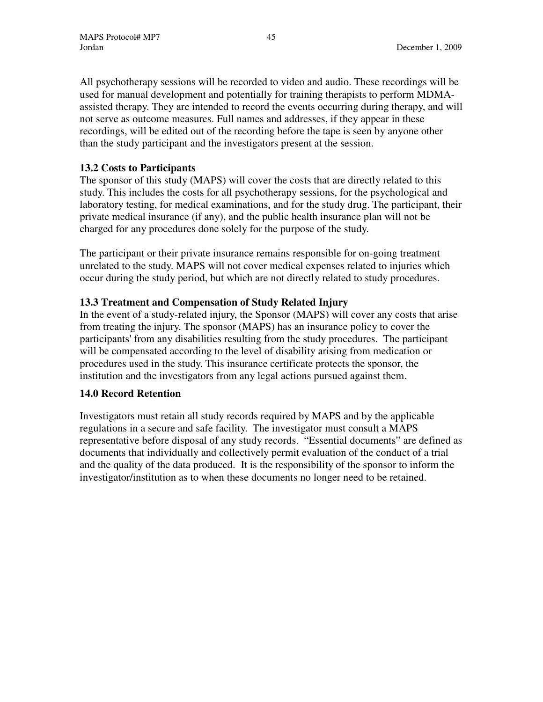All psychotherapy sessions will be recorded to video and audio. These recordings will be used for manual development and potentially for training therapists to perform MDMAassisted therapy. They are intended to record the events occurring during therapy, and will not serve as outcome measures. Full names and addresses, if they appear in these recordings, will be edited out of the recording before the tape is seen by anyone other than the study participant and the investigators present at the session.

# **13.2 Costs to Participants**

The sponsor of this study (MAPS) will cover the costs that are directly related to this study. This includes the costs for all psychotherapy sessions, for the psychological and laboratory testing, for medical examinations, and for the study drug. The participant, their private medical insurance (if any), and the public health insurance plan will not be charged for any procedures done solely for the purpose of the study.

The participant or their private insurance remains responsible for on-going treatment unrelated to the study. MAPS will not cover medical expenses related to injuries which occur during the study period, but which are not directly related to study procedures.

# **13.3 Treatment and Compensation of Study Related Injury**

In the event of a study-related injury, the Sponsor (MAPS) will cover any costs that arise from treating the injury. The sponsor (MAPS) has an insurance policy to cover the participants' from any disabilities resulting from the study procedures. The participant will be compensated according to the level of disability arising from medication or procedures used in the study. This insurance certificate protects the sponsor, the institution and the investigators from any legal actions pursued against them.

# **14.0 Record Retention**

Investigators must retain all study records required by MAPS and by the applicable regulations in a secure and safe facility. The investigator must consult a MAPS representative before disposal of any study records. "Essential documents" are defined as documents that individually and collectively permit evaluation of the conduct of a trial and the quality of the data produced. It is the responsibility of the sponsor to inform the investigator/institution as to when these documents no longer need to be retained.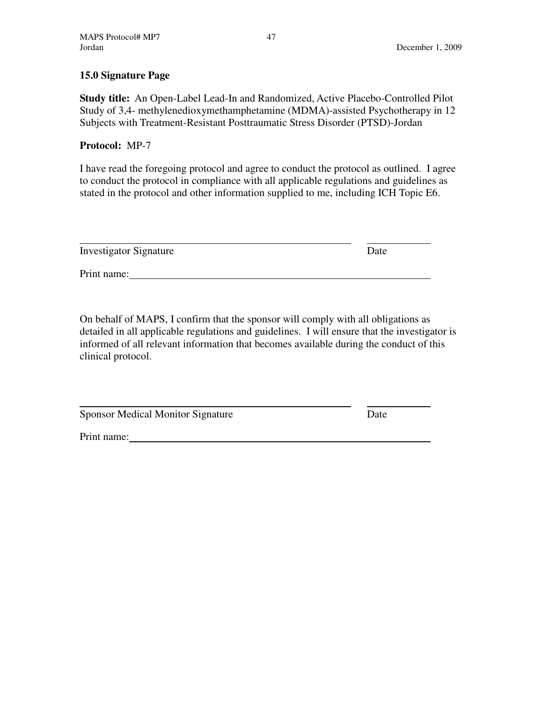# **15.0 Signature Page**

**Study title:** An Open-Label Lead-In and Randomized, Active Placebo-Controlled Pilot Study of 3,4- methylenedioxymethamphetamine (MDMA)-assisted Psychotherapy in 12 Subjects with Treatment-Resistant Posttraumatic Stress Disorder (PTSD)-Jordan

# **Protocol:** MP-7

I have read the foregoing protocol and agree to conduct the protocol as outlined. I agree to conduct the protocol in compliance with all applicable regulations and guidelines as stated in the protocol and other information supplied to me, including ICH Topic E6.

| <b>Investigator Signature</b> | Date |
|-------------------------------|------|
| Print name:                   |      |

On behalf of MAPS, I confirm that the sponsor will comply with all obligations as detailed in all applicable regulations and guidelines. I will ensure that the investigator is informed of all relevant information that becomes available during the conduct of this clinical protocol.

Sponsor Medical Monitor Signature Date

Print name: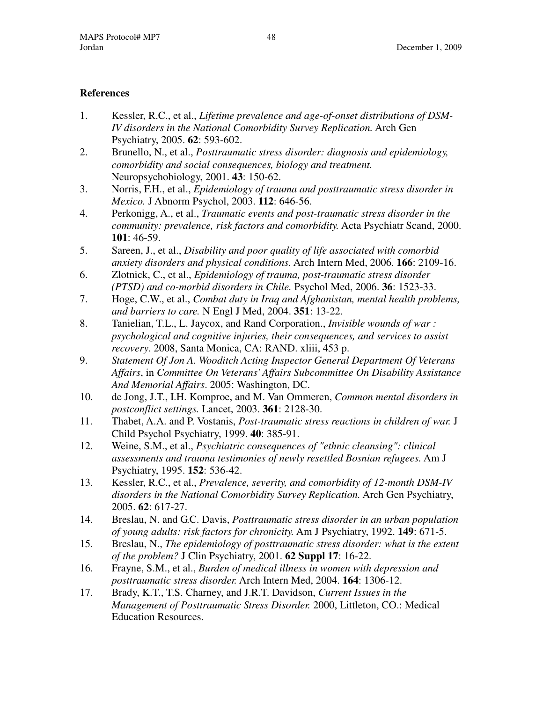# **References**

- 1. Kessler, R.C., et al., *Lifetime prevalence and age-of-onset distributions of DSM-IV disorders in the National Comorbidity Survey Replication.* Arch Gen Psychiatry, 2005. **62**: 593-602.
- 2. Brunello, N., et al., *Posttraumatic stress disorder: diagnosis and epidemiology, comorbidity and social consequences, biology and treatment.* Neuropsychobiology, 2001. **43**: 150-62.
- 3. Norris, F.H., et al., *Epidemiology of trauma and posttraumatic stress disorder in Mexico.* J Abnorm Psychol, 2003. **112**: 646-56.
- 4. Perkonigg, A., et al., *Traumatic events and post-traumatic stress disorder in the community: prevalence, risk factors and comorbidity.* Acta Psychiatr Scand, 2000. **101**: 46-59.
- 5. Sareen, J., et al., *Disability and poor quality of life associated with comorbid anxiety disorders and physical conditions.* Arch Intern Med, 2006. **166**: 2109-16.
- 6. Zlotnick, C., et al., *Epidemiology of trauma, post-traumatic stress disorder (PTSD) and co-morbid disorders in Chile.* Psychol Med, 2006. **36**: 1523-33.
- 7. Hoge, C.W., et al., *Combat duty in Iraq and Afghanistan, mental health problems, and barriers to care.* N Engl J Med, 2004. **351**: 13-22.
- 8. Tanielian, T.L., L. Jaycox, and Rand Corporation., *Invisible wounds of war : psychological and cognitive injuries, their consequences, and services to assist recovery*. 2008, Santa Monica, CA: RAND. xliii, 453 p.
- 9. *Statement Of Jon A. Wooditch Acting Inspector General Department Of Veterans Affairs*, in *Committee On Veterans' Affairs Subcommittee On Disability Assistance And Memorial Affairs*. 2005: Washington, DC.
- 10. de Jong, J.T., I.H. Komproe, and M. Van Ommeren, *Common mental disorders in postconflict settings.* Lancet, 2003. **361**: 2128-30.
- 11. Thabet, A.A. and P. Vostanis, *Post-traumatic stress reactions in children of war.* J Child Psychol Psychiatry, 1999. **40**: 385-91.
- 12. Weine, S.M., et al., *Psychiatric consequences of "ethnic cleansing": clinical assessments and trauma testimonies of newly resettled Bosnian refugees.* Am J Psychiatry, 1995. **152**: 536-42.
- 13. Kessler, R.C., et al., *Prevalence, severity, and comorbidity of 12-month DSM-IV disorders in the National Comorbidity Survey Replication.* Arch Gen Psychiatry, 2005. **62**: 617-27.
- 14. Breslau, N. and G.C. Davis, *Posttraumatic stress disorder in an urban population of young adults: risk factors for chronicity.* Am J Psychiatry, 1992. **149**: 671-5.
- 15. Breslau, N., *The epidemiology of posttraumatic stress disorder: what is the extent of the problem?* J Clin Psychiatry, 2001. **62 Suppl 17**: 16-22.
- 16. Frayne, S.M., et al., *Burden of medical illness in women with depression and posttraumatic stress disorder.* Arch Intern Med, 2004. **164**: 1306-12.
- 17. Brady, K.T., T.S. Charney, and J.R.T. Davidson, *Current Issues in the Management of Posttraumatic Stress Disorder.* 2000, Littleton, CO.: Medical Education Resources.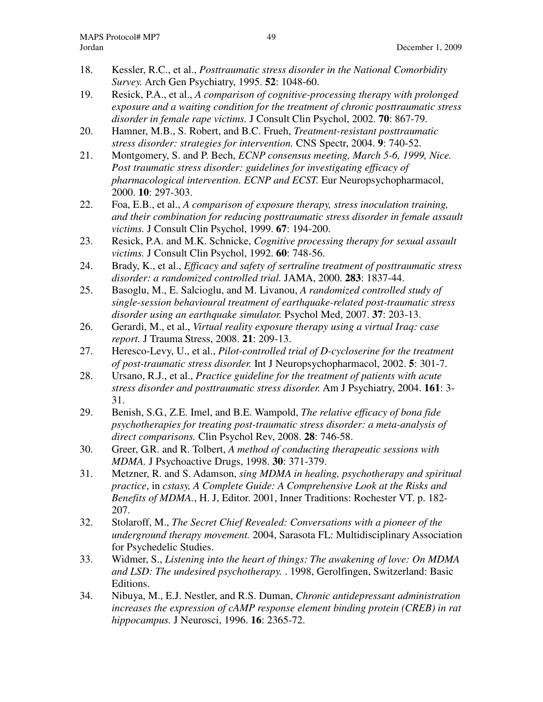- 18. Kessler, R.C., et al., *Posttraumatic stress disorder in the National Comorbidity Survey.* Arch Gen Psychiatry, 1995. **52**: 1048-60.
- 19. Resick, P.A., et al., *A comparison of cognitive-processing therapy with prolonged exposure and a waiting condition for the treatment of chronic posttraumatic stress disorder in female rape victims.* J Consult Clin Psychol, 2002. **70**: 867-79.
- 20. Hamner, M.B., S. Robert, and B.C. Frueh, *Treatment-resistant posttraumatic stress disorder: strategies for intervention.* CNS Spectr, 2004. **9**: 740-52.
- 21. Montgomery, S. and P. Bech, *ECNP consensus meeting, March 5-6, 1999, Nice. Post traumatic stress disorder: guidelines for investigating efficacy of pharmacological intervention. ECNP and ECST.* Eur Neuropsychopharmacol, 2000. **10**: 297-303.
- 22. Foa, E.B., et al., *A comparison of exposure therapy, stress inoculation training, and their combination for reducing posttraumatic stress disorder in female assault victims.* J Consult Clin Psychol, 1999. **67**: 194-200.
- 23. Resick, P.A. and M.K. Schnicke, *Cognitive processing therapy for sexual assault victims.* J Consult Clin Psychol, 1992. **60**: 748-56.
- 24. Brady, K., et al., *Efficacy and safety of sertraline treatment of posttraumatic stress disorder: a randomized controlled trial.* JAMA, 2000. **283**: 1837-44.
- 25. Basoglu, M., E. Salcioglu, and M. Livanou, *A randomized controlled study of single-session behavioural treatment of earthquake-related post-traumatic stress disorder using an earthquake simulator.* Psychol Med, 2007. **37**: 203-13.
- 26. Gerardi, M., et al., *Virtual reality exposure therapy using a virtual Iraq: case report.* J Trauma Stress, 2008. **21**: 209-13.
- 27. Heresco-Levy, U., et al., *Pilot-controlled trial of D-cycloserine for the treatment of post-traumatic stress disorder.* Int J Neuropsychopharmacol, 2002. **5**: 301-7.
- 28. Ursano, R.J., et al., *Practice guideline for the treatment of patients with acute stress disorder and posttraumatic stress disorder.* Am J Psychiatry, 2004. **161**: 3- 31.
- 29. Benish, S.G., Z.E. Imel, and B.E. Wampold, *The relative efficacy of bona fide psychotherapies for treating post-traumatic stress disorder: a meta-analysis of direct comparisons.* Clin Psychol Rev, 2008. **28**: 746-58.
- 30. Greer, G.R. and R. Tolbert, *A method of conducting therapeutic sessions with MDMA.* J Psychoactive Drugs, 1998. **30**: 371-379.
- 31. Metzner, R. and S. Adamson, *sing MDMA in healing, psychotherapy and spiritual practice*, in *cstasy, A Complete Guide: A Comprehensive Look at the Risks and Benefits of MDMA.*, H. J, Editor. 2001, Inner Traditions: Rochester VT. p. 182- 207.
- 32. Stolaroff, M., *The Secret Chief Revealed: Conversations with a pioneer of the underground therapy movement.* 2004, Sarasota FL: Multidisciplinary Association for Psychedelic Studies.
- 33. Widmer, S., *Listening into the heart of things: The awakening of love: On MDMA and LSD: The undesired psychotherapy.* . 1998, Gerolfingen, Switzerland: Basic Editions.
- 34. Nibuya, M., E.J. Nestler, and R.S. Duman, *Chronic antidepressant administration increases the expression of cAMP response element binding protein (CREB) in rat hippocampus.* J Neurosci, 1996. **16**: 2365-72.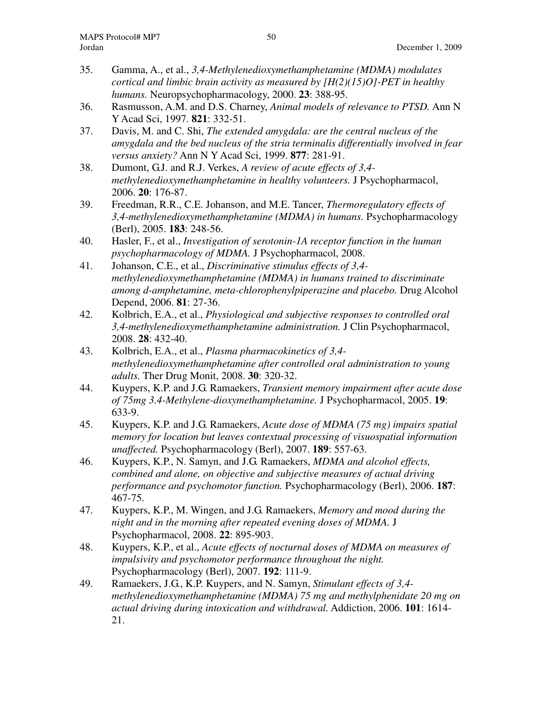- 35. Gamma, A., et al., *3,4-Methylenedioxymethamphetamine (MDMA) modulates cortical and limbic brain activity as measured by [H(2)(15)O]-PET in healthy humans.* Neuropsychopharmacology, 2000. **23**: 388-95.
- 36. Rasmusson, A.M. and D.S. Charney, *Animal models of relevance to PTSD.* Ann N Y Acad Sci, 1997. **821**: 332-51.
- 37. Davis, M. and C. Shi, *The extended amygdala: are the central nucleus of the amygdala and the bed nucleus of the stria terminalis differentially involved in fear versus anxiety?* Ann N Y Acad Sci, 1999. **877**: 281-91.
- 38. Dumont, G.J. and R.J. Verkes, *A review of acute effects of 3,4 methylenedioxymethamphetamine in healthy volunteers.* J Psychopharmacol, 2006. **20**: 176-87.
- 39. Freedman, R.R., C.E. Johanson, and M.E. Tancer, *Thermoregulatory effects of 3,4-methylenedioxymethamphetamine (MDMA) in humans.* Psychopharmacology (Berl), 2005. **183**: 248-56.
- 40. Hasler, F., et al., *Investigation of serotonin-1A receptor function in the human psychopharmacology of MDMA.* J Psychopharmacol, 2008.
- 41. Johanson, C.E., et al., *Discriminative stimulus effects of 3,4 methylenedioxymethamphetamine (MDMA) in humans trained to discriminate among d-amphetamine, meta-chlorophenylpiperazine and placebo.* Drug Alcohol Depend, 2006. **81**: 27-36.
- 42. Kolbrich, E.A., et al., *Physiological and subjective responses to controlled oral 3,4-methylenedioxymethamphetamine administration.* J Clin Psychopharmacol, 2008. **28**: 432-40.
- 43. Kolbrich, E.A., et al., *Plasma pharmacokinetics of 3,4 methylenedioxymethamphetamine after controlled oral administration to young adults.* Ther Drug Monit, 2008. **30**: 320-32.
- 44. Kuypers, K.P. and J.G. Ramaekers, *Transient memory impairment after acute dose of 75mg 3.4-Methylene-dioxymethamphetamine.* J Psychopharmacol, 2005. **19**: 633-9.
- 45. Kuypers, K.P. and J.G. Ramaekers, *Acute dose of MDMA (75 mg) impairs spatial memory for location but leaves contextual processing of visuospatial information unaffected.* Psychopharmacology (Berl), 2007. **189**: 557-63.
- 46. Kuypers, K.P., N. Samyn, and J.G. Ramaekers, *MDMA and alcohol effects, combined and alone, on objective and subjective measures of actual driving performance and psychomotor function.* Psychopharmacology (Berl), 2006. **187**: 467-75.
- 47. Kuypers, K.P., M. Wingen, and J.G. Ramaekers, *Memory and mood during the night and in the morning after repeated evening doses of MDMA.* J Psychopharmacol, 2008. **22**: 895-903.
- 48. Kuypers, K.P., et al., *Acute effects of nocturnal doses of MDMA on measures of impulsivity and psychomotor performance throughout the night.* Psychopharmacology (Berl), 2007. **192**: 111-9.
- 49. Ramaekers, J.G., K.P. Kuypers, and N. Samyn, *Stimulant effects of 3,4 methylenedioxymethamphetamine (MDMA) 75 mg and methylphenidate 20 mg on actual driving during intoxication and withdrawal.* Addiction, 2006. **101**: 1614- 21.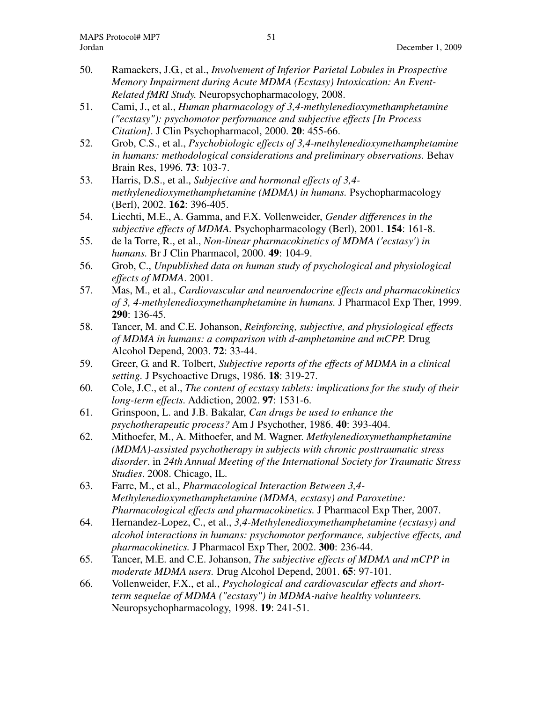- 50. Ramaekers, J.G., et al., *Involvement of Inferior Parietal Lobules in Prospective Memory Impairment during Acute MDMA (Ecstasy) Intoxication: An Event-Related fMRI Study.* Neuropsychopharmacology, 2008.
- 51. Cami, J., et al., *Human pharmacology of 3,4-methylenedioxymethamphetamine ("ecstasy"): psychomotor performance and subjective effects [In Process Citation].* J Clin Psychopharmacol, 2000. **20**: 455-66.
- 52. Grob, C.S., et al., *Psychobiologic effects of 3,4-methylenedioxymethamphetamine in humans: methodological considerations and preliminary observations.* Behav Brain Res, 1996. **73**: 103-7.
- 53. Harris, D.S., et al., *Subjective and hormonal effects of 3,4 methylenedioxymethamphetamine (MDMA) in humans.* Psychopharmacology (Berl), 2002. **162**: 396-405.
- 54. Liechti, M.E., A. Gamma, and F.X. Vollenweider, *Gender differences in the subjective effects of MDMA.* Psychopharmacology (Berl), 2001. **154**: 161-8.
- 55. de la Torre, R., et al., *Non-linear pharmacokinetics of MDMA ('ecstasy') in humans.* Br J Clin Pharmacol, 2000. **49**: 104-9.
- 56. Grob, C., *Unpublished data on human study of psychological and physiological effects of MDMA*. 2001.
- 57. Mas, M., et al., *Cardiovascular and neuroendocrine effects and pharmacokinetics of 3, 4-methylenedioxymethamphetamine in humans.* J Pharmacol Exp Ther, 1999. **290**: 136-45.
- 58. Tancer, M. and C.E. Johanson, *Reinforcing, subjective, and physiological effects of MDMA in humans: a comparison with d-amphetamine and mCPP.* Drug Alcohol Depend, 2003. **72**: 33-44.
- 59. Greer, G. and R. Tolbert, *Subjective reports of the effects of MDMA in a clinical setting.* J Psychoactive Drugs, 1986. **18**: 319-27.
- 60. Cole, J.C., et al., *The content of ecstasy tablets: implications for the study of their long-term effects.* Addiction, 2002. **97**: 1531-6.
- 61. Grinspoon, L. and J.B. Bakalar, *Can drugs be used to enhance the psychotherapeutic process?* Am J Psychother, 1986. **40**: 393-404.
- 62. Mithoefer, M., A. Mithoefer, and M. Wagner. *Methylenedioxymethamphetamine (MDMA)-assisted psychotherapy in subjects with chronic posttraumatic stress disorder*. in *24th Annual Meeting of the International Society for Traumatic Stress Studies*. 2008. Chicago, IL.
- 63. Farre, M., et al., *Pharmacological Interaction Between 3,4- Methylenedioxymethamphetamine (MDMA, ecstasy) and Paroxetine: Pharmacological effects and pharmacokinetics.* J Pharmacol Exp Ther, 2007.
- 64. Hernandez-Lopez, C., et al., *3,4-Methylenedioxymethamphetamine (ecstasy) and alcohol interactions in humans: psychomotor performance, subjective effects, and pharmacokinetics.* J Pharmacol Exp Ther, 2002. **300**: 236-44.
- 65. Tancer, M.E. and C.E. Johanson, *The subjective effects of MDMA and mCPP in moderate MDMA users.* Drug Alcohol Depend, 2001. **65**: 97-101.
- 66. Vollenweider, F.X., et al., *Psychological and cardiovascular effects and shortterm sequelae of MDMA ("ecstasy") in MDMA-naive healthy volunteers.* Neuropsychopharmacology, 1998. **19**: 241-51.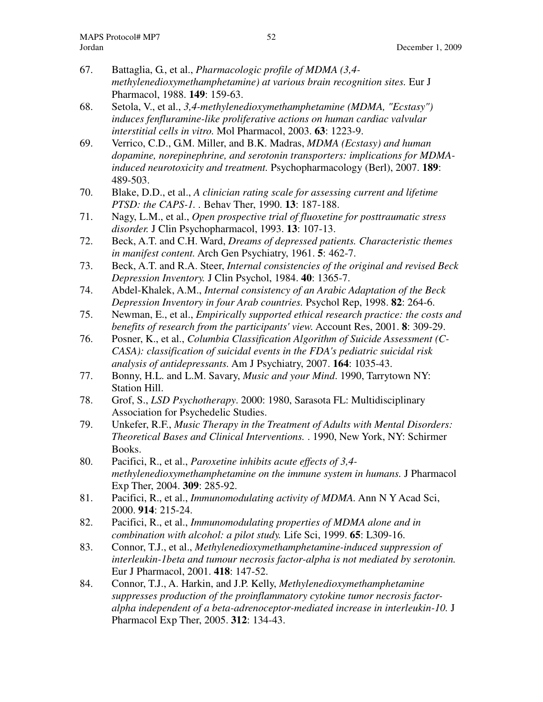- 67. Battaglia, G., et al., *Pharmacologic profile of MDMA (3,4 methylenedioxymethamphetamine) at various brain recognition sites.* Eur J Pharmacol, 1988. **149**: 159-63.
- 68. Setola, V., et al., *3,4-methylenedioxymethamphetamine (MDMA, "Ecstasy") induces fenfluramine-like proliferative actions on human cardiac valvular interstitial cells in vitro.* Mol Pharmacol, 2003. **63**: 1223-9.
- 69. Verrico, C.D., G.M. Miller, and B.K. Madras, *MDMA (Ecstasy) and human dopamine, norepinephrine, and serotonin transporters: implications for MDMAinduced neurotoxicity and treatment.* Psychopharmacology (Berl), 2007. **189**: 489-503.
- 70. Blake, D.D., et al., *A clinician rating scale for assessing current and lifetime PTSD: the CAPS-1. .* Behav Ther, 1990. **13**: 187-188.
- 71. Nagy, L.M., et al., *Open prospective trial of fluoxetine for posttraumatic stress disorder.* J Clin Psychopharmacol, 1993. **13**: 107-13.
- 72. Beck, A.T. and C.H. Ward, *Dreams of depressed patients. Characteristic themes in manifest content.* Arch Gen Psychiatry, 1961. **5**: 462-7.
- 73. Beck, A.T. and R.A. Steer, *Internal consistencies of the original and revised Beck Depression Inventory.* J Clin Psychol, 1984. **40**: 1365-7.
- 74. Abdel-Khalek, A.M., *Internal consistency of an Arabic Adaptation of the Beck Depression Inventory in four Arab countries.* Psychol Rep, 1998. **82**: 264-6.
- 75. Newman, E., et al., *Empirically supported ethical research practice: the costs and benefits of research from the participants' view.* Account Res, 2001. **8**: 309-29.
- 76. Posner, K., et al., *Columbia Classification Algorithm of Suicide Assessment (C-CASA): classification of suicidal events in the FDA's pediatric suicidal risk analysis of antidepressants.* Am J Psychiatry, 2007. **164**: 1035-43.
- 77. Bonny, H.L. and L.M. Savary, *Music and your Mind*. 1990, Tarrytown NY: Station Hill.
- 78. Grof, S., *LSD Psychotherapy*. 2000: 1980, Sarasota FL: Multidisciplinary Association for Psychedelic Studies.
- 79. Unkefer, R.F., *Music Therapy in the Treatment of Adults with Mental Disorders: Theoretical Bases and Clinical Interventions.* . 1990, New York, NY: Schirmer Books.
- 80. Pacifici, R., et al., *Paroxetine inhibits acute effects of 3,4 methylenedioxymethamphetamine on the immune system in humans.* J Pharmacol Exp Ther, 2004. **309**: 285-92.
- 81. Pacifici, R., et al., *Immunomodulating activity of MDMA.* Ann N Y Acad Sci, 2000. **914**: 215-24.
- 82. Pacifici, R., et al., *Immunomodulating properties of MDMA alone and in combination with alcohol: a pilot study.* Life Sci, 1999. **65**: L309-16.
- 83. Connor, T.J., et al., *Methylenedioxymethamphetamine-induced suppression of interleukin-1beta and tumour necrosis factor-alpha is not mediated by serotonin.* Eur J Pharmacol, 2001. **418**: 147-52.
- 84. Connor, T.J., A. Harkin, and J.P. Kelly, *Methylenedioxymethamphetamine suppresses production of the proinflammatory cytokine tumor necrosis factoralpha independent of a beta-adrenoceptor-mediated increase in interleukin-10.* J Pharmacol Exp Ther, 2005. **312**: 134-43.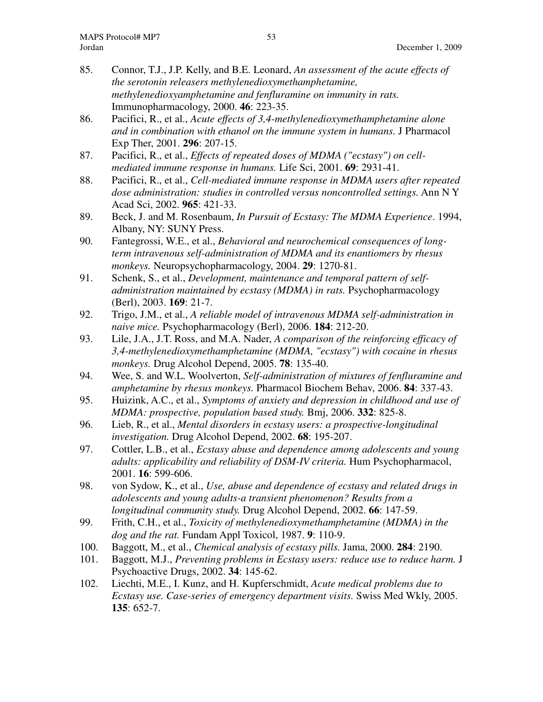- 85. Connor, T.J., J.P. Kelly, and B.E. Leonard, *An assessment of the acute effects of the serotonin releasers methylenedioxymethamphetamine, methylenedioxyamphetamine and fenfluramine on immunity in rats.* Immunopharmacology, 2000. **46**: 223-35.
- 86. Pacifici, R., et al., *Acute effects of 3,4-methylenedioxymethamphetamine alone and in combination with ethanol on the immune system in humans.* J Pharmacol Exp Ther, 2001. **296**: 207-15.
- 87. Pacifici, R., et al., *Effects of repeated doses of MDMA ("ecstasy") on cellmediated immune response in humans.* Life Sci, 2001. **69**: 2931-41.
- 88. Pacifici, R., et al., *Cell-mediated immune response in MDMA users after repeated dose administration: studies in controlled versus noncontrolled settings.* Ann N Y Acad Sci, 2002. **965**: 421-33.
- 89. Beck, J. and M. Rosenbaum, *In Pursuit of Ecstasy: The MDMA Experience*. 1994, Albany, NY: SUNY Press.
- 90. Fantegrossi, W.E., et al., *Behavioral and neurochemical consequences of longterm intravenous self-administration of MDMA and its enantiomers by rhesus monkeys.* Neuropsychopharmacology, 2004. **29**: 1270-81.
- 91. Schenk, S., et al., *Development, maintenance and temporal pattern of selfadministration maintained by ecstasy (MDMA) in rats.* Psychopharmacology (Berl), 2003. **169**: 21-7.
- 92. Trigo, J.M., et al., *A reliable model of intravenous MDMA self-administration in naive mice.* Psychopharmacology (Berl), 2006. **184**: 212-20.
- 93. Lile, J.A., J.T. Ross, and M.A. Nader, *A comparison of the reinforcing efficacy of 3,4-methylenedioxymethamphetamine (MDMA, "ecstasy") with cocaine in rhesus monkeys.* Drug Alcohol Depend, 2005. **78**: 135-40.
- 94. Wee, S. and W.L. Woolverton, *Self-administration of mixtures of fenfluramine and amphetamine by rhesus monkeys.* Pharmacol Biochem Behav, 2006. **84**: 337-43.
- 95. Huizink, A.C., et al., *Symptoms of anxiety and depression in childhood and use of MDMA: prospective, population based study.* Bmj, 2006. **332**: 825-8.
- 96. Lieb, R., et al., *Mental disorders in ecstasy users: a prospective-longitudinal investigation.* Drug Alcohol Depend, 2002. **68**: 195-207.
- 97. Cottler, L.B., et al., *Ecstasy abuse and dependence among adolescents and young adults: applicability and reliability of DSM-IV criteria.* Hum Psychopharmacol, 2001. **16**: 599-606.
- 98. von Sydow, K., et al., *Use, abuse and dependence of ecstasy and related drugs in adolescents and young adults-a transient phenomenon? Results from a longitudinal community study.* Drug Alcohol Depend, 2002. **66**: 147-59.
- 99. Frith, C.H., et al., *Toxicity of methylenedioxymethamphetamine (MDMA) in the dog and the rat.* Fundam Appl Toxicol, 1987. **9**: 110-9.
- 100. Baggott, M., et al., *Chemical analysis of ecstasy pills.* Jama, 2000. **284**: 2190.
- 101. Baggott, M.J., *Preventing problems in Ecstasy users: reduce use to reduce harm.* J Psychoactive Drugs, 2002. **34**: 145-62.
- 102. Liechti, M.E., I. Kunz, and H. Kupferschmidt, *Acute medical problems due to Ecstasy use. Case-series of emergency department visits.* Swiss Med Wkly, 2005. **135**: 652-7.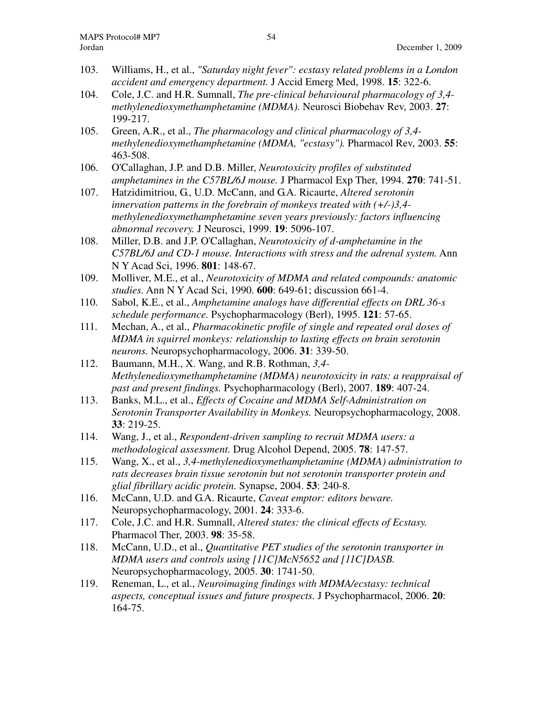- 103. Williams, H., et al., *"Saturday night fever": ecstasy related problems in a London accident and emergency department.* J Accid Emerg Med, 1998. **15**: 322-6.
- 104. Cole, J.C. and H.R. Sumnall, *The pre-clinical behavioural pharmacology of 3,4 methylenedioxymethamphetamine (MDMA).* Neurosci Biobehav Rev, 2003. **27**: 199-217.
- 105. Green, A.R., et al., *The pharmacology and clinical pharmacology of 3,4 methylenedioxymethamphetamine (MDMA, "ecstasy").* Pharmacol Rev, 2003. **55**: 463-508.
- 106. O'Callaghan, J.P. and D.B. Miller, *Neurotoxicity profiles of substituted amphetamines in the C57BL/6J mouse.* J Pharmacol Exp Ther, 1994. **270**: 741-51.
- 107. Hatzidimitriou, G., U.D. McCann, and G.A. Ricaurte, *Altered serotonin innervation patterns in the forebrain of monkeys treated with (+/-)3,4 methylenedioxymethamphetamine seven years previously: factors influencing abnormal recovery.* J Neurosci, 1999. **19**: 5096-107.
- 108. Miller, D.B. and J.P. O'Callaghan, *Neurotoxicity of d-amphetamine in the C57BL/6J and CD-1 mouse. Interactions with stress and the adrenal system.* Ann N Y Acad Sci, 1996. **801**: 148-67.
- 109. Molliver, M.E., et al., *Neurotoxicity of MDMA and related compounds: anatomic studies.* Ann N Y Acad Sci, 1990. **600**: 649-61; discussion 661-4.
- 110. Sabol, K.E., et al., *Amphetamine analogs have differential effects on DRL 36-s schedule performance.* Psychopharmacology (Berl), 1995. **121**: 57-65.
- 111. Mechan, A., et al., *Pharmacokinetic profile of single and repeated oral doses of MDMA in squirrel monkeys: relationship to lasting effects on brain serotonin neurons.* Neuropsychopharmacology, 2006. **31**: 339-50.
- 112. Baumann, M.H., X. Wang, and R.B. Rothman, *3,4- Methylenedioxymethamphetamine (MDMA) neurotoxicity in rats: a reappraisal of past and present findings.* Psychopharmacology (Berl), 2007. **189**: 407-24.
- 113. Banks, M.L., et al., *Effects of Cocaine and MDMA Self-Administration on Serotonin Transporter Availability in Monkeys.* Neuropsychopharmacology, 2008. **33**: 219-25.
- 114. Wang, J., et al., *Respondent-driven sampling to recruit MDMA users: a methodological assessment.* Drug Alcohol Depend, 2005. **78**: 147-57.
- 115. Wang, X., et al., *3,4-methylenedioxymethamphetamine (MDMA) administration to rats decreases brain tissue serotonin but not serotonin transporter protein and glial fibrillary acidic protein.* Synapse, 2004. **53**: 240-8.
- 116. McCann, U.D. and G.A. Ricaurte, *Caveat emptor: editors beware.* Neuropsychopharmacology, 2001. **24**: 333-6.
- 117. Cole, J.C. and H.R. Sumnall, *Altered states: the clinical effects of Ecstasy.* Pharmacol Ther, 2003. **98**: 35-58.
- 118. McCann, U.D., et al., *Quantitative PET studies of the serotonin transporter in MDMA users and controls using [11C]McN5652 and [11C]DASB.* Neuropsychopharmacology, 2005. **30**: 1741-50.
- 119. Reneman, L., et al., *Neuroimaging findings with MDMA/ecstasy: technical aspects, conceptual issues and future prospects.* J Psychopharmacol, 2006. **20**: 164-75.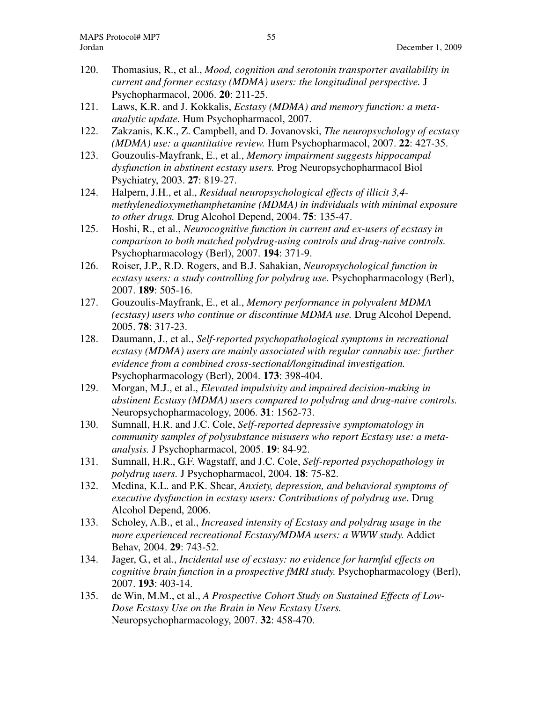- 120. Thomasius, R., et al., *Mood, cognition and serotonin transporter availability in current and former ecstasy (MDMA) users: the longitudinal perspective.* J Psychopharmacol, 2006. **20**: 211-25.
- 121. Laws, K.R. and J. Kokkalis, *Ecstasy (MDMA) and memory function: a metaanalytic update.* Hum Psychopharmacol, 2007.
- 122. Zakzanis, K.K., Z. Campbell, and D. Jovanovski, *The neuropsychology of ecstasy (MDMA) use: a quantitative review.* Hum Psychopharmacol, 2007. **22**: 427-35.
- 123. Gouzoulis-Mayfrank, E., et al., *Memory impairment suggests hippocampal dysfunction in abstinent ecstasy users.* Prog Neuropsychopharmacol Biol Psychiatry, 2003. **27**: 819-27.
- 124. Halpern, J.H., et al., *Residual neuropsychological effects of illicit 3,4 methylenedioxymethamphetamine (MDMA) in individuals with minimal exposure to other drugs.* Drug Alcohol Depend, 2004. **75**: 135-47.
- 125. Hoshi, R., et al., *Neurocognitive function in current and ex-users of ecstasy in comparison to both matched polydrug-using controls and drug-naive controls.* Psychopharmacology (Berl), 2007. **194**: 371-9.
- 126. Roiser, J.P., R.D. Rogers, and B.J. Sahakian, *Neuropsychological function in ecstasy users: a study controlling for polydrug use.* Psychopharmacology (Berl), 2007. **189**: 505-16.
- 127. Gouzoulis-Mayfrank, E., et al., *Memory performance in polyvalent MDMA (ecstasy) users who continue or discontinue MDMA use.* Drug Alcohol Depend, 2005. **78**: 317-23.
- 128. Daumann, J., et al., *Self-reported psychopathological symptoms in recreational ecstasy (MDMA) users are mainly associated with regular cannabis use: further evidence from a combined cross-sectional/longitudinal investigation.* Psychopharmacology (Berl), 2004. **173**: 398-404.
- 129. Morgan, M.J., et al., *Elevated impulsivity and impaired decision-making in abstinent Ecstasy (MDMA) users compared to polydrug and drug-naive controls.* Neuropsychopharmacology, 2006. **31**: 1562-73.
- 130. Sumnall, H.R. and J.C. Cole, *Self-reported depressive symptomatology in community samples of polysubstance misusers who report Ecstasy use: a metaanalysis.* J Psychopharmacol, 2005. **19**: 84-92.
- 131. Sumnall, H.R., G.F. Wagstaff, and J.C. Cole, *Self-reported psychopathology in polydrug users.* J Psychopharmacol, 2004. **18**: 75-82.
- 132. Medina, K.L. and P.K. Shear, *Anxiety, depression, and behavioral symptoms of executive dysfunction in ecstasy users: Contributions of polydrug use.* Drug Alcohol Depend, 2006.
- 133. Scholey, A.B., et al., *Increased intensity of Ecstasy and polydrug usage in the more experienced recreational Ecstasy/MDMA users: a WWW study.* Addict Behav, 2004. **29**: 743-52.
- 134. Jager, G., et al., *Incidental use of ecstasy: no evidence for harmful effects on cognitive brain function in a prospective fMRI study.* Psychopharmacology (Berl), 2007. **193**: 403-14.
- 135. de Win, M.M., et al., *A Prospective Cohort Study on Sustained Effects of Low-Dose Ecstasy Use on the Brain in New Ecstasy Users.* Neuropsychopharmacology, 2007. **32**: 458-470.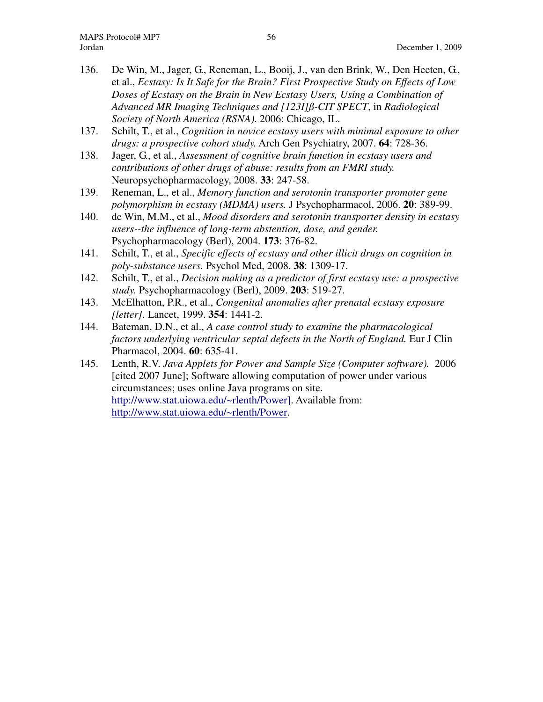- 136. De Win, M., Jager, G., Reneman, L., Booij, J., van den Brink, W., Den Heeten, G., et al., *Ecstasy: Is It Safe for the Brain? First Prospective Study on Effects of Low Doses of Ecstasy on the Brain in New Ecstasy Users, Using a Combination of Advanced MR Imaging Techniques and [123I]ß-CIT SPECT*, in *Radiological Society of North America (RSNA)*. 2006: Chicago, IL.
- 137. Schilt, T., et al., *Cognition in novice ecstasy users with minimal exposure to other drugs: a prospective cohort study.* Arch Gen Psychiatry, 2007. **64**: 728-36.
- 138. Jager, G., et al., *Assessment of cognitive brain function in ecstasy users and contributions of other drugs of abuse: results from an FMRI study.* Neuropsychopharmacology, 2008. **33**: 247-58.
- 139. Reneman, L., et al., *Memory function and serotonin transporter promoter gene polymorphism in ecstasy (MDMA) users.* J Psychopharmacol, 2006. **20**: 389-99.
- 140. de Win, M.M., et al., *Mood disorders and serotonin transporter density in ecstasy users--the influence of long-term abstention, dose, and gender.* Psychopharmacology (Berl), 2004. **173**: 376-82.
- 141. Schilt, T., et al., *Specific effects of ecstasy and other illicit drugs on cognition in poly-substance users.* Psychol Med, 2008. **38**: 1309-17.
- 142. Schilt, T., et al., *Decision making as a predictor of first ecstasy use: a prospective study.* Psychopharmacology (Berl), 2009. **203**: 519-27.
- 143. McElhatton, P.R., et al., *Congenital anomalies after prenatal ecstasy exposure [letter].* Lancet, 1999. **354**: 1441-2.
- 144. Bateman, D.N., et al., *A case control study to examine the pharmacological factors underlying ventricular septal defects in the North of England.* Eur J Clin Pharmacol, 2004. **60**: 635-41.
- 145. Lenth, R.V. *Java Applets for Power and Sample Size (Computer software).* 2006 [cited 2007 June]; Software allowing computation of power under various circumstances; uses online Java programs on site. http://www.stat.uiowa.edu/~rlenth/Power]. Available from: http://www.stat.uiowa.edu/~rlenth/Power.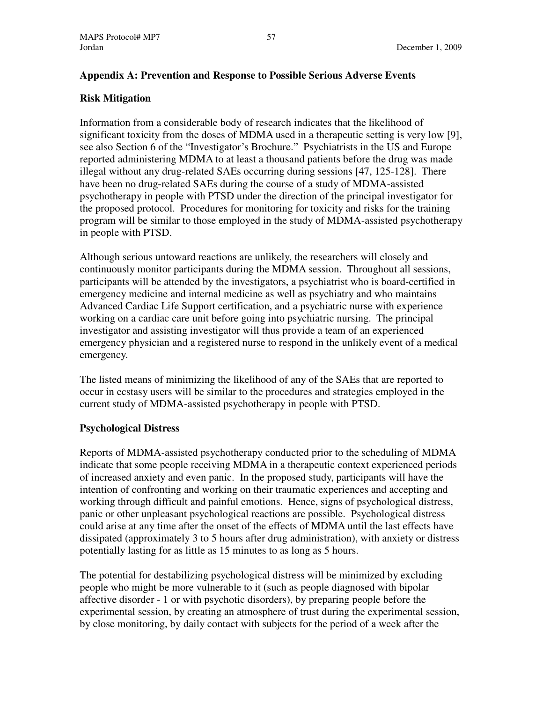# **Appendix A: Prevention and Response to Possible Serious Adverse Events**

# **Risk Mitigation**

Information from a considerable body of research indicates that the likelihood of significant toxicity from the doses of MDMA used in a therapeutic setting is very low [9], see also Section 6 of the "Investigator's Brochure." Psychiatrists in the US and Europe reported administering MDMA to at least a thousand patients before the drug was made illegal without any drug-related SAEs occurring during sessions [47, 125-128]. There have been no drug-related SAEs during the course of a study of MDMA-assisted psychotherapy in people with PTSD under the direction of the principal investigator for the proposed protocol. Procedures for monitoring for toxicity and risks for the training program will be similar to those employed in the study of MDMA-assisted psychotherapy in people with PTSD.

Although serious untoward reactions are unlikely, the researchers will closely and continuously monitor participants during the MDMA session. Throughout all sessions, participants will be attended by the investigators, a psychiatrist who is board-certified in emergency medicine and internal medicine as well as psychiatry and who maintains Advanced Cardiac Life Support certification, and a psychiatric nurse with experience working on a cardiac care unit before going into psychiatric nursing. The principal investigator and assisting investigator will thus provide a team of an experienced emergency physician and a registered nurse to respond in the unlikely event of a medical emergency.

The listed means of minimizing the likelihood of any of the SAEs that are reported to occur in ecstasy users will be similar to the procedures and strategies employed in the current study of MDMA-assisted psychotherapy in people with PTSD.

# **Psychological Distress**

Reports of MDMA-assisted psychotherapy conducted prior to the scheduling of MDMA indicate that some people receiving MDMA in a therapeutic context experienced periods of increased anxiety and even panic. In the proposed study, participants will have the intention of confronting and working on their traumatic experiences and accepting and working through difficult and painful emotions. Hence, signs of psychological distress, panic or other unpleasant psychological reactions are possible. Psychological distress could arise at any time after the onset of the effects of MDMA until the last effects have dissipated (approximately 3 to 5 hours after drug administration), with anxiety or distress potentially lasting for as little as 15 minutes to as long as 5 hours.

The potential for destabilizing psychological distress will be minimized by excluding people who might be more vulnerable to it (such as people diagnosed with bipolar affective disorder - 1 or with psychotic disorders), by preparing people before the experimental session, by creating an atmosphere of trust during the experimental session, by close monitoring, by daily contact with subjects for the period of a week after the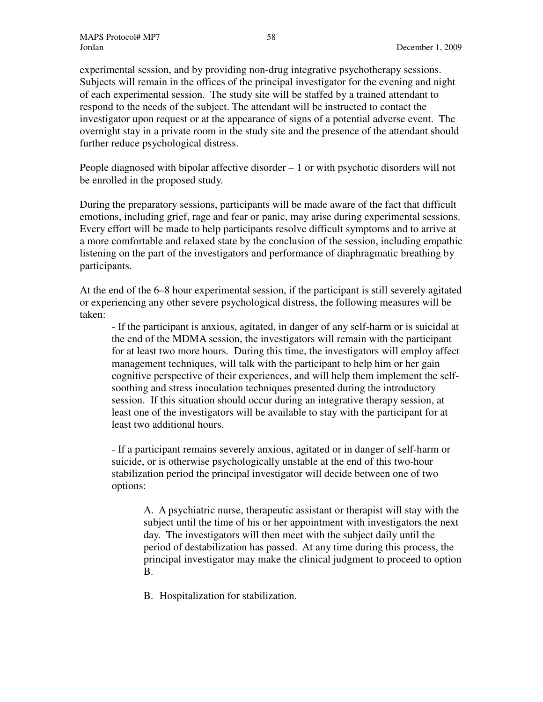experimental session, and by providing non-drug integrative psychotherapy sessions. Subjects will remain in the offices of the principal investigator for the evening and night of each experimental session. The study site will be staffed by a trained attendant to respond to the needs of the subject. The attendant will be instructed to contact the investigator upon request or at the appearance of signs of a potential adverse event. The overnight stay in a private room in the study site and the presence of the attendant should further reduce psychological distress.

People diagnosed with bipolar affective disorder – 1 or with psychotic disorders will not be enrolled in the proposed study.

During the preparatory sessions, participants will be made aware of the fact that difficult emotions, including grief, rage and fear or panic, may arise during experimental sessions. Every effort will be made to help participants resolve difficult symptoms and to arrive at a more comfortable and relaxed state by the conclusion of the session, including empathic listening on the part of the investigators and performance of diaphragmatic breathing by participants.

At the end of the 6–8 hour experimental session, if the participant is still severely agitated or experiencing any other severe psychological distress, the following measures will be taken:

- If the participant is anxious, agitated, in danger of any self-harm or is suicidal at the end of the MDMA session, the investigators will remain with the participant for at least two more hours. During this time, the investigators will employ affect management techniques, will talk with the participant to help him or her gain cognitive perspective of their experiences, and will help them implement the selfsoothing and stress inoculation techniques presented during the introductory session. If this situation should occur during an integrative therapy session, at least one of the investigators will be available to stay with the participant for at least two additional hours.

- If a participant remains severely anxious, agitated or in danger of self-harm or suicide, or is otherwise psychologically unstable at the end of this two-hour stabilization period the principal investigator will decide between one of two options:

A. A psychiatric nurse, therapeutic assistant or therapist will stay with the subject until the time of his or her appointment with investigators the next day. The investigators will then meet with the subject daily until the period of destabilization has passed. At any time during this process, the principal investigator may make the clinical judgment to proceed to option B.

B. Hospitalization for stabilization.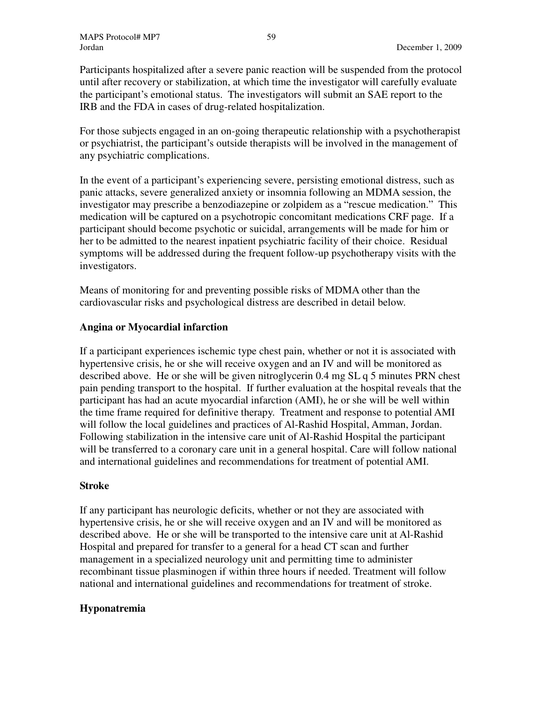Participants hospitalized after a severe panic reaction will be suspended from the protocol until after recovery or stabilization, at which time the investigator will carefully evaluate the participant's emotional status. The investigators will submit an SAE report to the IRB and the FDA in cases of drug-related hospitalization.

For those subjects engaged in an on-going therapeutic relationship with a psychotherapist or psychiatrist, the participant's outside therapists will be involved in the management of any psychiatric complications.

In the event of a participant's experiencing severe, persisting emotional distress, such as panic attacks, severe generalized anxiety or insomnia following an MDMA session, the investigator may prescribe a benzodiazepine or zolpidem as a "rescue medication." This medication will be captured on a psychotropic concomitant medications CRF page. If a participant should become psychotic or suicidal, arrangements will be made for him or her to be admitted to the nearest inpatient psychiatric facility of their choice. Residual symptoms will be addressed during the frequent follow-up psychotherapy visits with the investigators.

Means of monitoring for and preventing possible risks of MDMA other than the cardiovascular risks and psychological distress are described in detail below.

# **Angina or Myocardial infarction**

If a participant experiences ischemic type chest pain, whether or not it is associated with hypertensive crisis, he or she will receive oxygen and an IV and will be monitored as described above. He or she will be given nitroglycerin 0.4 mg SL q 5 minutes PRN chest pain pending transport to the hospital. If further evaluation at the hospital reveals that the participant has had an acute myocardial infarction (AMI), he or she will be well within the time frame required for definitive therapy. Treatment and response to potential AMI will follow the local guidelines and practices of Al-Rashid Hospital, Amman, Jordan. Following stabilization in the intensive care unit of Al-Rashid Hospital the participant will be transferred to a coronary care unit in a general hospital. Care will follow national and international guidelines and recommendations for treatment of potential AMI.

# **Stroke**

If any participant has neurologic deficits, whether or not they are associated with hypertensive crisis, he or she will receive oxygen and an IV and will be monitored as described above. He or she will be transported to the intensive care unit at Al-Rashid Hospital and prepared for transfer to a general for a head CT scan and further management in a specialized neurology unit and permitting time to administer recombinant tissue plasminogen if within three hours if needed. Treatment will follow national and international guidelines and recommendations for treatment of stroke.

# **Hyponatremia**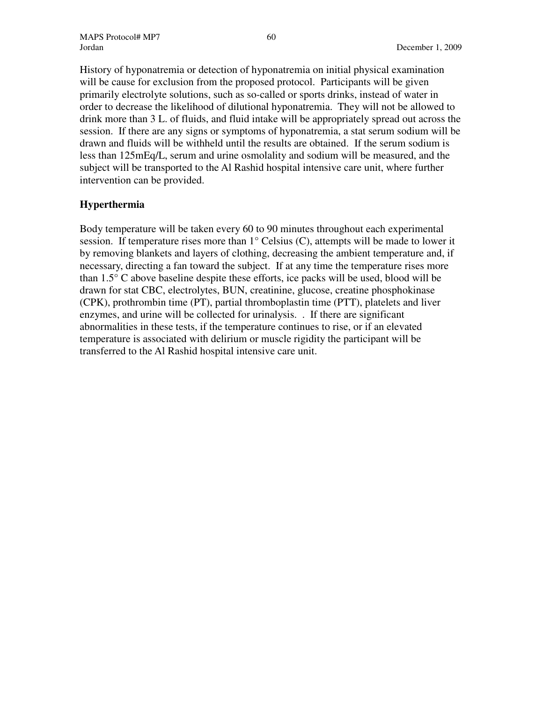History of hyponatremia or detection of hyponatremia on initial physical examination will be cause for exclusion from the proposed protocol. Participants will be given primarily electrolyte solutions, such as so-called or sports drinks, instead of water in order to decrease the likelihood of dilutional hyponatremia. They will not be allowed to drink more than 3 L. of fluids, and fluid intake will be appropriately spread out across the session. If there are any signs or symptoms of hyponatremia, a stat serum sodium will be drawn and fluids will be withheld until the results are obtained. If the serum sodium is less than 125mEq/L, serum and urine osmolality and sodium will be measured, and the subject will be transported to the Al Rashid hospital intensive care unit, where further intervention can be provided.

# **Hyperthermia**

Body temperature will be taken every 60 to 90 minutes throughout each experimental session. If temperature rises more than  $1^{\circ}$  Celsius (C), attempts will be made to lower it by removing blankets and layers of clothing, decreasing the ambient temperature and, if necessary, directing a fan toward the subject. If at any time the temperature rises more than 1.5° C above baseline despite these efforts, ice packs will be used, blood will be drawn for stat CBC, electrolytes, BUN, creatinine, glucose, creatine phosphokinase (CPK), prothrombin time (PT), partial thromboplastin time (PTT), platelets and liver enzymes, and urine will be collected for urinalysis. . If there are significant abnormalities in these tests, if the temperature continues to rise, or if an elevated temperature is associated with delirium or muscle rigidity the participant will be transferred to the Al Rashid hospital intensive care unit.